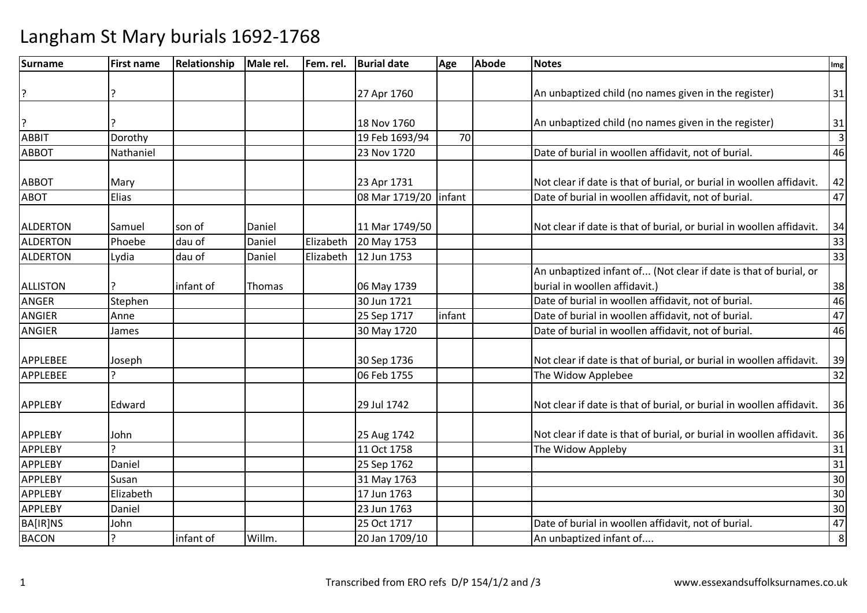| Surname         | <b>First name</b> | Relationship | Male rel. | Fem. rel. | <b>Burial date</b>      | Age    | <b>Abode</b> | <b>Notes</b>                                                         | Img            |
|-----------------|-------------------|--------------|-----------|-----------|-------------------------|--------|--------------|----------------------------------------------------------------------|----------------|
|                 |                   |              |           |           |                         |        |              |                                                                      |                |
| ?               |                   |              |           |           | 27 Apr 1760             |        |              | An unbaptized child (no names given in the register)                 | 31             |
|                 |                   |              |           |           |                         |        |              |                                                                      |                |
| ?               |                   |              |           |           | 18 Nov 1760             |        |              | An unbaptized child (no names given in the register)                 | 31             |
| <b>ABBIT</b>    | Dorothy           |              |           |           | 19 Feb 1693/94          | 70     |              |                                                                      | $\overline{3}$ |
| <b>ABBOT</b>    | Nathaniel         |              |           |           | 23 Nov 1720             |        |              | Date of burial in woollen affidavit, not of burial.                  | 46             |
| <b>ABBOT</b>    | Mary              |              |           |           | 23 Apr 1731             |        |              | Not clear if date is that of burial, or burial in woollen affidavit. | 42             |
| <b>ABOT</b>     | Elias             |              |           |           | 08 Mar 1719/20   infant |        |              | Date of burial in woollen affidavit, not of burial.                  | 47             |
|                 |                   |              |           |           |                         |        |              |                                                                      |                |
| <b>ALDERTON</b> | Samuel            | son of       | Daniel    |           | 11 Mar 1749/50          |        |              | Not clear if date is that of burial, or burial in woollen affidavit. | 34             |
| <b>ALDERTON</b> | Phoebe            | dau of       | Daniel    | Elizabeth | 20 May 1753             |        |              |                                                                      | 33             |
| <b>ALDERTON</b> | Lydia             | dau of       | Daniel    | Elizabeth | 12 Jun 1753             |        |              |                                                                      | 33             |
|                 |                   |              |           |           |                         |        |              | An unbaptized infant of (Not clear if date is that of burial, or     |                |
| <b>ALLISTON</b> |                   | infant of    | Thomas    |           | 06 May 1739             |        |              | burial in woollen affidavit.)                                        | 38             |
| <b>ANGER</b>    | Stephen           |              |           |           | 30 Jun 1721             |        |              | Date of burial in woollen affidavit, not of burial.                  | 46             |
| <b>ANGIER</b>   | Anne              |              |           |           | 25 Sep 1717             | infant |              | Date of burial in woollen affidavit, not of burial.                  | 47             |
| <b>ANGIER</b>   | James             |              |           |           | 30 May 1720             |        |              | Date of burial in woollen affidavit, not of burial.                  | 46             |
| APPLEBEE        | Joseph            |              |           |           | 30 Sep 1736             |        |              | Not clear if date is that of burial, or burial in woollen affidavit. | 39             |
| <b>APPLEBEE</b> | っ                 |              |           |           | 06 Feb 1755             |        |              | The Widow Applebee                                                   | 32             |
| <b>APPLEBY</b>  | Edward            |              |           |           | 29 Jul 1742             |        |              | Not clear if date is that of burial, or burial in woollen affidavit. | 36             |
| <b>APPLEBY</b>  | John              |              |           |           | 25 Aug 1742             |        |              | Not clear if date is that of burial, or burial in woollen affidavit. | 36             |
| <b>APPLEBY</b>  |                   |              |           |           | 11 Oct 1758             |        |              | The Widow Appleby                                                    | 31             |
| <b>APPLEBY</b>  | Daniel            |              |           |           | 25 Sep 1762             |        |              |                                                                      | 31             |
| <b>APPLEBY</b>  | Susan             |              |           |           | 31 May 1763             |        |              |                                                                      | 30             |
| <b>APPLEBY</b>  | Elizabeth         |              |           |           | 17 Jun 1763             |        |              |                                                                      | 30             |
| <b>APPLEBY</b>  | Daniel            |              |           |           | 23 Jun 1763             |        |              |                                                                      | 30             |
| <b>BA[IR]NS</b> | John              |              |           |           | 25 Oct 1717             |        |              | Date of burial in woollen affidavit, not of burial.                  | 47             |
| <b>BACON</b>    |                   | infant of    | Willm.    |           | 20 Jan 1709/10          |        |              | An unbaptized infant of                                              | 8              |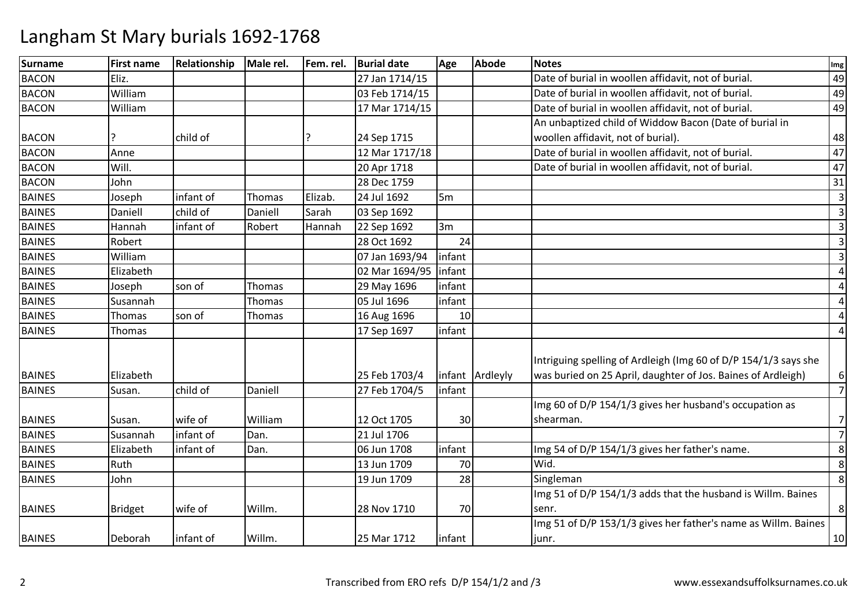| <b>Surname</b> | <b>First name</b> | Relationship | Male rel. | Fem. rel. | <b>Burial date</b> | Age            | <b>Abode</b>    | <b>Notes</b>                                                    | Img            |
|----------------|-------------------|--------------|-----------|-----------|--------------------|----------------|-----------------|-----------------------------------------------------------------|----------------|
| <b>BACON</b>   | Eliz.             |              |           |           | 27 Jan 1714/15     |                |                 | Date of burial in woollen affidavit, not of burial.             | 49             |
| <b>BACON</b>   | William           |              |           |           | 03 Feb 1714/15     |                |                 | Date of burial in woollen affidavit, not of burial.             | 49             |
| <b>BACON</b>   | William           |              |           |           | 17 Mar 1714/15     |                |                 | Date of burial in woollen affidavit, not of burial.             | 49             |
|                |                   |              |           |           |                    |                |                 | An unbaptized child of Widdow Bacon (Date of burial in          |                |
| <b>BACON</b>   |                   | child of     |           |           | 24 Sep 1715        |                |                 | woollen affidavit, not of burial).                              | 48             |
| <b>BACON</b>   | Anne              |              |           |           | 12 Mar 1717/18     |                |                 | Date of burial in woollen affidavit, not of burial.             | 47             |
| <b>BACON</b>   | Will.             |              |           |           | 20 Apr 1718        |                |                 | Date of burial in woollen affidavit, not of burial.             | 47             |
| <b>BACON</b>   | John              |              |           |           | 28 Dec 1759        |                |                 |                                                                 | 31             |
| <b>BAINES</b>  | Joseph            | infant of    | Thomas    | Elizab.   | 24 Jul 1692        | 5 <sub>m</sub> |                 |                                                                 | $\overline{3}$ |
| <b>BAINES</b>  | Daniell           | child of     | Daniell   | Sarah     | 03 Sep 1692        |                |                 |                                                                 | $\overline{3}$ |
| <b>BAINES</b>  | Hannah            | infant of    | Robert    | Hannah    | 22 Sep 1692        | 3m             |                 |                                                                 | $\overline{3}$ |
| <b>BAINES</b>  | Robert            |              |           |           | 28 Oct 1692        | 24             |                 |                                                                 | $\overline{3}$ |
| <b>BAINES</b>  | William           |              |           |           | 07 Jan 1693/94     | infant         |                 |                                                                 | $\overline{3}$ |
| <b>BAINES</b>  | Elizabeth         |              |           |           | 02 Mar 1694/95     | infant         |                 |                                                                 | $\overline{4}$ |
| <b>BAINES</b>  | Joseph            | son of       | Thomas    |           | 29 May 1696        | infant         |                 |                                                                 | $\overline{4}$ |
| <b>BAINES</b>  | Susannah          |              | Thomas    |           | 05 Jul 1696        | infant         |                 |                                                                 | $\overline{4}$ |
| <b>BAINES</b>  | Thomas            | son of       | Thomas    |           | 16 Aug 1696        | 10             |                 |                                                                 | $\overline{4}$ |
| <b>BAINES</b>  | Thomas            |              |           |           | 17 Sep 1697        | infant         |                 |                                                                 | $\overline{4}$ |
|                |                   |              |           |           |                    |                |                 | Intriguing spelling of Ardleigh (Img 60 of D/P 154/1/3 says she |                |
| <b>BAINES</b>  | Elizabeth         |              |           |           | 25 Feb 1703/4      |                | infant Ardleyly | was buried on 25 April, daughter of Jos. Baines of Ardleigh)    | 6              |
| <b>BAINES</b>  | Susan.            | child of     | Daniell   |           | 27 Feb 1704/5      | infant         |                 |                                                                 | $\overline{7}$ |
|                |                   |              |           |           |                    |                |                 | Img 60 of D/P 154/1/3 gives her husband's occupation as         |                |
| <b>BAINES</b>  | Susan.            | wife of      | William   |           | 12 Oct 1705        | 30             |                 | shearman.                                                       | 7              |
| <b>BAINES</b>  | Susannah          | infant of    | Dan.      |           | 21 Jul 1706        |                |                 |                                                                 | $\overline{7}$ |
| <b>BAINES</b>  | Elizabeth         | infant of    | Dan.      |           | 06 Jun 1708        | infant         |                 | Img 54 of D/P 154/1/3 gives her father's name.                  | 8              |
| <b>BAINES</b>  | Ruth              |              |           |           | 13 Jun 1709        | 70             |                 | Wid.                                                            | 8              |
| <b>BAINES</b>  | John              |              |           |           | 19 Jun 1709        | 28             |                 | Singleman                                                       | 8              |
|                |                   |              |           |           |                    |                |                 | Img 51 of D/P 154/1/3 adds that the husband is Willm. Baines    |                |
| <b>BAINES</b>  | <b>Bridget</b>    | wife of      | Willm.    |           | 28 Nov 1710        | 70             |                 | senr.                                                           | 8              |
|                |                   |              |           |           |                    |                |                 | Img 51 of D/P 153/1/3 gives her father's name as Willm. Baines  |                |
| <b>BAINES</b>  | Deborah           | infant of    | Willm.    |           | 25 Mar 1712        | infant         |                 | junr.                                                           | 10             |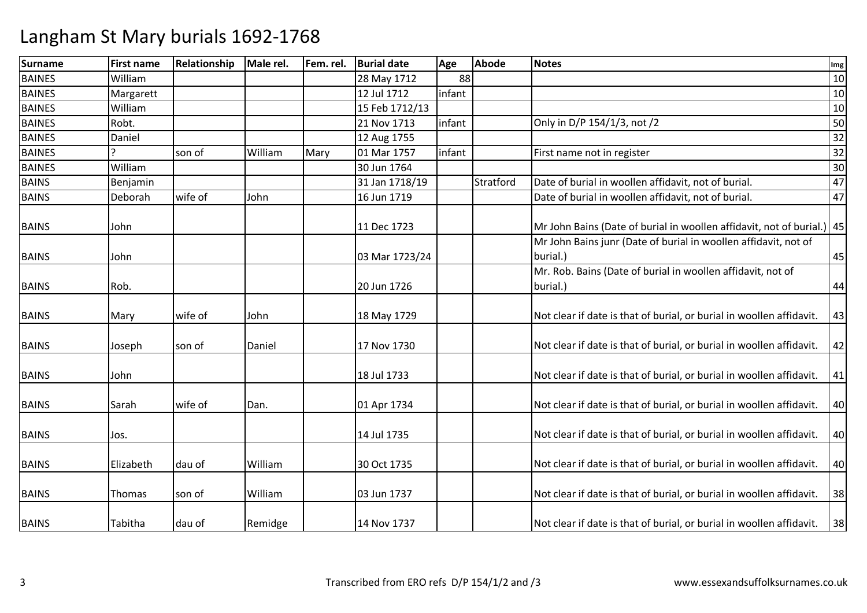| <b>Surname</b> | <b>First name</b> | Relationship | Male rel. | Fem. rel. | <b>Burial date</b> | Age    | <b>Abode</b> | <b>Notes</b>                                                                | Img |
|----------------|-------------------|--------------|-----------|-----------|--------------------|--------|--------------|-----------------------------------------------------------------------------|-----|
| <b>BAINES</b>  | William           |              |           |           | 28 May 1712        | 88     |              |                                                                             | 10  |
| <b>BAINES</b>  | Margarett         |              |           |           | 12 Jul 1712        | infant |              |                                                                             | 10  |
| <b>BAINES</b>  | William           |              |           |           | 15 Feb 1712/13     |        |              |                                                                             | 10  |
| <b>BAINES</b>  | Robt.             |              |           |           | 21 Nov 1713        | infant |              | Only in D/P 154/1/3, not /2                                                 | 50  |
| <b>BAINES</b>  | Daniel            |              |           |           | 12 Aug 1755        |        |              |                                                                             | 32  |
| <b>BAINES</b>  |                   | son of       | William   | Mary      | 01 Mar 1757        | infant |              | First name not in register                                                  | 32  |
| <b>BAINES</b>  | William           |              |           |           | 30 Jun 1764        |        |              |                                                                             | 30  |
| <b>BAINS</b>   | Benjamin          |              |           |           | 31 Jan 1718/19     |        | Stratford    | Date of burial in woollen affidavit, not of burial.                         | 47  |
| <b>BAINS</b>   | Deborah           | wife of      | John      |           | 16 Jun 1719        |        |              | Date of burial in woollen affidavit, not of burial.                         | 47  |
| <b>BAINS</b>   | John              |              |           |           | 11 Dec 1723        |        |              | Mr John Bains (Date of burial in woollen affidavit, not of burial.) 45      |     |
| <b>BAINS</b>   | John              |              |           |           | 03 Mar 1723/24     |        |              | Mr John Bains junr (Date of burial in woollen affidavit, not of<br>burial.) | 45  |
|                |                   |              |           |           |                    |        |              | Mr. Rob. Bains (Date of burial in woollen affidavit, not of                 |     |
| <b>BAINS</b>   | Rob.              |              |           |           | 20 Jun 1726        |        |              | burial.)                                                                    | 44  |
| <b>BAINS</b>   | Mary              | wife of      | John      |           | 18 May 1729        |        |              | Not clear if date is that of burial, or burial in woollen affidavit.        | 43  |
| <b>BAINS</b>   | Joseph            | son of       | Daniel    |           | 17 Nov 1730        |        |              | Not clear if date is that of burial, or burial in woollen affidavit.        | 42  |
| <b>BAINS</b>   | John              |              |           |           | 18 Jul 1733        |        |              | Not clear if date is that of burial, or burial in woollen affidavit.        | 41  |
| <b>BAINS</b>   | Sarah             | wife of      | Dan.      |           | 01 Apr 1734        |        |              | Not clear if date is that of burial, or burial in woollen affidavit.        | 40  |
| <b>BAINS</b>   | Jos.              |              |           |           | 14 Jul 1735        |        |              | Not clear if date is that of burial, or burial in woollen affidavit.        | 40  |
| <b>BAINS</b>   | Elizabeth         | dau of       | William   |           | 30 Oct 1735        |        |              | Not clear if date is that of burial, or burial in woollen affidavit.        | 40  |
| <b>BAINS</b>   | Thomas            | son of       | William   |           | 03 Jun 1737        |        |              | Not clear if date is that of burial, or burial in woollen affidavit.        | 38  |
| <b>BAINS</b>   | Tabitha           | dau of       | Remidge   |           | 14 Nov 1737        |        |              | Not clear if date is that of burial, or burial in woollen affidavit.        | 38  |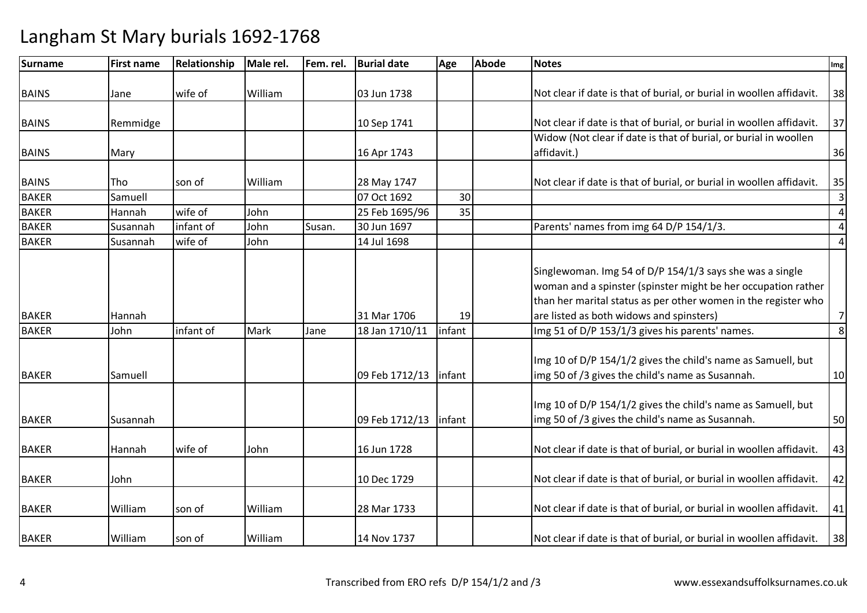| Surname      | <b>First name</b> | Relationship | Male rel. | Fem. rel. | <b>Burial date</b> | Age    | <b>Abode</b> | <b>Notes</b>                                                         | Img            |
|--------------|-------------------|--------------|-----------|-----------|--------------------|--------|--------------|----------------------------------------------------------------------|----------------|
|              |                   |              |           |           |                    |        |              |                                                                      |                |
| <b>BAINS</b> | Jane              | wife of      | William   |           | 03 Jun 1738        |        |              | Not clear if date is that of burial, or burial in woollen affidavit. | 38             |
|              |                   |              |           |           |                    |        |              |                                                                      |                |
| <b>BAINS</b> | Remmidge          |              |           |           | 10 Sep 1741        |        |              | Not clear if date is that of burial, or burial in woollen affidavit. | 37             |
|              |                   |              |           |           |                    |        |              | Widow (Not clear if date is that of burial, or burial in woollen     |                |
| <b>BAINS</b> | Mary              |              |           |           | 16 Apr 1743        |        |              | affidavit.)                                                          | 36             |
|              |                   |              |           |           |                    |        |              |                                                                      |                |
| <b>BAINS</b> | Tho               | son of       | William   |           | 28 May 1747        |        |              | Not clear if date is that of burial, or burial in woollen affidavit. | 35             |
| <b>BAKER</b> | Samuell           |              |           |           | 07 Oct 1692        | 30     |              |                                                                      | $\overline{3}$ |
| <b>BAKER</b> | Hannah            | wife of      | John      |           | 25 Feb 1695/96     | 35     |              |                                                                      | $\overline{4}$ |
| <b>BAKER</b> | Susannah          | infant of    | John      | Susan.    | 30 Jun 1697        |        |              | Parents' names from img 64 D/P 154/1/3.                              | $\overline{4}$ |
| <b>BAKER</b> | Susannah          | wife of      | John      |           | 14 Jul 1698        |        |              |                                                                      | $\overline{4}$ |
|              |                   |              |           |           |                    |        |              | Singlewoman. Img 54 of D/P 154/1/3 says she was a single             |                |
|              |                   |              |           |           |                    |        |              | woman and a spinster (spinster might be her occupation rather        |                |
|              |                   |              |           |           |                    |        |              | than her marital status as per other women in the register who       |                |
| <b>BAKER</b> | Hannah            |              |           |           | 31 Mar 1706        | 19     |              | are listed as both widows and spinsters)                             | $7\overline{}$ |
| <b>BAKER</b> | John              | infant of    | Mark      | Jane      | 18 Jan 1710/11     | infant |              | Img 51 of D/P 153/1/3 gives his parents' names.                      | 8              |
|              |                   |              |           |           |                    |        |              |                                                                      |                |
|              |                   |              |           |           |                    |        |              | Img 10 of D/P 154/1/2 gives the child's name as Samuell, but         |                |
| <b>BAKER</b> | Samuell           |              |           |           | 09 Feb 1712/13     | infant |              | img 50 of /3 gives the child's name as Susannah.                     | 10             |
|              |                   |              |           |           |                    |        |              |                                                                      |                |
|              |                   |              |           |           |                    |        |              | Img 10 of D/P 154/1/2 gives the child's name as Samuell, but         |                |
| <b>BAKER</b> | Susannah          |              |           |           | 09 Feb 1712/13     | infant |              | img 50 of /3 gives the child's name as Susannah.                     | 50             |
|              |                   |              |           |           |                    |        |              |                                                                      |                |
| <b>BAKER</b> | Hannah            | wife of      | John      |           | 16 Jun 1728        |        |              | Not clear if date is that of burial, or burial in woollen affidavit. | 43             |
| <b>BAKER</b> | John              |              |           |           | 10 Dec 1729        |        |              | Not clear if date is that of burial, or burial in woollen affidavit. | 42             |
|              |                   |              |           |           |                    |        |              |                                                                      |                |
| <b>BAKER</b> | William           | son of       | William   |           | 28 Mar 1733        |        |              | Not clear if date is that of burial, or burial in woollen affidavit. | 41             |
| <b>BAKER</b> | William           | son of       | William   |           | 14 Nov 1737        |        |              | Not clear if date is that of burial, or burial in woollen affidavit. | 38             |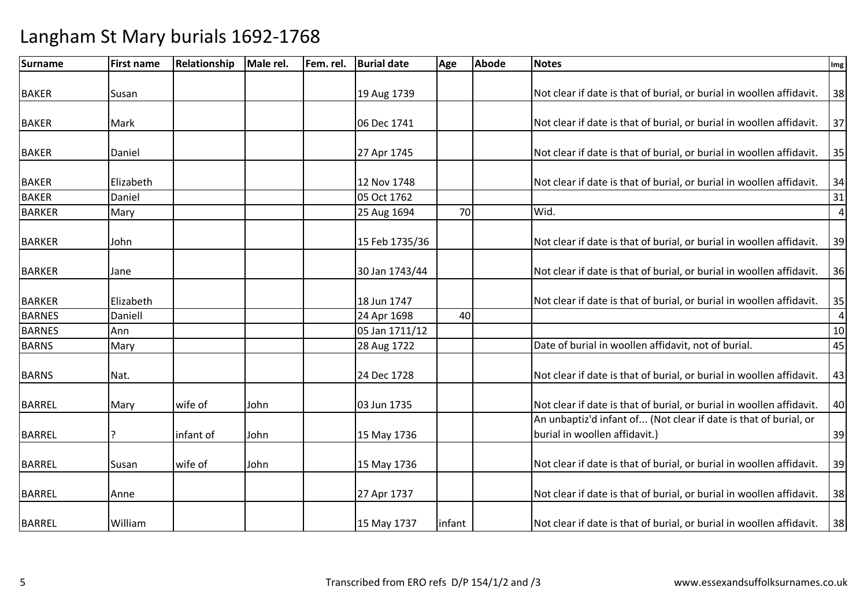| <b>Surname</b> | <b>First name</b> | <b>Relationship</b> | Male rel. | Fem. rel. | <b>Burial date</b> | Age    | <b>Abode</b> | <b>Notes</b>                                                         | Img            |
|----------------|-------------------|---------------------|-----------|-----------|--------------------|--------|--------------|----------------------------------------------------------------------|----------------|
|                |                   |                     |           |           |                    |        |              |                                                                      |                |
| <b>BAKER</b>   | Susan             |                     |           |           | 19 Aug 1739        |        |              | Not clear if date is that of burial, or burial in woollen affidavit. | 38             |
| <b>BAKER</b>   | Mark              |                     |           |           | 06 Dec 1741        |        |              | Not clear if date is that of burial, or burial in woollen affidavit. | 37             |
|                |                   |                     |           |           |                    |        |              |                                                                      |                |
| <b>BAKER</b>   | Daniel            |                     |           |           | 27 Apr 1745        |        |              | Not clear if date is that of burial, or burial in woollen affidavit. | 35             |
| <b>BAKER</b>   | Elizabeth         |                     |           |           | 12 Nov 1748        |        |              | Not clear if date is that of burial, or burial in woollen affidavit. | 34             |
| <b>BAKER</b>   | Daniel            |                     |           |           | 05 Oct 1762        |        |              |                                                                      | 31             |
| <b>BARKER</b>  | Mary              |                     |           |           | 25 Aug 1694        | 70     |              | Wid.                                                                 | $\overline{4}$ |
|                |                   |                     |           |           |                    |        |              |                                                                      |                |
| <b>BARKER</b>  | John              |                     |           |           | 15 Feb 1735/36     |        |              | Not clear if date is that of burial, or burial in woollen affidavit. | 39             |
| <b>BARKER</b>  | Jane              |                     |           |           | 30 Jan 1743/44     |        |              | Not clear if date is that of burial, or burial in woollen affidavit. | 36             |
|                |                   |                     |           |           |                    |        |              |                                                                      |                |
| <b>BARKER</b>  | Elizabeth         |                     |           |           | 18 Jun 1747        |        |              | Not clear if date is that of burial, or burial in woollen affidavit. | 35             |
| <b>BARNES</b>  | Daniell           |                     |           |           | 24 Apr 1698        | 40     |              |                                                                      | $\overline{4}$ |
| <b>BARNES</b>  | Ann               |                     |           |           | 05 Jan 1711/12     |        |              |                                                                      | 10             |
| <b>BARNS</b>   | Mary              |                     |           |           | 28 Aug 1722        |        |              | Date of burial in woollen affidavit, not of burial.                  | 45             |
| <b>BARNS</b>   | Nat.              |                     |           |           | 24 Dec 1728        |        |              | Not clear if date is that of burial, or burial in woollen affidavit. | 43             |
| <b>BARREL</b>  | Mary              | wife of             | John      |           | 03 Jun 1735        |        |              | Not clear if date is that of burial, or burial in woollen affidavit. | 40             |
|                |                   |                     |           |           |                    |        |              | An unbaptiz'd infant of (Not clear if date is that of burial, or     |                |
| <b>BARREL</b>  |                   | infant of           | John      |           | 15 May 1736        |        |              | burial in woollen affidavit.)                                        | 39             |
| <b>BARREL</b>  | Susan             | wife of             | John      |           | 15 May 1736        |        |              | Not clear if date is that of burial, or burial in woollen affidavit. | 39             |
|                |                   |                     |           |           |                    |        |              |                                                                      |                |
| <b>BARREL</b>  | Anne              |                     |           |           | 27 Apr 1737        |        |              | Not clear if date is that of burial, or burial in woollen affidavit. | 38             |
| <b>BARREL</b>  | William           |                     |           |           | 15 May 1737        | infant |              | Not clear if date is that of burial, or burial in woollen affidavit. | 38             |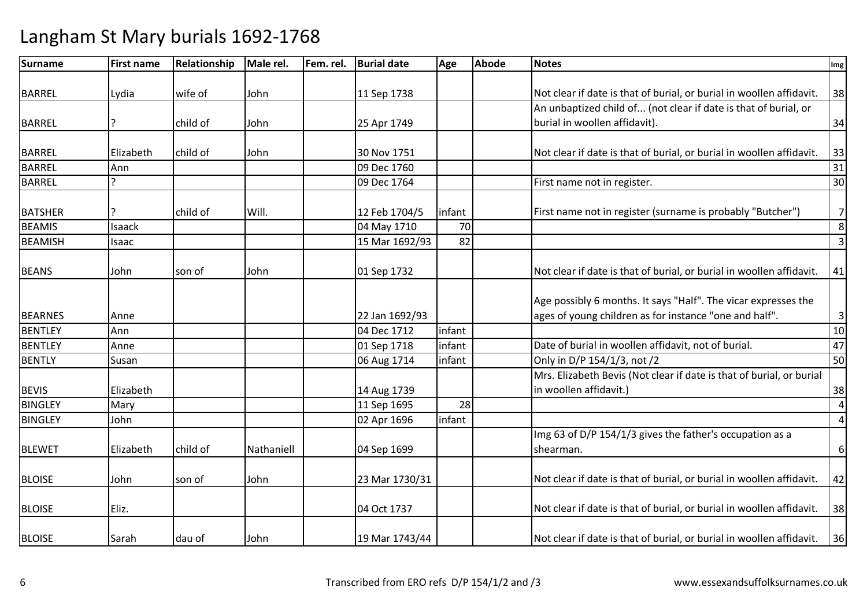| Surname        | <b>First name</b> | Relationship | Male rel.  | Fem. rel. | <b>Burial date</b> | Age    | <b>Abode</b> | <b>Notes</b>                                                         | Img            |
|----------------|-------------------|--------------|------------|-----------|--------------------|--------|--------------|----------------------------------------------------------------------|----------------|
|                |                   |              |            |           |                    |        |              |                                                                      |                |
| <b>BARREL</b>  | Lydia             | wife of      | John       |           | 11 Sep 1738        |        |              | Not clear if date is that of burial, or burial in woollen affidavit. | 38             |
|                |                   |              |            |           |                    |        |              | An unbaptized child of (not clear if date is that of burial, or      |                |
| <b>BARREL</b>  |                   | child of     | John       |           | 25 Apr 1749        |        |              | burial in woollen affidavit).                                        | 34             |
| <b>BARREL</b>  | Elizabeth         | child of     | John       |           | 30 Nov 1751        |        |              | Not clear if date is that of burial, or burial in woollen affidavit. | 33             |
| <b>BARREL</b>  | Ann               |              |            |           | 09 Dec 1760        |        |              |                                                                      | 31             |
| <b>BARREL</b>  |                   |              |            |           | 09 Dec 1764        |        |              | First name not in register.                                          | 30             |
|                |                   |              |            |           |                    |        |              |                                                                      |                |
| <b>BATSHER</b> | ?                 | child of     | Will.      |           | 12 Feb 1704/5      | infant |              | First name not in register (surname is probably "Butcher")           | $7\overline{}$ |
| <b>BEAMIS</b>  | Isaack            |              |            |           | 04 May 1710        | 70     |              |                                                                      | 8              |
| <b>BEAMISH</b> | Isaac             |              |            |           | 15 Mar 1692/93     | 82     |              |                                                                      | $\overline{3}$ |
|                |                   |              |            |           |                    |        |              |                                                                      |                |
| <b>BEANS</b>   | John              | son of       | John       |           | 01 Sep 1732        |        |              | Not clear if date is that of burial, or burial in woollen affidavit. | 41             |
|                |                   |              |            |           |                    |        |              |                                                                      |                |
|                |                   |              |            |           |                    |        |              | Age possibly 6 months. It says "Half". The vicar expresses the       |                |
| <b>BEARNES</b> | Anne              |              |            |           | 22 Jan 1692/93     |        |              | ages of young children as for instance "one and half".               | $\mathsf 3$    |
| <b>BENTLEY</b> | Ann               |              |            |           | 04 Dec 1712        | infant |              |                                                                      | 10             |
| <b>BENTLEY</b> | Anne              |              |            |           | 01 Sep 1718        | infant |              | Date of burial in woollen affidavit, not of burial.                  | 47             |
| <b>BENTLY</b>  | Susan             |              |            |           | 06 Aug 1714        | infant |              | Only in D/P 154/1/3, not /2                                          | 50             |
|                |                   |              |            |           |                    |        |              | Mrs. Elizabeth Bevis (Not clear if date is that of burial, or burial |                |
| <b>BEVIS</b>   | Elizabeth         |              |            |           | 14 Aug 1739        |        |              | in woollen affidavit.)                                               | 38             |
| <b>BINGLEY</b> | Mary              |              |            |           | 11 Sep 1695        | 28     |              |                                                                      | $\overline{4}$ |
| <b>BINGLEY</b> | John              |              |            |           | 02 Apr 1696        | infant |              |                                                                      | $\overline{4}$ |
|                |                   |              |            |           |                    |        |              | Img 63 of D/P 154/1/3 gives the father's occupation as a             |                |
| <b>BLEWET</b>  | Elizabeth         | child of     | Nathaniell |           | 04 Sep 1699        |        |              | shearman.                                                            | $6\,$          |
|                |                   |              |            |           |                    |        |              |                                                                      |                |
| <b>BLOISE</b>  | John              | son of       | John       |           | 23 Mar 1730/31     |        |              | Not clear if date is that of burial, or burial in woollen affidavit. | 42             |
| <b>BLOISE</b>  | Eliz.             |              |            |           | 04 Oct 1737        |        |              | Not clear if date is that of burial, or burial in woollen affidavit. | 38             |
| <b>BLOISE</b>  | Sarah             | dau of       | John       |           | 19 Mar 1743/44     |        |              | Not clear if date is that of burial, or burial in woollen affidavit. | 36             |
|                |                   |              |            |           |                    |        |              |                                                                      |                |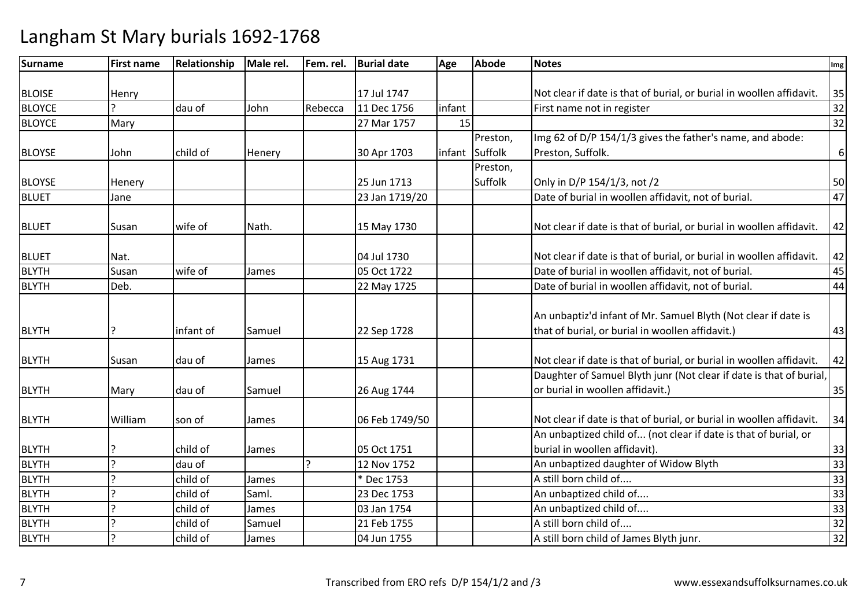| <b>Surname</b> | <b>First name</b>     | Relationship | Male rel. | Fem. rel.    | <b>Burial date</b> | Age    | <b>Abode</b>   | <b>Notes</b>                                                         | Img              |
|----------------|-----------------------|--------------|-----------|--------------|--------------------|--------|----------------|----------------------------------------------------------------------|------------------|
|                |                       |              |           |              |                    |        |                |                                                                      |                  |
| <b>BLOISE</b>  | Henry                 |              |           |              | 17 Jul 1747        |        |                | Not clear if date is that of burial, or burial in woollen affidavit. | 35               |
| <b>BLOYCE</b>  |                       | dau of       | John      | Rebecca      | 11 Dec 1756        | infant |                | First name not in register                                           | 32               |
| <b>BLOYCE</b>  | Mary                  |              |           |              | 27 Mar 1757        | 15     |                |                                                                      | 32               |
|                |                       |              |           |              |                    |        | Preston,       | Img 62 of D/P 154/1/3 gives the father's name, and abode:            |                  |
| <b>BLOYSE</b>  | John                  | child of     | Henery    |              | 30 Apr 1703        |        | infant Suffolk | Preston, Suffolk.                                                    | $\boldsymbol{6}$ |
|                |                       |              |           |              |                    |        | Preston,       |                                                                      |                  |
| <b>BLOYSE</b>  | Henery                |              |           |              | 25 Jun 1713        |        | Suffolk        | Only in D/P 154/1/3, not /2                                          | 50               |
| <b>BLUET</b>   | Jane                  |              |           |              | 23 Jan 1719/20     |        |                | Date of burial in woollen affidavit, not of burial.                  | 47               |
|                |                       |              |           |              |                    |        |                |                                                                      |                  |
| <b>BLUET</b>   | Susan                 | wife of      | Nath.     |              | 15 May 1730        |        |                | Not clear if date is that of burial, or burial in woollen affidavit. | 42               |
|                |                       |              |           |              |                    |        |                |                                                                      |                  |
| <b>BLUET</b>   | Nat.                  |              |           |              | 04 Jul 1730        |        |                | Not clear if date is that of burial, or burial in woollen affidavit. | 42               |
| <b>BLYTH</b>   | Susan                 | wife of      | James     |              | 05 Oct 1722        |        |                | Date of burial in woollen affidavit, not of burial.                  | 45               |
| <b>BLYTH</b>   | Deb.                  |              |           |              | 22 May 1725        |        |                | Date of burial in woollen affidavit, not of burial.                  | 44               |
|                |                       |              |           |              |                    |        |                |                                                                      |                  |
|                |                       |              |           |              |                    |        |                | An unbaptiz'd infant of Mr. Samuel Blyth (Not clear if date is       |                  |
| <b>BLYTH</b>   | ς                     | infant of    | Samuel    |              | 22 Sep 1728        |        |                | that of burial, or burial in woollen affidavit.)                     | 43               |
|                |                       |              |           |              |                    |        |                |                                                                      |                  |
| <b>BLYTH</b>   | Susan                 | dau of       | James     |              | 15 Aug 1731        |        |                | Not clear if date is that of burial, or burial in woollen affidavit. | 42               |
|                |                       |              |           |              |                    |        |                | Daughter of Samuel Blyth junr (Not clear if date is that of burial,  |                  |
| <b>BLYTH</b>   | Mary                  | dau of       | Samuel    |              | 26 Aug 1744        |        |                | or burial in woollen affidavit.)                                     | 35               |
|                |                       |              |           |              |                    |        |                |                                                                      |                  |
| <b>BLYTH</b>   | William               | son of       | James     |              | 06 Feb 1749/50     |        |                | Not clear if date is that of burial, or burial in woollen affidavit. | 34               |
|                |                       |              |           |              |                    |        |                | An unbaptized child of (not clear if date is that of burial, or      |                  |
| <b>BLYTH</b>   |                       | child of     | James     |              | 05 Oct 1751        |        |                | burial in woollen affidavit).                                        | 33               |
| <b>BLYTH</b>   | $\overline{ }$        | dau of       |           | $\mathbf{C}$ | 12 Nov 1752        |        |                | An unbaptized daughter of Widow Blyth                                | 33               |
| <b>BLYTH</b>   | $\boldsymbol{\gamma}$ | child of     | James     |              | * Dec 1753         |        |                | A still born child of                                                | 33               |
| <b>BLYTH</b>   | $\mathbf{C}$          | child of     | Saml.     |              | 23 Dec 1753        |        |                | An unbaptized child of                                               | 33               |
| <b>BLYTH</b>   | $\overline{ }$        | child of     | James     |              | 03 Jan 1754        |        |                | An unbaptized child of                                               | 33               |
| <b>BLYTH</b>   |                       | child of     | Samuel    |              | 21 Feb 1755        |        |                | A still born child of                                                | 32               |
| <b>BLYTH</b>   | $\mathcal{P}$         | child of     | James     |              | 04 Jun 1755        |        |                | A still born child of James Blyth junr.                              | 32               |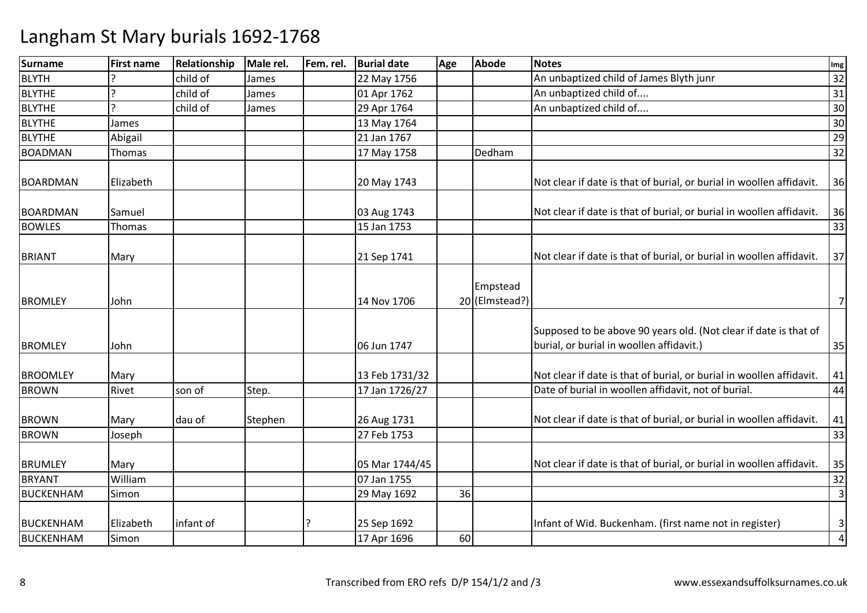| <b>Surname</b>   | <b>First name</b> | Relationship | Male rel. | Fem. rel. | <b>Burial date</b> | Age | Abode                      | <b>Notes</b>                                                                                                 | Img                            |
|------------------|-------------------|--------------|-----------|-----------|--------------------|-----|----------------------------|--------------------------------------------------------------------------------------------------------------|--------------------------------|
| <b>BLYTH</b>     |                   | child of     | James     |           | 22 May 1756        |     |                            | An unbaptized child of James Blyth junr                                                                      | 32                             |
| <b>BLYTHE</b>    |                   | child of     | James     |           | 01 Apr 1762        |     |                            | An unbaptized child of                                                                                       | 31                             |
| <b>BLYTHE</b>    | C                 | child of     | James     |           | 29 Apr 1764        |     |                            | An unbaptized child of                                                                                       | 30                             |
| <b>BLYTHE</b>    | James             |              |           |           | 13 May 1764        |     |                            |                                                                                                              | 30                             |
| <b>BLYTHE</b>    | Abigail           |              |           |           | 21 Jan 1767        |     |                            |                                                                                                              | 29                             |
| <b>BOADMAN</b>   | Thomas            |              |           |           | 17 May 1758        |     | Dedham                     |                                                                                                              | 32                             |
| <b>BOARDMAN</b>  | Elizabeth         |              |           |           | 20 May 1743        |     |                            | Not clear if date is that of burial, or burial in woollen affidavit.                                         | 36                             |
| <b>BOARDMAN</b>  | Samuel            |              |           |           | 03 Aug 1743        |     |                            | Not clear if date is that of burial, or burial in woollen affidavit.                                         | 36                             |
| <b>BOWLES</b>    | Thomas            |              |           |           | 15 Jan 1753        |     |                            |                                                                                                              | 33                             |
| <b>BRIANT</b>    | Mary              |              |           |           | 21 Sep 1741        |     |                            | Not clear if date is that of burial, or burial in woollen affidavit.                                         | 37                             |
| <b>BROMLEY</b>   | John              |              |           |           | 14 Nov 1706        |     | Empstead<br>20 (Elmstead?) |                                                                                                              | $\overline{7}$                 |
| <b>BROMLEY</b>   | John              |              |           |           | 06 Jun 1747        |     |                            | Supposed to be above 90 years old. (Not clear if date is that of<br>burial, or burial in woollen affidavit.) | 35                             |
| <b>BROOMLEY</b>  | Mary              |              |           |           | 13 Feb 1731/32     |     |                            | Not clear if date is that of burial, or burial in woollen affidavit.                                         | 41                             |
| <b>BROWN</b>     | Rivet             | son of       | Step.     |           | 17 Jan 1726/27     |     |                            | Date of burial in woollen affidavit, not of burial.                                                          | 44                             |
| <b>BROWN</b>     | Mary              | dau of       | Stephen   |           | 26 Aug 1731        |     |                            | Not clear if date is that of burial, or burial in woollen affidavit.                                         | 41                             |
| <b>BROWN</b>     | Joseph            |              |           |           | 27 Feb 1753        |     |                            |                                                                                                              | 33                             |
| <b>BRUMLEY</b>   | Mary              |              |           |           | 05 Mar 1744/45     |     |                            | Not clear if date is that of burial, or burial in woollen affidavit.                                         | 35                             |
| <b>BRYANT</b>    | William           |              |           |           | 07 Jan 1755        |     |                            |                                                                                                              | 32                             |
| <b>BUCKENHAM</b> | Simon             |              |           |           | 29 May 1692        | 36  |                            |                                                                                                              | $\overline{3}$                 |
| <b>BUCKENHAM</b> | Elizabeth         | infant of    |           |           | 25 Sep 1692        | 60  |                            | Infant of Wid. Buckenham. (first name not in register)                                                       | $\mathbf{3}$<br>$\overline{4}$ |
| <b>BUCKENHAM</b> | Simon             |              |           |           | 17 Apr 1696        |     |                            |                                                                                                              |                                |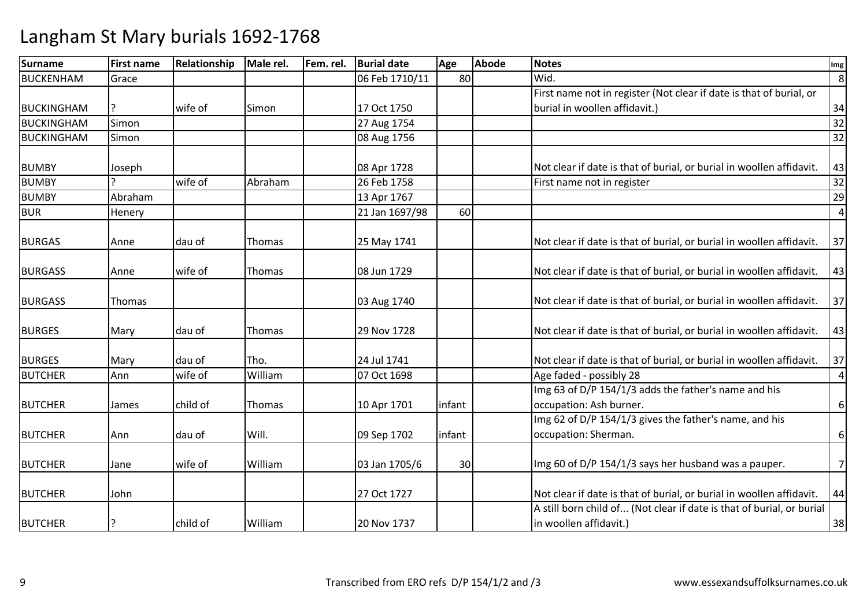| Surname           | <b>First name</b> | <b>Relationship</b> | Male rel. | Fem. rel. | <b>Burial date</b> | Age    | <b>Abode</b> | <b>Notes</b>                                                          | Img            |
|-------------------|-------------------|---------------------|-----------|-----------|--------------------|--------|--------------|-----------------------------------------------------------------------|----------------|
| BUCKENHAM         | Grace             |                     |           |           | 06 Feb 1710/11     | 80     |              | Wid.                                                                  | 8              |
|                   |                   |                     |           |           |                    |        |              | First name not in register (Not clear if date is that of burial, or   |                |
| <b>BUCKINGHAM</b> |                   | wife of             | Simon     |           | 17 Oct 1750        |        |              | burial in woollen affidavit.)                                         | 34             |
| <b>BUCKINGHAM</b> | Simon             |                     |           |           | 27 Aug 1754        |        |              |                                                                       | 32             |
| <b>BUCKINGHAM</b> | Simon             |                     |           |           | 08 Aug 1756        |        |              |                                                                       | 32             |
| <b>BUMBY</b>      | Joseph            |                     |           |           | 08 Apr 1728        |        |              | Not clear if date is that of burial, or burial in woollen affidavit.  | 43             |
| <b>BUMBY</b>      |                   | wife of             | Abraham   |           | 26 Feb 1758        |        |              | First name not in register                                            | 32             |
| <b>BUMBY</b>      | Abraham           |                     |           |           | 13 Apr 1767        |        |              |                                                                       | 29             |
| <b>BUR</b>        | Henery            |                     |           |           | 21 Jan 1697/98     | 60     |              |                                                                       | $\overline{a}$ |
| <b>BURGAS</b>     | Anne              | dau of              | Thomas    |           | 25 May 1741        |        |              | Not clear if date is that of burial, or burial in woollen affidavit.  | 37             |
| <b>BURGASS</b>    | Anne              | wife of             | Thomas    |           | 08 Jun 1729        |        |              | Not clear if date is that of burial, or burial in woollen affidavit.  | 43             |
| <b>BURGASS</b>    | Thomas            |                     |           |           | 03 Aug 1740        |        |              | Not clear if date is that of burial, or burial in woollen affidavit.  | 37             |
| <b>BURGES</b>     | Mary              | dau of              | Thomas    |           | 29 Nov 1728        |        |              | Not clear if date is that of burial, or burial in woollen affidavit.  | 43             |
| <b>BURGES</b>     | Mary              | dau of              | Tho.      |           | 24 Jul 1741        |        |              | Not clear if date is that of burial, or burial in woollen affidavit.  | 37             |
| <b>BUTCHER</b>    | Ann               | wife of             | William   |           | 07 Oct 1698        |        |              | Age faded - possibly 28                                               | $\overline{a}$ |
|                   |                   |                     |           |           |                    |        |              | Img 63 of D/P 154/1/3 adds the father's name and his                  |                |
| <b>BUTCHER</b>    | James             | child of            | Thomas    |           | 10 Apr 1701        | infant |              | occupation: Ash burner.                                               | 6              |
|                   |                   |                     |           |           |                    |        |              | Img 62 of D/P 154/1/3 gives the father's name, and his                |                |
| <b>BUTCHER</b>    | Ann               | ldau of             | Will.     |           | 09 Sep 1702        | infant |              | occupation: Sherman.                                                  | 6              |
| <b>BUTCHER</b>    | Jane              | wife of             | William   |           | 03 Jan 1705/6      | 30     |              | Img 60 of D/P 154/1/3 says her husband was a pauper.                  | $\overline{7}$ |
| <b>BUTCHER</b>    | John              |                     |           |           | 27 Oct 1727        |        |              | Not clear if date is that of burial, or burial in woollen affidavit.  | 44             |
|                   |                   |                     |           |           |                    |        |              | A still born child of (Not clear if date is that of burial, or burial |                |
| <b>BUTCHER</b>    | ?                 | child of            | William   |           | 20 Nov 1737        |        |              | in woollen affidavit.)                                                | 38             |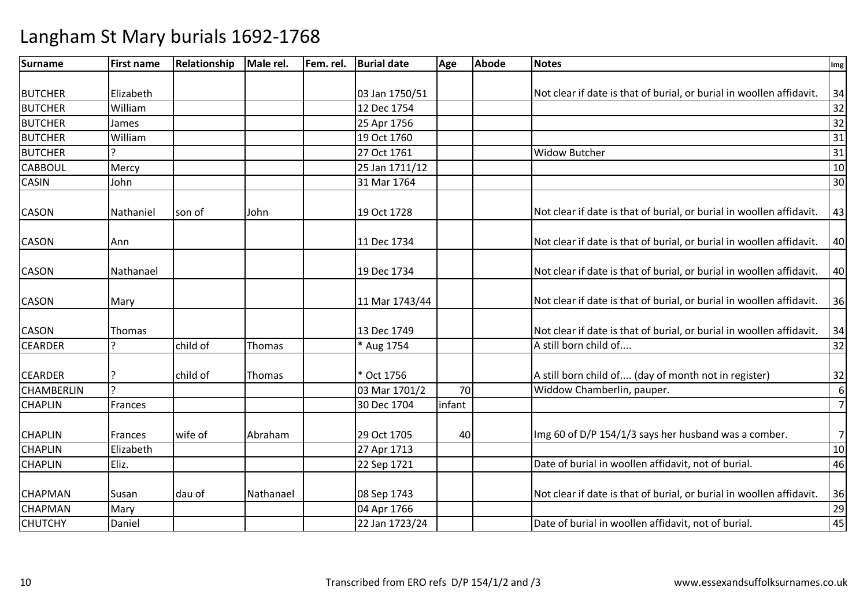| <b>Surname</b>    | <b>First name</b> | Relationship | Male rel. | Fem. rel. | <b>Burial date</b> | Age    | <b>Abode</b> | <b>Notes</b>                                                         | Img              |
|-------------------|-------------------|--------------|-----------|-----------|--------------------|--------|--------------|----------------------------------------------------------------------|------------------|
|                   |                   |              |           |           |                    |        |              |                                                                      |                  |
| <b>BUTCHER</b>    | Elizabeth         |              |           |           | 03 Jan 1750/51     |        |              | Not clear if date is that of burial, or burial in woollen affidavit. | 34               |
| <b>BUTCHER</b>    | William           |              |           |           | 12 Dec 1754        |        |              |                                                                      | 32               |
| <b>BUTCHER</b>    | James             |              |           |           | 25 Apr 1756        |        |              |                                                                      | 32               |
| <b>BUTCHER</b>    | William           |              |           |           | 19 Oct 1760        |        |              |                                                                      | 31               |
| <b>BUTCHER</b>    |                   |              |           |           | 27 Oct 1761        |        |              | <b>Widow Butcher</b>                                                 | 31               |
| <b>CABBOUL</b>    | Mercy             |              |           |           | 25 Jan 1711/12     |        |              |                                                                      | $10\,$           |
| <b>CASIN</b>      | John              |              |           |           | 31 Mar 1764        |        |              |                                                                      | 30               |
| <b>CASON</b>      | Nathaniel         | son of       | John      |           | 19 Oct 1728        |        |              | Not clear if date is that of burial, or burial in woollen affidavit. | 43               |
| <b>CASON</b>      | Ann               |              |           |           | 11 Dec 1734        |        |              | Not clear if date is that of burial, or burial in woollen affidavit. | 40               |
| <b>CASON</b>      | Nathanael         |              |           |           | 19 Dec 1734        |        |              | Not clear if date is that of burial, or burial in woollen affidavit. | 40               |
| <b>CASON</b>      | Mary              |              |           |           | 11 Mar 1743/44     |        |              | Not clear if date is that of burial, or burial in woollen affidavit. | 36               |
| <b>CASON</b>      | Thomas            |              |           |           | 13 Dec 1749        |        |              | Not clear if date is that of burial, or burial in woollen affidavit. | 34               |
| <b>CEARDER</b>    |                   | child of     | Thomas    |           | * Aug 1754         |        |              | A still born child of                                                | 32               |
| <b>CEARDER</b>    |                   | child of     | Thomas    |           | * Oct 1756         |        |              | A still born child of (day of month not in register)                 | 32               |
| <b>CHAMBERLIN</b> | <sub>?</sub>      |              |           |           | 03 Mar 1701/2      | 70     |              | Widdow Chamberlin, pauper.                                           | $\boldsymbol{6}$ |
| <b>CHAPLIN</b>    | Frances           |              |           |           | 30 Dec 1704        | infant |              |                                                                      | $\overline{7}$   |
| <b>CHAPLIN</b>    | <b>Frances</b>    | wife of      | Abraham   |           | 29 Oct 1705        | 40     |              | Img 60 of D/P 154/1/3 says her husband was a comber.                 | 7                |
| <b>CHAPLIN</b>    | Elizabeth         |              |           |           | 27 Apr 1713        |        |              |                                                                      | 10               |
| <b>CHAPLIN</b>    | Eliz.             |              |           |           | 22 Sep 1721        |        |              | Date of burial in woollen affidavit, not of burial.                  | 46               |
| <b>CHAPMAN</b>    | Susan             | dau of       | Nathanael |           | 08 Sep 1743        |        |              | Not clear if date is that of burial, or burial in woollen affidavit. | 36               |
| <b>CHAPMAN</b>    | Mary              |              |           |           | 04 Apr 1766        |        |              |                                                                      | 29               |
| <b>CHUTCHY</b>    | Daniel            |              |           |           | 22 Jan 1723/24     |        |              | Date of burial in woollen affidavit, not of burial.                  | 45               |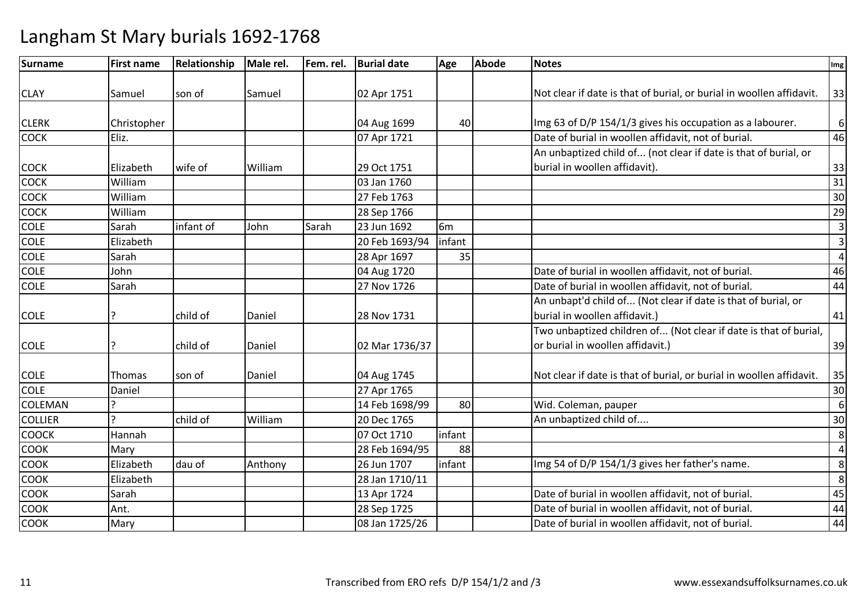| <b>Surname</b> | <b>First name</b> | Relationship | Male rel. | Fem. rel. | <b>Burial date</b> | Age            | <b>Abode</b> | <b>Notes</b>                                                         | Img                     |
|----------------|-------------------|--------------|-----------|-----------|--------------------|----------------|--------------|----------------------------------------------------------------------|-------------------------|
|                |                   |              |           |           |                    |                |              |                                                                      |                         |
| <b>CLAY</b>    | Samuel            | son of       | Samuel    |           | 02 Apr 1751        |                |              | Not clear if date is that of burial, or burial in woollen affidavit. | 33                      |
|                |                   |              |           |           |                    |                |              |                                                                      |                         |
| <b>CLERK</b>   | Christopher       |              |           |           | 04 Aug 1699        | 40             |              | Img 63 of D/P 154/1/3 gives his occupation as a labourer.            | 6                       |
| <b>COCK</b>    | Eliz.             |              |           |           | 07 Apr 1721        |                |              | Date of burial in woollen affidavit, not of burial.                  | 46                      |
|                |                   |              |           |           |                    |                |              | An unbaptized child of (not clear if date is that of burial, or      |                         |
| <b>COCK</b>    | Elizabeth         | wife of      | William   |           | 29 Oct 1751        |                |              | burial in woollen affidavit).                                        | 33                      |
| <b>COCK</b>    | William           |              |           |           | 03 Jan 1760        |                |              |                                                                      | 31                      |
| <b>COCK</b>    | William           |              |           |           | 27 Feb 1763        |                |              |                                                                      | 30                      |
| <b>COCK</b>    | William           |              |           |           | 28 Sep 1766        |                |              |                                                                      | 29                      |
| <b>COLE</b>    | Sarah             | infant of    | John      | Sarah     | 23 Jun 1692        | 6 <sub>m</sub> |              |                                                                      | $\overline{\mathbf{3}}$ |
| <b>COLE</b>    | Elizabeth         |              |           |           | 20 Feb 1693/94     | infant         |              |                                                                      | $\overline{\mathbf{3}}$ |
| <b>COLE</b>    | Sarah             |              |           |           | 28 Apr 1697        | 35             |              |                                                                      | $\overline{4}$          |
| <b>COLE</b>    | John              |              |           |           | 04 Aug 1720        |                |              | Date of burial in woollen affidavit, not of burial.                  | 46                      |
| <b>COLE</b>    | Sarah             |              |           |           | 27 Nov 1726        |                |              | Date of burial in woollen affidavit, not of burial.                  | 44                      |
|                |                   |              |           |           |                    |                |              | An unbapt'd child of (Not clear if date is that of burial, or        |                         |
| <b>COLE</b>    |                   | child of     | Daniel    |           | 28 Nov 1731        |                |              | burial in woollen affidavit.)                                        | 41                      |
|                |                   |              |           |           |                    |                |              | Two unbaptized children of (Not clear if date is that of burial,     |                         |
| <b>COLE</b>    |                   | child of     | Daniel    |           | 02 Mar 1736/37     |                |              | or burial in woollen affidavit.)                                     | 39                      |
|                |                   |              |           |           |                    |                |              |                                                                      |                         |
| <b>COLE</b>    | Thomas            | son of       | Daniel    |           | 04 Aug 1745        |                |              | Not clear if date is that of burial, or burial in woollen affidavit. | 35                      |
| <b>COLE</b>    | Daniel            |              |           |           | 27 Apr 1765        |                |              |                                                                      | 30                      |
| <b>COLEMAN</b> |                   |              |           |           | 14 Feb 1698/99     | 80             |              | Wid. Coleman, pauper                                                 | $6\phantom{1}6$         |
| <b>COLLIER</b> |                   | child of     | William   |           | 20 Dec 1765        |                |              | An unbaptized child of                                               | 30                      |
| <b>COOCK</b>   | Hannah            |              |           |           | 07 Oct 1710        | infant         |              |                                                                      | $\overline{8}$          |
| <b>COOK</b>    | Mary              |              |           |           | 28 Feb 1694/95     | 88             |              |                                                                      | $\overline{\mathbf{r}}$ |
| <b>COOK</b>    | Elizabeth         | dau of       | Anthony   |           | 26 Jun 1707        | infant         |              | Img 54 of D/P 154/1/3 gives her father's name.                       | 8                       |
| <b>COOK</b>    | Elizabeth         |              |           |           | 28 Jan 1710/11     |                |              |                                                                      | $\overline{8}$          |
| <b>COOK</b>    | Sarah             |              |           |           | 13 Apr 1724        |                |              | Date of burial in woollen affidavit, not of burial.                  | 45                      |
| COOK           | Ant.              |              |           |           | 28 Sep 1725        |                |              | Date of burial in woollen affidavit, not of burial.                  | 44                      |
| <b>COOK</b>    | Mary              |              |           |           | 08 Jan 1725/26     |                |              | Date of burial in woollen affidavit, not of burial.                  | 44                      |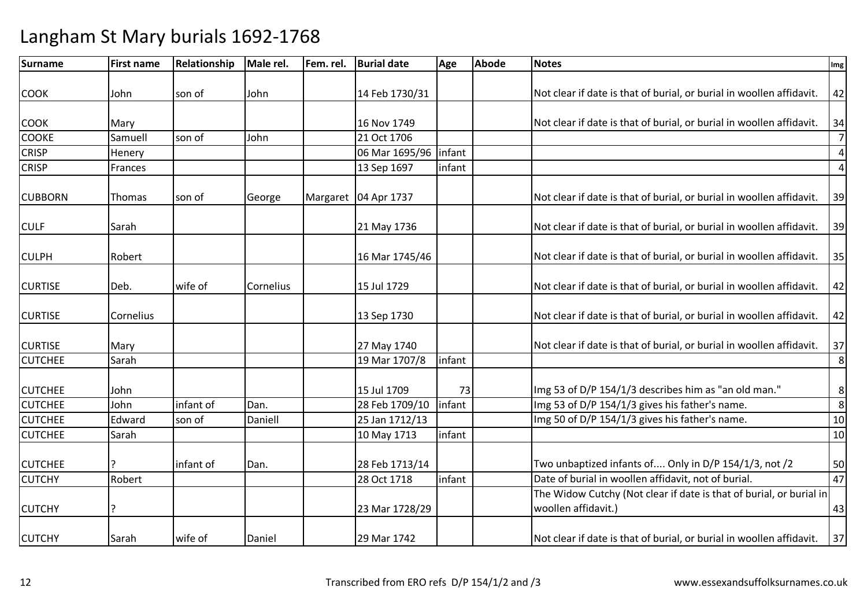| <b>Surname</b> | <b>First name</b> | Relationship | Male rel. | Fem. rel. | <b>Burial date</b>     | Age    | <b>Abode</b> | <b>Notes</b>                                                                               | Img            |
|----------------|-------------------|--------------|-----------|-----------|------------------------|--------|--------------|--------------------------------------------------------------------------------------------|----------------|
| <b>COOK</b>    | John              | son of       | John      |           | 14 Feb 1730/31         |        |              | Not clear if date is that of burial, or burial in woollen affidavit.                       | 42             |
|                |                   |              |           |           |                        |        |              |                                                                                            |                |
| <b>COOK</b>    | Mary              |              |           |           | 16 Nov 1749            |        |              | Not clear if date is that of burial, or burial in woollen affidavit.                       | 34             |
| <b>COOKE</b>   | Samuell           | son of       | John      |           | 21 Oct 1706            |        |              |                                                                                            | $\overline{7}$ |
| <b>CRISP</b>   | Henery            |              |           |           | 06 Mar 1695/96 linfant |        |              |                                                                                            | $\pmb{4}$      |
| <b>CRISP</b>   | Frances           |              |           |           | 13 Sep 1697            | infant |              |                                                                                            | $\overline{4}$ |
| <b>CUBBORN</b> | Thomas            | son of       | George    |           | Margaret   04 Apr 1737 |        |              | Not clear if date is that of burial, or burial in woollen affidavit.                       | 39             |
| <b>CULF</b>    | Sarah             |              |           |           | 21 May 1736            |        |              | Not clear if date is that of burial, or burial in woollen affidavit.                       | 39             |
| <b>CULPH</b>   | Robert            |              |           |           | 16 Mar 1745/46         |        |              | Not clear if date is that of burial, or burial in woollen affidavit.                       | 35             |
| <b>CURTISE</b> | Deb.              | wife of      | Cornelius |           | 15 Jul 1729            |        |              | Not clear if date is that of burial, or burial in woollen affidavit.                       | 42             |
| <b>CURTISE</b> | Cornelius         |              |           |           | 13 Sep 1730            |        |              | Not clear if date is that of burial, or burial in woollen affidavit.                       | 42             |
| <b>CURTISE</b> | Mary              |              |           |           | 27 May 1740            |        |              | Not clear if date is that of burial, or burial in woollen affidavit.                       | 37             |
| <b>CUTCHEE</b> | Sarah             |              |           |           | 19 Mar 1707/8          | infant |              |                                                                                            | 8              |
| <b>CUTCHEE</b> | John              |              |           |           | 15 Jul 1709            | 73     |              | Img 53 of D/P 154/1/3 describes him as "an old man."                                       | 8              |
| <b>CUTCHEE</b> | John              | infant of    | Dan.      |           | 28 Feb 1709/10         | infant |              | Img 53 of D/P 154/1/3 gives his father's name.                                             | 8              |
| <b>CUTCHEE</b> | Edward            | son of       | Daniell   |           | 25 Jan 1712/13         |        |              | Img 50 of D/P 154/1/3 gives his father's name.                                             | 10             |
| <b>CUTCHEE</b> | Sarah             |              |           |           | 10 May 1713            | infant |              |                                                                                            | 10             |
| <b>CUTCHEE</b> |                   | infant of    | Dan.      |           | 28 Feb 1713/14         |        |              | Two unbaptized infants of Only in D/P 154/1/3, not /2                                      | 50             |
| <b>CUTCHY</b>  | Robert            |              |           |           | 28 Oct 1718            | infant |              | Date of burial in woollen affidavit, not of burial.                                        | 47             |
| <b>CUTCHY</b>  | ?                 |              |           |           | 23 Mar 1728/29         |        |              | The Widow Cutchy (Not clear if date is that of burial, or burial in<br>woollen affidavit.) | 43             |
| <b>CUTCHY</b>  | Sarah             | wife of      | Daniel    |           | 29 Mar 1742            |        |              | Not clear if date is that of burial, or burial in woollen affidavit.                       | 37             |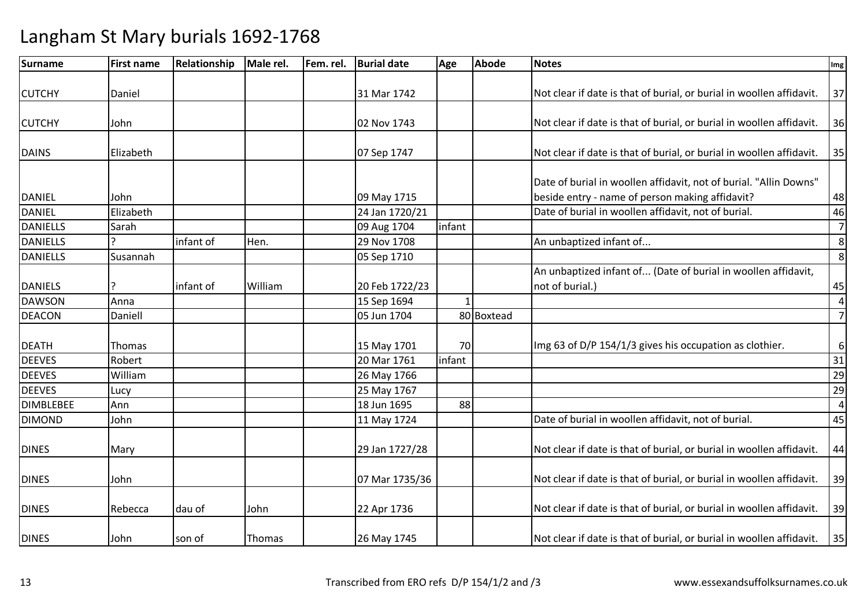| <b>Surname</b>   | <b>First name</b> | Relationship | Male rel. | Fem. rel. | <b>Burial date</b> | Age    | <b>Abode</b> | <b>Notes</b>                                                         | Img              |
|------------------|-------------------|--------------|-----------|-----------|--------------------|--------|--------------|----------------------------------------------------------------------|------------------|
|                  |                   |              |           |           |                    |        |              |                                                                      |                  |
| <b>CUTCHY</b>    | Daniel            |              |           |           | 31 Mar 1742        |        |              | Not clear if date is that of burial, or burial in woollen affidavit. | 37               |
|                  |                   |              |           |           |                    |        |              |                                                                      |                  |
| <b>CUTCHY</b>    | John              |              |           |           | 02 Nov 1743        |        |              | Not clear if date is that of burial, or burial in woollen affidavit. | 36               |
| <b>DAINS</b>     | Elizabeth         |              |           |           | 07 Sep 1747        |        |              | Not clear if date is that of burial, or burial in woollen affidavit. | 35               |
|                  |                   |              |           |           |                    |        |              |                                                                      |                  |
|                  |                   |              |           |           |                    |        |              | Date of burial in woollen affidavit, not of burial. "Allin Downs"    |                  |
| <b>DANIEL</b>    | John              |              |           |           | 09 May 1715        |        |              | beside entry - name of person making affidavit?                      | 48               |
| <b>DANIEL</b>    | Elizabeth         |              |           |           | 24 Jan 1720/21     |        |              | Date of burial in woollen affidavit, not of burial.                  | 46               |
| <b>DANIELLS</b>  | Sarah             |              |           |           | 09 Aug 1704        | infant |              |                                                                      | $\overline{7}$   |
| <b>DANIELLS</b>  |                   | infant of    | Hen.      |           | 29 Nov 1708        |        |              | An unbaptized infant of                                              | $\,8$            |
| <b>DANIELLS</b>  | Susannah          |              |           |           | 05 Sep 1710        |        |              |                                                                      | 8                |
|                  |                   |              |           |           |                    |        |              | An unbaptized infant of (Date of burial in woollen affidavit,        |                  |
| <b>DANIELS</b>   |                   | infant of    | William   |           | 20 Feb 1722/23     |        |              | not of burial.)                                                      | 45               |
| <b>DAWSON</b>    | Anna              |              |           |           | 15 Sep 1694        |        |              |                                                                      | $\overline{4}$   |
| <b>DEACON</b>    | Daniell           |              |           |           | 05 Jun 1704        |        | 80 Boxtead   |                                                                      | $\overline{7}$   |
|                  |                   |              |           |           |                    |        |              |                                                                      |                  |
| <b>DEATH</b>     | Thomas            |              |           |           | 15 May 1701        | 70     |              | Img 63 of D/P 154/1/3 gives his occupation as clothier.              | $\boldsymbol{6}$ |
| <b>DEEVES</b>    | Robert            |              |           |           | 20 Mar 1761        | infant |              |                                                                      | 31               |
| <b>DEEVES</b>    | William           |              |           |           | 26 May 1766        |        |              |                                                                      | 29               |
| <b>DEEVES</b>    | Lucy              |              |           |           | 25 May 1767        |        |              |                                                                      | 29               |
| <b>DIMBLEBEE</b> | Ann               |              |           |           | 18 Jun 1695        | 88     |              |                                                                      | $\overline{4}$   |
| <b>DIMOND</b>    | John              |              |           |           | 11 May 1724        |        |              | Date of burial in woollen affidavit, not of burial.                  | 45               |
|                  |                   |              |           |           |                    |        |              |                                                                      |                  |
| <b>DINES</b>     | Mary              |              |           |           | 29 Jan 1727/28     |        |              | Not clear if date is that of burial, or burial in woollen affidavit. | 44               |
| <b>DINES</b>     | John              |              |           |           | 07 Mar 1735/36     |        |              | Not clear if date is that of burial, or burial in woollen affidavit. | 39               |
|                  |                   |              |           |           |                    |        |              |                                                                      |                  |
| <b>DINES</b>     | Rebecca           | dau of       | John      |           | 22 Apr 1736        |        |              | Not clear if date is that of burial, or burial in woollen affidavit. | 39               |
| <b>DINES</b>     | John              | son of       | Thomas    |           | 26 May 1745        |        |              | Not clear if date is that of burial, or burial in woollen affidavit. | 35               |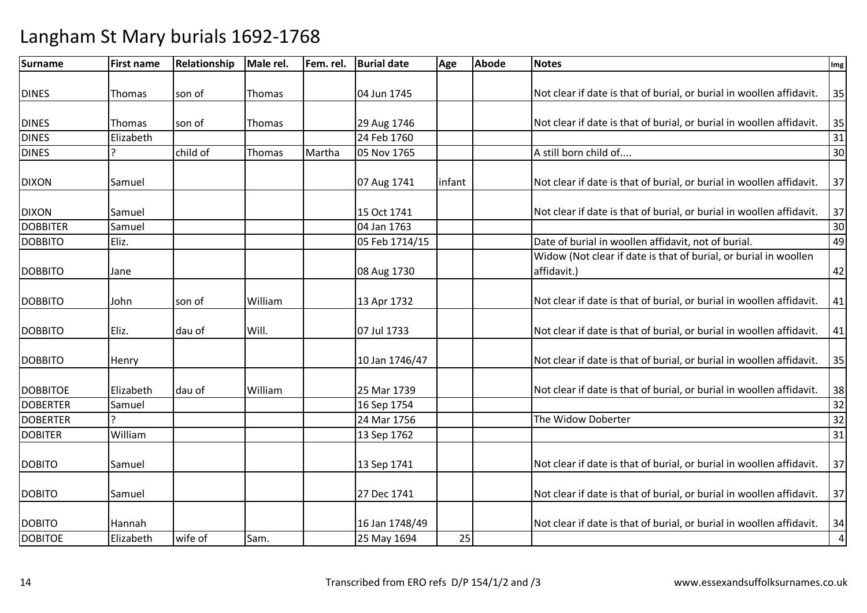| <b>Surname</b>  | <b>First name</b> | Relationship | Male rel. | Fem. rel. | <b>Burial date</b> | Age    | <b>Abode</b> | <b>Notes</b>                                                                    | Img       |
|-----------------|-------------------|--------------|-----------|-----------|--------------------|--------|--------------|---------------------------------------------------------------------------------|-----------|
| <b>DINES</b>    | Thomas            | son of       | Thomas    |           | 04 Jun 1745        |        |              | Not clear if date is that of burial, or burial in woollen affidavit.            | 35        |
|                 |                   |              |           |           |                    |        |              |                                                                                 |           |
| <b>DINES</b>    | Thomas            | son of       | Thomas    |           | 29 Aug 1746        |        |              | Not clear if date is that of burial, or burial in woollen affidavit.            | 35        |
| <b>DINES</b>    | Elizabeth         |              |           |           | 24 Feb 1760        |        |              |                                                                                 | 31        |
| <b>DINES</b>    | ς                 | child of     | Thomas    | Martha    | 05 Nov 1765        |        |              | A still born child of                                                           | 30        |
| <b>DIXON</b>    | Samuel            |              |           |           | 07 Aug 1741        | infant |              | Not clear if date is that of burial, or burial in woollen affidavit.            | 37        |
| <b>DIXON</b>    | Samuel            |              |           |           | 15 Oct 1741        |        |              | Not clear if date is that of burial, or burial in woollen affidavit.            | 37        |
| <b>DOBBITER</b> | Samuel            |              |           |           | 04 Jan 1763        |        |              |                                                                                 | 30        |
| <b>DOBBITO</b>  | Eliz.             |              |           |           | 05 Feb 1714/15     |        |              | Date of burial in woollen affidavit, not of burial.                             | 49        |
| <b>DOBBITO</b>  | Jane              |              |           |           | 08 Aug 1730        |        |              | Widow (Not clear if date is that of burial, or burial in woollen<br>affidavit.) | 42        |
| <b>DOBBITO</b>  | John              | son of       | William   |           | 13 Apr 1732        |        |              | Not clear if date is that of burial, or burial in woollen affidavit.            | 41        |
| <b>DOBBITO</b>  | Eliz.             | dau of       | Will.     |           | 07 Jul 1733        |        |              | Not clear if date is that of burial, or burial in woollen affidavit.            | 41        |
| <b>DOBBITO</b>  | Henry             |              |           |           | 10 Jan 1746/47     |        |              | Not clear if date is that of burial, or burial in woollen affidavit.            | 35        |
| <b>DOBBITOE</b> | Elizabeth         | dau of       | William   |           | 25 Mar 1739        |        |              | Not clear if date is that of burial, or burial in woollen affidavit.            | 38        |
| <b>DOBERTER</b> | Samuel            |              |           |           | 16 Sep 1754        |        |              |                                                                                 | 32        |
| <b>DOBERTER</b> |                   |              |           |           | 24 Mar 1756        |        |              | The Widow Doberter                                                              | 32        |
| <b>DOBITER</b>  | William           |              |           |           | 13 Sep 1762        |        |              |                                                                                 | 31        |
| <b>DOBITO</b>   | Samuel            |              |           |           | 13 Sep 1741        |        |              | Not clear if date is that of burial, or burial in woollen affidavit.            | 37        |
| <b>DOBITO</b>   | Samuel            |              |           |           | 27 Dec 1741        |        |              | Not clear if date is that of burial, or burial in woollen affidavit.            | 37        |
| <b>DOBITO</b>   | Hannah            |              |           |           | 16 Jan 1748/49     |        |              | Not clear if date is that of burial, or burial in woollen affidavit.            | 34        |
| <b>DOBITOE</b>  | Elizabeth         | wife of      | Sam.      |           | 25 May 1694        | 25     |              |                                                                                 | $\pmb{4}$ |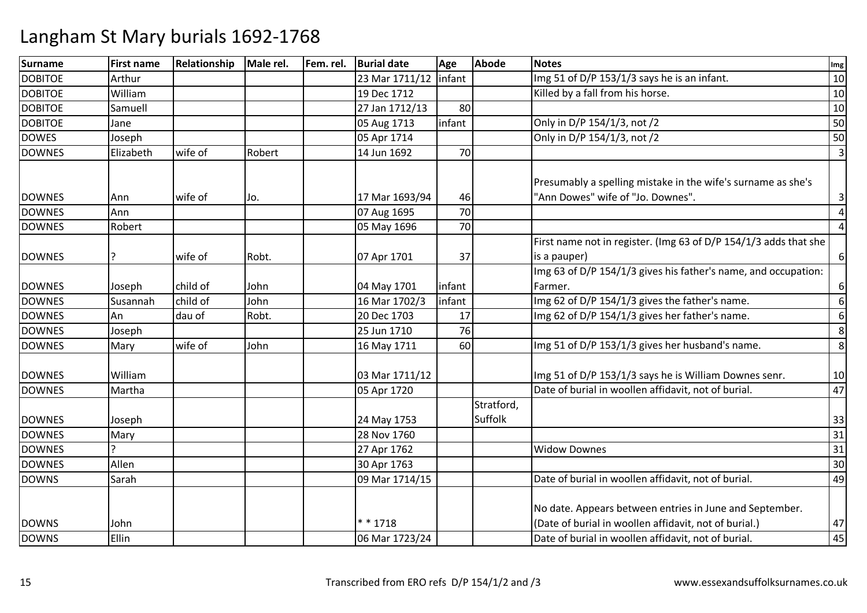| <b>Surname</b> | <b>First name</b> | Relationship | Male rel. | Fem. rel. | <b>Burial date</b> | Age    | <b>Abode</b> | <b>Notes</b>                                                     | Img              |
|----------------|-------------------|--------------|-----------|-----------|--------------------|--------|--------------|------------------------------------------------------------------|------------------|
| <b>DOBITOE</b> | Arthur            |              |           |           | 23 Mar 1711/12     | infant |              | Img 51 of D/P 153/1/3 says he is an infant.                      | 10               |
| <b>DOBITOE</b> | William           |              |           |           | 19 Dec 1712        |        |              | Killed by a fall from his horse.                                 | 10               |
| <b>DOBITOE</b> | Samuell           |              |           |           | 27 Jan 1712/13     | 80     |              |                                                                  | 10               |
| <b>DOBITOE</b> | Jane              |              |           |           | 05 Aug 1713        | infant |              | Only in D/P 154/1/3, not /2                                      | 50               |
| <b>DOWES</b>   | Joseph            |              |           |           | 05 Apr 1714        |        |              | Only in D/P 154/1/3, not /2                                      | 50               |
| <b>DOWNES</b>  | Elizabeth         | wife of      | Robert    |           | 14 Jun 1692        | 70     |              |                                                                  | 3                |
|                |                   |              |           |           |                    |        |              |                                                                  |                  |
|                |                   |              |           |           |                    |        |              | Presumably a spelling mistake in the wife's surname as she's     |                  |
| <b>DOWNES</b>  | Ann               | wife of      | Jo.       |           | 17 Mar 1693/94     | 46     |              | "Ann Dowes" wife of "Jo. Downes".                                | $\mathbf{3}$     |
| <b>DOWNES</b>  | Ann               |              |           |           | 07 Aug 1695        | 70     |              |                                                                  | $\overline{4}$   |
| <b>DOWNES</b>  | Robert            |              |           |           | 05 May 1696        | 70     |              |                                                                  | $\overline{4}$   |
|                |                   |              |           |           |                    |        |              | First name not in register. (Img 63 of D/P 154/1/3 adds that she |                  |
| <b>DOWNES</b>  | ?                 | wife of      | Robt.     |           | 07 Apr 1701        | 37     |              | is a pauper)                                                     | $\boldsymbol{6}$ |
|                |                   |              |           |           |                    |        |              | Img 63 of D/P 154/1/3 gives his father's name, and occupation:   |                  |
| <b>DOWNES</b>  | Joseph            | child of     | John      |           | 04 May 1701        | infant |              | Farmer.                                                          | $\boldsymbol{6}$ |
| <b>DOWNES</b>  | Susannah          | child of     | John      |           | 16 Mar 1702/3      | infant |              | Img 62 of D/P 154/1/3 gives the father's name.                   | 6                |
| <b>DOWNES</b>  | An                | dau of       | Robt.     |           | 20 Dec 1703        | 17     |              | Img 62 of D/P 154/1/3 gives her father's name.                   | 6                |
| <b>DOWNES</b>  | Joseph            |              |           |           | 25 Jun 1710        | 76     |              |                                                                  | 8                |
| <b>DOWNES</b>  | Mary              | wife of      | John      |           | 16 May 1711        | 60     |              | Img 51 of D/P 153/1/3 gives her husband's name.                  | 8                |
|                |                   |              |           |           |                    |        |              |                                                                  |                  |
| <b>DOWNES</b>  | William           |              |           |           | 03 Mar 1711/12     |        |              | Img 51 of D/P 153/1/3 says he is William Downes senr.            | 10               |
| <b>DOWNES</b>  | Martha            |              |           |           | 05 Apr 1720        |        |              | Date of burial in woollen affidavit, not of burial.              | 47               |
|                |                   |              |           |           |                    |        | Stratford,   |                                                                  |                  |
| <b>DOWNES</b>  | Joseph            |              |           |           | 24 May 1753        |        | Suffolk      |                                                                  | 33               |
| <b>DOWNES</b>  | Mary              |              |           |           | 28 Nov 1760        |        |              |                                                                  | 31               |
| <b>DOWNES</b>  |                   |              |           |           | 27 Apr 1762        |        |              | <b>Widow Downes</b>                                              | 31               |
| <b>DOWNES</b>  | Allen             |              |           |           | 30 Apr 1763        |        |              |                                                                  | 30               |
| <b>DOWNS</b>   | Sarah             |              |           |           | 09 Mar 1714/15     |        |              | Date of burial in woollen affidavit, not of burial.              | 49               |
|                |                   |              |           |           |                    |        |              |                                                                  |                  |
|                |                   |              |           |           |                    |        |              | No date. Appears between entries in June and September.          |                  |
| <b>DOWNS</b>   | John              |              |           |           | ** 1718            |        |              | (Date of burial in woollen affidavit, not of burial.)            | 47               |
| <b>DOWNS</b>   | Ellin             |              |           |           | 06 Mar 1723/24     |        |              | Date of burial in woollen affidavit, not of burial.              | 45               |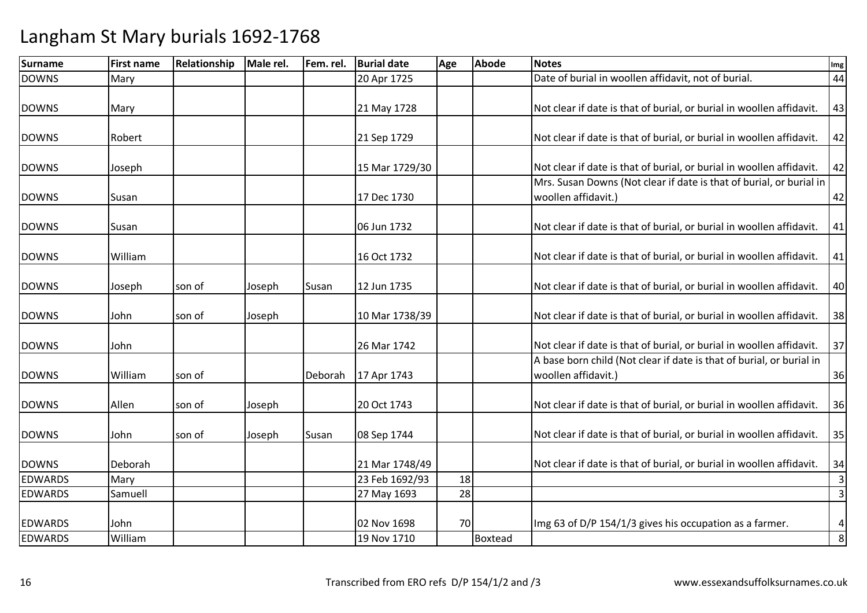| Mary<br>Mary |                   |        |         | 20 Apr 1725    |             | Date of burial in woollen affidavit, not of burial.                  | 44                                                                                                                                          |
|--------------|-------------------|--------|---------|----------------|-------------|----------------------------------------------------------------------|---------------------------------------------------------------------------------------------------------------------------------------------|
|              |                   |        |         |                |             |                                                                      |                                                                                                                                             |
|              |                   |        |         | 21 May 1728    |             | Not clear if date is that of burial, or burial in woollen affidavit. | 43                                                                                                                                          |
|              |                   |        |         | 21 Sep 1729    |             | Not clear if date is that of burial, or burial in woollen affidavit. | 42                                                                                                                                          |
| Joseph       |                   |        |         | 15 Mar 1729/30 |             | Not clear if date is that of burial, or burial in woollen affidavit. | 42                                                                                                                                          |
| Susan        |                   |        |         | 17 Dec 1730    |             | woollen affidavit.)                                                  | 42                                                                                                                                          |
| Susan        |                   |        |         | 06 Jun 1732    |             | Not clear if date is that of burial, or burial in woollen affidavit. | 41                                                                                                                                          |
| William      |                   |        |         | 16 Oct 1732    |             | Not clear if date is that of burial, or burial in woollen affidavit. | 41                                                                                                                                          |
| Joseph       | son of            | Joseph | Susan   | 12 Jun 1735    |             | Not clear if date is that of burial, or burial in woollen affidavit. | 40                                                                                                                                          |
| John         | son of            | Joseph |         | 10 Mar 1738/39 |             | Not clear if date is that of burial, or burial in woollen affidavit. | 38                                                                                                                                          |
| John         |                   |        |         | 26 Mar 1742    |             | Not clear if date is that of burial, or burial in woollen affidavit. | 37                                                                                                                                          |
| William      | son of            |        | Deborah | 17 Apr 1743    |             | woollen affidavit.)                                                  | 36                                                                                                                                          |
| Allen        | son of            | Joseph |         | 20 Oct 1743    |             | Not clear if date is that of burial, or burial in woollen affidavit. | 36                                                                                                                                          |
| John         | son of            | Joseph | Susan   | 08 Sep 1744    |             | Not clear if date is that of burial, or burial in woollen affidavit. | 35                                                                                                                                          |
| Deborah      |                   |        |         | 21 Mar 1748/49 |             | Not clear if date is that of burial, or burial in woollen affidavit. | 34                                                                                                                                          |
| Mary         |                   |        |         | 23 Feb 1692/93 |             |                                                                      | $\overline{3}$                                                                                                                              |
| Samuell      |                   |        |         | 27 May 1693    |             |                                                                      | $\overline{3}$                                                                                                                              |
| John         |                   |        |         | 02 Nov 1698    |             | Img 63 of D/P 154/1/3 gives his occupation as a farmer.              | $\pmb{4}$<br>8                                                                                                                              |
|              | Robert<br>William |        |         |                | 19 Nov 1710 | 18<br>28<br>70<br>Boxtead                                            | Mrs. Susan Downs (Not clear if date is that of burial, or burial in<br>A base born child (Not clear if date is that of burial, or burial in |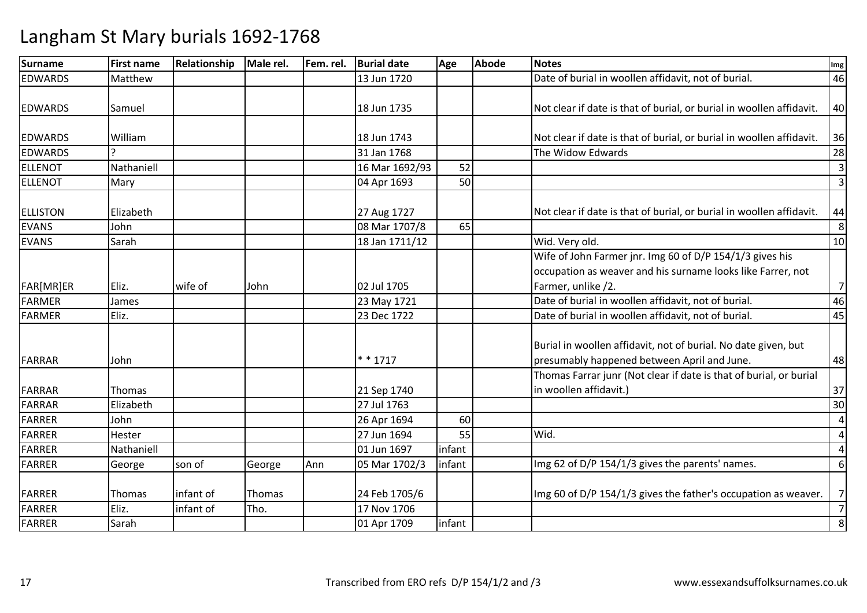| <b>Surname</b>  | <b>First name</b> | Relationship | Male rel. | Fem. rel. | <b>Burial date</b> | Age    | <b>Abode</b> | <b>Notes</b>                                                                                                                                  | Img            |
|-----------------|-------------------|--------------|-----------|-----------|--------------------|--------|--------------|-----------------------------------------------------------------------------------------------------------------------------------------------|----------------|
| <b>EDWARDS</b>  | Matthew           |              |           |           | 13 Jun 1720        |        |              | Date of burial in woollen affidavit, not of burial.                                                                                           | 46             |
| <b>EDWARDS</b>  | Samuel            |              |           |           | 18 Jun 1735        |        |              | Not clear if date is that of burial, or burial in woollen affidavit.                                                                          | 40             |
| <b>EDWARDS</b>  | William           |              |           |           | 18 Jun 1743        |        |              | Not clear if date is that of burial, or burial in woollen affidavit.                                                                          | 36             |
| <b>EDWARDS</b>  |                   |              |           |           | 31 Jan 1768        |        |              | The Widow Edwards                                                                                                                             | 28             |
| <b>ELLENOT</b>  | Nathaniell        |              |           |           | 16 Mar 1692/93     | 52     |              |                                                                                                                                               | $\overline{3}$ |
| ELLENOT         | Mary              |              |           |           | 04 Apr 1693        | 50     |              |                                                                                                                                               | $\overline{3}$ |
| <b>ELLISTON</b> | Elizabeth         |              |           |           | 27 Aug 1727        |        |              | Not clear if date is that of burial, or burial in woollen affidavit.                                                                          | 44             |
| <b>EVANS</b>    | John              |              |           |           | 08 Mar 1707/8      | 65     |              |                                                                                                                                               | 8              |
| <b>EVANS</b>    | Sarah             |              |           |           | 18 Jan 1711/12     |        |              | Wid. Very old.                                                                                                                                | 10             |
| FAR[MR]ER       | Eliz.             | wife of      | John      |           | 02 Jul 1705        |        |              | Wife of John Farmer jnr. Img 60 of D/P 154/1/3 gives his<br>occupation as weaver and his surname looks like Farrer, not<br>Farmer, unlike /2. | $\overline{7}$ |
| FARMER          | James             |              |           |           | 23 May 1721        |        |              | Date of burial in woollen affidavit, not of burial.                                                                                           | 46             |
| FARMER          | Eliz.             |              |           |           | 23 Dec 1722        |        |              | Date of burial in woollen affidavit, not of burial.                                                                                           |                |
|                 |                   |              |           |           |                    |        |              |                                                                                                                                               | 45             |
| FARRAR          | John              |              |           |           | $* * 1717$         |        |              | Burial in woollen affidavit, not of burial. No date given, but<br>presumably happened between April and June.                                 | 48             |
| <b>FARRAR</b>   | Thomas            |              |           |           | 21 Sep 1740        |        |              | Thomas Farrar junr (Not clear if date is that of burial, or burial<br>in woollen affidavit.)                                                  | 37             |
| <b>FARRAR</b>   | Elizabeth         |              |           |           | 27 Jul 1763        |        |              |                                                                                                                                               | 30             |
| <b>FARRER</b>   | John              |              |           |           | 26 Apr 1694        | 60     |              |                                                                                                                                               | 4              |
| <b>FARRER</b>   | Hester            |              |           |           | 27 Jun 1694        | 55     |              | Wid.                                                                                                                                          | $\overline{4}$ |
| <b>FARRER</b>   | Nathaniell        |              |           |           | 01 Jun 1697        | infant |              |                                                                                                                                               | $\overline{4}$ |
| <b>FARRER</b>   | George            | son of       | George    | Ann       | 05 Mar 1702/3      | infant |              | Img 62 of D/P 154/1/3 gives the parents' names.                                                                                               | 6              |
| <b>FARRER</b>   | Thomas            | infant of    | Thomas    |           | 24 Feb 1705/6      |        |              | Img 60 of D/P 154/1/3 gives the father's occupation as weaver.                                                                                | $7\overline{}$ |
| <b>FARRER</b>   | Eliz.             | infant of    | Tho.      |           | 17 Nov 1706        |        |              |                                                                                                                                               | 7              |
| FARRER          | Sarah             |              |           |           | 01 Apr 1709        | infant |              |                                                                                                                                               | $\,8\,$        |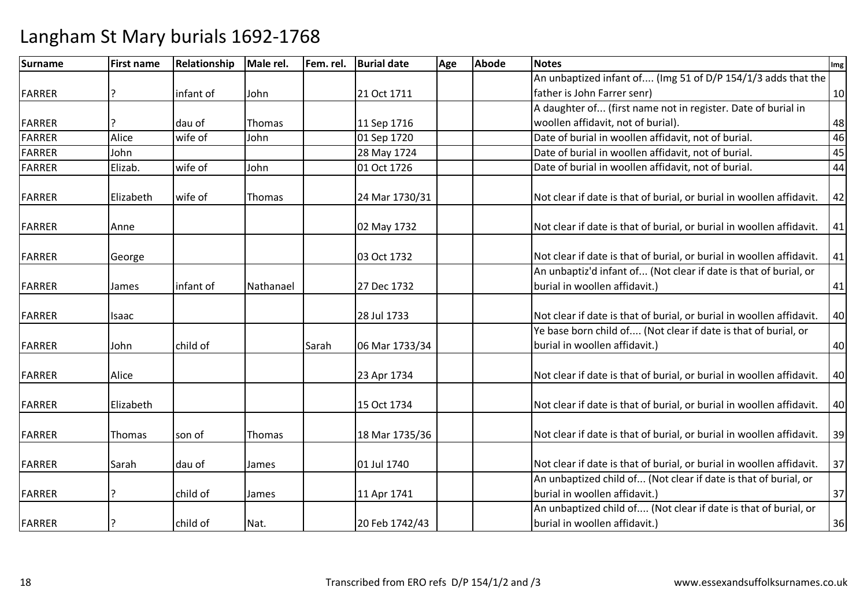| Surname       | <b>First name</b> | Relationship | Male rel.     | Fem. rel. | <b>Burial date</b> | Age | <b>Abode</b> | <b>Notes</b>                                                         | Img |
|---------------|-------------------|--------------|---------------|-----------|--------------------|-----|--------------|----------------------------------------------------------------------|-----|
|               |                   |              |               |           |                    |     |              | An unbaptized infant of (Img 51 of D/P 154/1/3 adds that the         |     |
| <b>FARRER</b> |                   | infant of    | John          |           | 21 Oct 1711        |     |              | father is John Farrer senr)                                          | 10  |
|               |                   |              |               |           |                    |     |              | A daughter of (first name not in register. Date of burial in         |     |
| FARRER        |                   | dau of       | Thomas        |           | 11 Sep 1716        |     |              | woollen affidavit, not of burial).                                   | 48  |
| <b>FARRER</b> | Alice             | wife of      | John          |           | 01 Sep 1720        |     |              | Date of burial in woollen affidavit, not of burial.                  | 46  |
| <b>FARRER</b> | John              |              |               |           | 28 May 1724        |     |              | Date of burial in woollen affidavit, not of burial.                  | 45  |
| FARRER        | Elizab.           | wife of      | John          |           | 01 Oct 1726        |     |              | Date of burial in woollen affidavit, not of burial.                  | 44  |
| <b>FARRER</b> | Elizabeth         | wife of      | Thomas        |           | 24 Mar 1730/31     |     |              | Not clear if date is that of burial, or burial in woollen affidavit. | 42  |
| FARRER        | Anne              |              |               |           | 02 May 1732        |     |              | Not clear if date is that of burial, or burial in woollen affidavit. | 41  |
| FARRER        | George            |              |               |           | 03 Oct 1732        |     |              | Not clear if date is that of burial, or burial in woollen affidavit. | 41  |
|               |                   |              |               |           |                    |     |              | An unbaptiz'd infant of (Not clear if date is that of burial, or     |     |
| <b>FARRER</b> | James             | infant of    | Nathanael     |           | 27 Dec 1732        |     |              | burial in woollen affidavit.)                                        | 41  |
| FARRER        | Isaac             |              |               |           | 28 Jul 1733        |     |              | Not clear if date is that of burial, or burial in woollen affidavit. | 40  |
|               |                   |              |               |           |                    |     |              | Ye base born child of (Not clear if date is that of burial, or       |     |
| FARRER        | John              | child of     |               | Sarah     | 06 Mar 1733/34     |     |              | burial in woollen affidavit.)                                        | 40  |
| FARRER        | Alice             |              |               |           | 23 Apr 1734        |     |              | Not clear if date is that of burial, or burial in woollen affidavit. | 40  |
| FARRER        | Elizabeth         |              |               |           | 15 Oct 1734        |     |              | Not clear if date is that of burial, or burial in woollen affidavit. | 40  |
| FARRER        | Thomas            | son of       | <b>Thomas</b> |           | 18 Mar 1735/36     |     |              | Not clear if date is that of burial, or burial in woollen affidavit. | 39  |
| <b>FARRER</b> | Sarah             | dau of       | James         |           | 01 Jul 1740        |     |              | Not clear if date is that of burial, or burial in woollen affidavit. | 37  |
|               |                   |              |               |           |                    |     |              | An unbaptized child of (Not clear if date is that of burial, or      |     |
| FARRER        |                   | child of     | James         |           | 11 Apr 1741        |     |              | burial in woollen affidavit.)                                        | 37  |
|               |                   |              |               |           |                    |     |              | An unbaptized child of (Not clear if date is that of burial, or      |     |
| <b>FARRER</b> | ?                 | child of     | Nat.          |           | 20 Feb 1742/43     |     |              | burial in woollen affidavit.)                                        | 36  |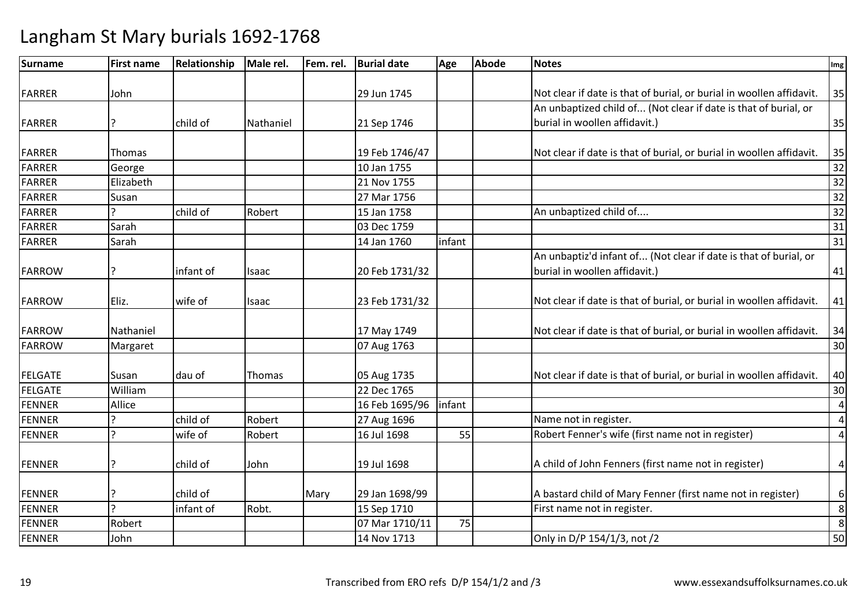| Surname        | <b>First name</b> | Relationship | Male rel.    | Fem. rel. | <b>Burial date</b> | Age    | <b>Abode</b> | <b>Notes</b>                                                         | Img             |
|----------------|-------------------|--------------|--------------|-----------|--------------------|--------|--------------|----------------------------------------------------------------------|-----------------|
|                |                   |              |              |           |                    |        |              |                                                                      |                 |
| <b>FARRER</b>  | John              |              |              |           | 29 Jun 1745        |        |              | Not clear if date is that of burial, or burial in woollen affidavit. | 35              |
|                |                   |              |              |           |                    |        |              | An unbaptized child of (Not clear if date is that of burial, or      |                 |
| FARRER         |                   | child of     | Nathaniel    |           | 21 Sep 1746        |        |              | burial in woollen affidavit.)                                        | 35              |
|                |                   |              |              |           |                    |        |              |                                                                      |                 |
| <b>FARRER</b>  | Thomas            |              |              |           | 19 Feb 1746/47     |        |              | Not clear if date is that of burial, or burial in woollen affidavit. | 35              |
| <b>FARRER</b>  | George            |              |              |           | 10 Jan 1755        |        |              |                                                                      | 32              |
| <b>FARRER</b>  | Elizabeth         |              |              |           | 21 Nov 1755        |        |              |                                                                      | 32              |
| <b>FARRER</b>  | Susan             |              |              |           | 27 Mar 1756        |        |              |                                                                      | $\overline{32}$ |
| <b>FARRER</b>  |                   | child of     | Robert       |           | 15 Jan 1758        |        |              | An unbaptized child of                                               | 32              |
| <b>FARRER</b>  | Sarah             |              |              |           | 03 Dec 1759        |        |              |                                                                      | 31              |
| <b>FARRER</b>  | Sarah             |              |              |           | 14 Jan 1760        | infant |              |                                                                      | 31              |
|                |                   |              |              |           |                    |        |              | An unbaptiz'd infant of (Not clear if date is that of burial, or     |                 |
| <b>FARROW</b>  | Ç                 | infant of    | <b>Isaac</b> |           | 20 Feb 1731/32     |        |              | burial in woollen affidavit.)                                        | 41              |
| <b>FARROW</b>  | Eliz.             | wife of      | Isaac        |           | 23 Feb 1731/32     |        |              | Not clear if date is that of burial, or burial in woollen affidavit. | 41              |
|                |                   |              |              |           |                    |        |              |                                                                      |                 |
| <b>FARROW</b>  | Nathaniel         |              |              |           | 17 May 1749        |        |              | Not clear if date is that of burial, or burial in woollen affidavit. | 34              |
| <b>FARROW</b>  | Margaret          |              |              |           | 07 Aug 1763        |        |              |                                                                      | 30              |
| <b>FELGATE</b> | Susan             | dau of       | Thomas       |           | 05 Aug 1735        |        |              | Not clear if date is that of burial, or burial in woollen affidavit. | 40              |
| <b>FELGATE</b> | William           |              |              |           | 22 Dec 1765        |        |              |                                                                      | 30              |
| <b>FENNER</b>  | Allice            |              |              |           | 16 Feb 1695/96     | infant |              |                                                                      | $\overline{a}$  |
| <b>FENNER</b>  |                   | child of     | Robert       |           | 27 Aug 1696        |        |              | Name not in register.                                                | $\overline{4}$  |
| <b>FENNER</b>  | ς                 | wife of      | Robert       |           | 16 Jul 1698        | 55     |              | Robert Fenner's wife (first name not in register)                    | $\sqrt{4}$      |
|                |                   |              |              |           |                    |        |              |                                                                      |                 |
| <b>FENNER</b>  |                   | child of     | John         |           | 19 Jul 1698        |        |              | A child of John Fenners (first name not in register)                 | $\overline{4}$  |
|                |                   |              |              |           |                    |        |              |                                                                      |                 |
| <b>FENNER</b>  |                   | child of     |              | Mary      | 29 Jan 1698/99     |        |              | A bastard child of Mary Fenner (first name not in register)          | $6 \mid$        |
| <b>FENNER</b>  | C                 | infant of    | Robt.        |           | 15 Sep 1710        |        |              | First name not in register.                                          | $\bf 8$         |
| <b>FENNER</b>  | Robert            |              |              |           | 07 Mar 1710/11     | 75     |              |                                                                      | 8               |
| <b>FENNER</b>  | John              |              |              |           | 14 Nov 1713        |        |              | Only in D/P 154/1/3, not /2                                          | 50              |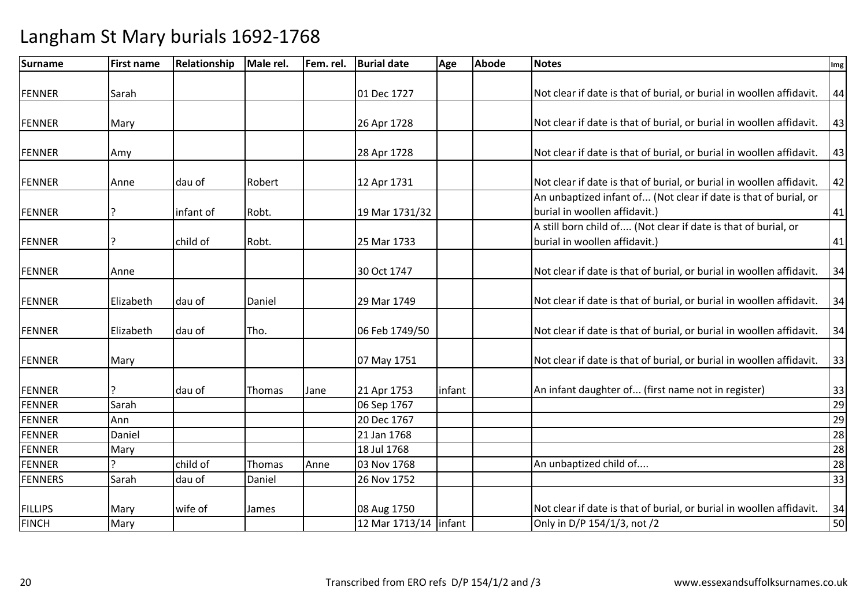| <b>Surname</b> | <b>First name</b> | Relationship | Male rel. | Fem. rel. | <b>Burial date</b>      | Age    | <b>Abode</b> | <b>Notes</b>                                                         | Img |
|----------------|-------------------|--------------|-----------|-----------|-------------------------|--------|--------------|----------------------------------------------------------------------|-----|
|                |                   |              |           |           |                         |        |              |                                                                      |     |
| <b>FENNER</b>  | Sarah             |              |           |           | 01 Dec 1727             |        |              | Not clear if date is that of burial, or burial in woollen affidavit. | 44  |
|                |                   |              |           |           |                         |        |              |                                                                      |     |
| <b>FENNER</b>  | Mary              |              |           |           | 26 Apr 1728             |        |              | Not clear if date is that of burial, or burial in woollen affidavit. | 43  |
| <b>FENNER</b>  | Amy               |              |           |           | 28 Apr 1728             |        |              | Not clear if date is that of burial, or burial in woollen affidavit. | 43  |
| <b>FENNER</b>  | Anne              | dau of       | Robert    |           | 12 Apr 1731             |        |              | Not clear if date is that of burial, or burial in woollen affidavit. | 42  |
|                |                   |              |           |           |                         |        |              | An unbaptized infant of (Not clear if date is that of burial, or     |     |
| <b>FENNER</b>  | ?                 | infant of    | Robt.     |           | 19 Mar 1731/32          |        |              | burial in woollen affidavit.)                                        | 41  |
|                |                   |              |           |           |                         |        |              | A still born child of (Not clear if date is that of burial, or       |     |
| <b>FENNER</b>  |                   | child of     | Robt.     |           | 25 Mar 1733             |        |              | burial in woollen affidavit.)                                        | 41  |
| FENNER         | Anne              |              |           |           | 30 Oct 1747             |        |              | Not clear if date is that of burial, or burial in woollen affidavit. | 34  |
|                |                   |              |           |           |                         |        |              |                                                                      |     |
| <b>FENNER</b>  | Elizabeth         | dau of       | Daniel    |           | 29 Mar 1749             |        |              | Not clear if date is that of burial, or burial in woollen affidavit. | 34  |
| <b>FENNER</b>  | Elizabeth         | dau of       | Tho.      |           | 06 Feb 1749/50          |        |              | Not clear if date is that of burial, or burial in woollen affidavit. | 34  |
| FENNER         | Mary              |              |           |           | 07 May 1751             |        |              | Not clear if date is that of burial, or burial in woollen affidavit. | 33  |
|                |                   |              |           |           |                         |        |              |                                                                      |     |
| <b>FENNER</b>  |                   | dau of       | Thomas    | Jane      | 21 Apr 1753             | infant |              | An infant daughter of (first name not in register)                   | 33  |
| <b>FENNER</b>  | Sarah             |              |           |           | 06 Sep 1767             |        |              |                                                                      | 29  |
| <b>FENNER</b>  | Ann               |              |           |           | 20 Dec 1767             |        |              |                                                                      | 29  |
| <b>FENNER</b>  | Daniel            |              |           |           | 21 Jan 1768             |        |              |                                                                      | 28  |
| <b>FENNER</b>  | Mary              |              |           |           | 18 Jul 1768             |        |              |                                                                      | 28  |
| <b>FENNER</b>  | $\mathbf{C}$      | child of     | Thomas    | Anne      | 03 Nov 1768             |        |              | An unbaptized child of                                               | 28  |
| <b>FENNERS</b> | Sarah             | dau of       | Daniel    |           | 26 Nov 1752             |        |              |                                                                      | 33  |
| <b>FILLIPS</b> | Mary              | wife of      | James     |           | 08 Aug 1750             |        |              | Not clear if date is that of burial, or burial in woollen affidavit. | 34  |
| <b>FINCH</b>   | Mary              |              |           |           | 12 Mar 1713/14   infant |        |              | Only in D/P 154/1/3, not /2                                          | 50  |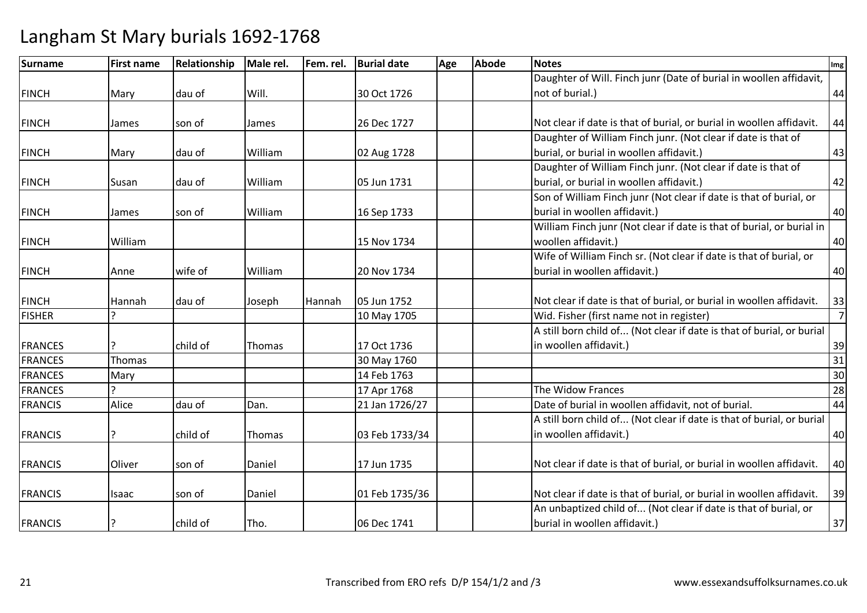| <b>Surname</b> | <b>First name</b> | Relationship | Male rel.     | Fem. rel. | <b>Burial date</b> | Age | <b>Abode</b> | <b>Notes</b>                                                          | Img            |
|----------------|-------------------|--------------|---------------|-----------|--------------------|-----|--------------|-----------------------------------------------------------------------|----------------|
|                |                   |              |               |           |                    |     |              | Daughter of Will. Finch junr (Date of burial in woollen affidavit,    |                |
| <b>FINCH</b>   | Mary              | dau of       | Will.         |           | 30 Oct 1726        |     |              | not of burial.)                                                       | 44             |
|                |                   |              |               |           |                    |     |              |                                                                       |                |
| <b>FINCH</b>   | James             | son of       | James         |           | 26 Dec 1727        |     |              | Not clear if date is that of burial, or burial in woollen affidavit.  | 44             |
|                |                   |              |               |           |                    |     |              | Daughter of William Finch junr. (Not clear if date is that of         |                |
| <b>FINCH</b>   | Mary              | dau of       | William       |           | 02 Aug 1728        |     |              | burial, or burial in woollen affidavit.)                              | 43             |
|                |                   |              |               |           |                    |     |              | Daughter of William Finch junr. (Not clear if date is that of         |                |
| <b>FINCH</b>   | Susan             | dau of       | William       |           | 05 Jun 1731        |     |              | burial, or burial in woollen affidavit.)                              | 42             |
|                |                   |              |               |           |                    |     |              | Son of William Finch junr (Not clear if date is that of burial, or    |                |
| <b>FINCH</b>   | James             | son of       | William       |           | 16 Sep 1733        |     |              | burial in woollen affidavit.)                                         | 40             |
|                |                   |              |               |           |                    |     |              | William Finch junr (Not clear if date is that of burial, or burial in |                |
| <b>FINCH</b>   | William           |              |               |           | 15 Nov 1734        |     |              | woollen affidavit.)                                                   | 40             |
|                |                   |              |               |           |                    |     |              | Wife of William Finch sr. (Not clear if date is that of burial, or    |                |
| <b>FINCH</b>   | Anne              | wife of      | William       |           | 20 Nov 1734        |     |              | burial in woollen affidavit.)                                         | 40             |
|                |                   |              |               |           |                    |     |              |                                                                       |                |
| <b>FINCH</b>   | Hannah            | dau of       | Joseph        | Hannah    | 05 Jun 1752        |     |              | Not clear if date is that of burial, or burial in woollen affidavit.  | 33             |
| <b>FISHER</b>  |                   |              |               |           | 10 May 1705        |     |              | Wid. Fisher (first name not in register)                              | $\overline{7}$ |
|                |                   |              |               |           |                    |     |              | A still born child of (Not clear if date is that of burial, or burial |                |
| <b>FRANCES</b> |                   | child of     | Thomas        |           | 17 Oct 1736        |     |              | in woollen affidavit.)                                                | 39             |
| <b>FRANCES</b> | Thomas            |              |               |           | 30 May 1760        |     |              |                                                                       | 31             |
| <b>FRANCES</b> | Mary              |              |               |           | 14 Feb 1763        |     |              |                                                                       | 30             |
| <b>FRANCES</b> |                   |              |               |           | 17 Apr 1768        |     |              | The Widow Frances                                                     | 28             |
| <b>FRANCIS</b> | Alice             | dau of       | Dan.          |           | 21 Jan 1726/27     |     |              | Date of burial in woollen affidavit, not of burial.                   | 44             |
|                |                   |              |               |           |                    |     |              | A still born child of (Not clear if date is that of burial, or burial |                |
| <b>FRANCIS</b> |                   | child of     | <b>Thomas</b> |           | 03 Feb 1733/34     |     |              | in woollen affidavit.)                                                | 40             |
| <b>FRANCIS</b> | Oliver            | son of       | Daniel        |           | 17 Jun 1735        |     |              | Not clear if date is that of burial, or burial in woollen affidavit.  | 40             |
| <b>FRANCIS</b> | Isaac             | son of       | Daniel        |           | 01 Feb 1735/36     |     |              | Not clear if date is that of burial, or burial in woollen affidavit.  | 39             |
|                |                   |              |               |           |                    |     |              | An unbaptized child of (Not clear if date is that of burial, or       |                |
| <b>FRANCIS</b> |                   | child of     | Tho.          |           | 06 Dec 1741        |     |              | burial in woollen affidavit.)                                         | 37             |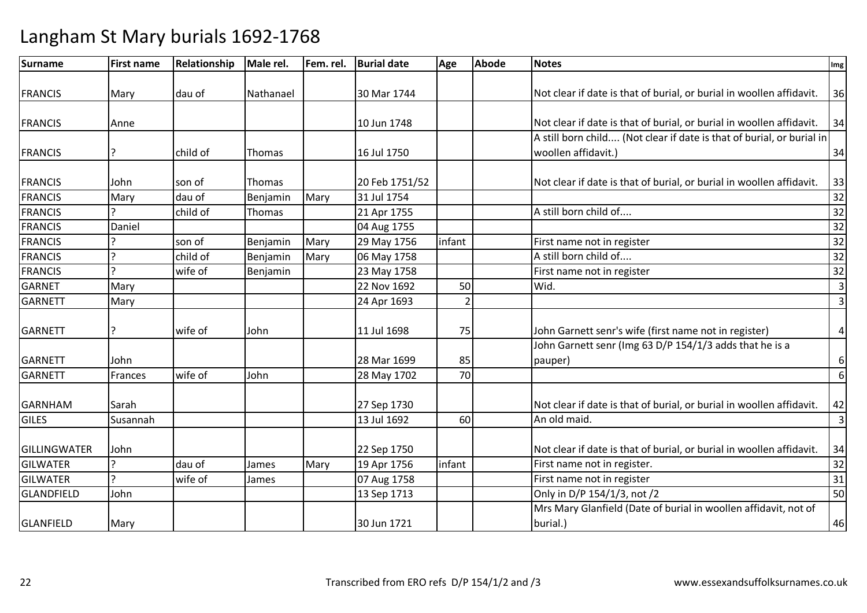| Surname         | <b>First name</b> | Relationship | Male rel.     | Fem. rel. | <b>Burial date</b> | Age            | <b>Abode</b> | <b>Notes</b>                                                          | Img                     |
|-----------------|-------------------|--------------|---------------|-----------|--------------------|----------------|--------------|-----------------------------------------------------------------------|-------------------------|
|                 |                   |              |               |           |                    |                |              |                                                                       |                         |
| <b>FRANCIS</b>  | Mary              | dau of       | Nathanael     |           | 30 Mar 1744        |                |              | Not clear if date is that of burial, or burial in woollen affidavit.  | 36                      |
|                 |                   |              |               |           |                    |                |              |                                                                       |                         |
| <b>FRANCIS</b>  | Anne              |              |               |           | 10 Jun 1748        |                |              | Not clear if date is that of burial, or burial in woollen affidavit.  | 34                      |
|                 |                   |              |               |           |                    |                |              | A still born child (Not clear if date is that of burial, or burial in |                         |
| <b>FRANCIS</b>  |                   | child of     | Thomas        |           | 16 Jul 1750        |                |              | woollen affidavit.)                                                   | 34                      |
| <b>FRANCIS</b>  | John              | son of       | <b>Thomas</b> |           | 20 Feb 1751/52     |                |              | Not clear if date is that of burial, or burial in woollen affidavit.  | 33                      |
| <b>FRANCIS</b>  | Mary              | dau of       | Benjamin      | Mary      | 31 Jul 1754        |                |              |                                                                       | 32                      |
| <b>FRANCIS</b>  |                   | child of     | Thomas        |           | 21 Apr 1755        |                |              | A still born child of                                                 | 32                      |
| <b>FRANCIS</b>  | Daniel            |              |               |           | 04 Aug 1755        |                |              |                                                                       | 32                      |
| <b>FRANCIS</b>  |                   | son of       | Benjamin      | Mary      | 29 May 1756        | infant         |              | First name not in register                                            | 32                      |
| <b>FRANCIS</b>  |                   | child of     | Benjamin      | Mary      | 06 May 1758        |                |              | A still born child of                                                 | 32                      |
| <b>FRANCIS</b>  |                   | wife of      | Benjamin      |           | 23 May 1758        |                |              | First name not in register                                            | 32                      |
| <b>GARNET</b>   | Mary              |              |               |           | 22 Nov 1692        | 50             |              | Wid.                                                                  | $\overline{3}$          |
| <b>GARNETT</b>  | Mary              |              |               |           | 24 Apr 1693        | $\overline{2}$ |              |                                                                       | $\overline{3}$          |
|                 |                   |              |               |           |                    |                |              |                                                                       |                         |
| <b>GARNETT</b>  |                   | wife of      | John          |           | 11 Jul 1698        | 75             |              | John Garnett senr's wife (first name not in register)                 | $\sqrt{4}$              |
|                 |                   |              |               |           |                    |                |              | John Garnett senr (Img 63 D/P 154/1/3 adds that he is a               |                         |
| <b>GARNETT</b>  | John              |              |               |           | 28 Mar 1699        | 85             |              | pauper)                                                               | 6                       |
| <b>GARNETT</b>  | Frances           | wife of      | John          |           | 28 May 1702        | 70             |              |                                                                       | 6                       |
| <b>GARNHAM</b>  | Sarah             |              |               |           | 27 Sep 1730        |                |              | Not clear if date is that of burial, or burial in woollen affidavit.  | 42                      |
| <b>GILES</b>    | Susannah          |              |               |           | 13 Jul 1692        | 60             |              | An old maid.                                                          | $\overline{\mathbf{3}}$ |
|                 |                   |              |               |           |                    |                |              |                                                                       |                         |
| GILLINGWATER    | John              |              |               |           | 22 Sep 1750        |                |              | Not clear if date is that of burial, or burial in woollen affidavit.  | 34                      |
| <b>GILWATER</b> |                   | dau of       | James         | Mary      | 19 Apr 1756        | infant         |              | First name not in register.                                           | 32                      |
| <b>GILWATER</b> |                   | wife of      | James         |           | 07 Aug 1758        |                |              | First name not in register                                            | 31                      |
| GLANDFIELD      | John              |              |               |           | 13 Sep 1713        |                |              | Only in D/P 154/1/3, not /2                                           | 50                      |
|                 |                   |              |               |           |                    |                |              | Mrs Mary Glanfield (Date of burial in woollen affidavit, not of       |                         |
| GLANFIELD       | Mary              |              |               |           | 30 Jun 1721        |                |              | burial.)                                                              | 46                      |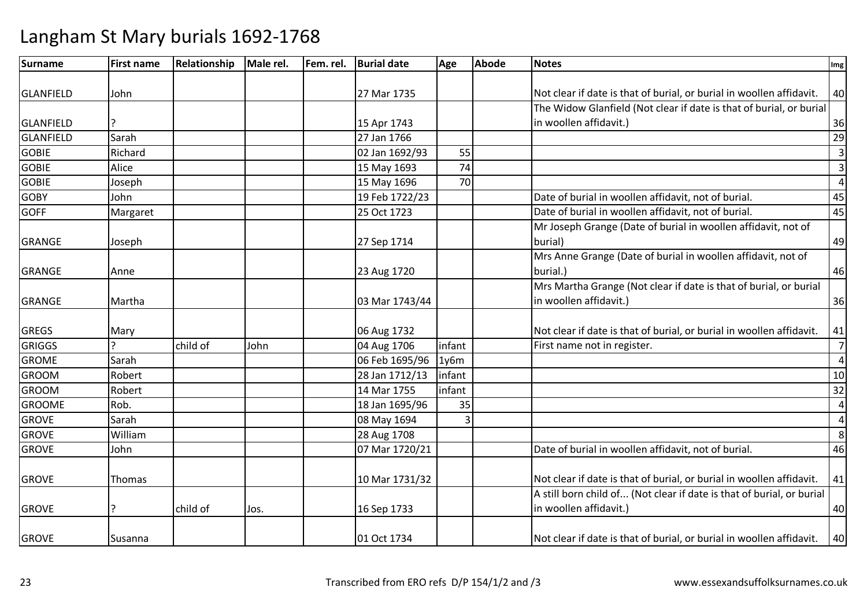| <b>Surname</b>   | <b>First name</b> | Relationship | Male rel. | Fem. rel. | <b>Burial date</b> | Age    | <b>Abode</b> | <b>Notes</b>                                                          | Img            |
|------------------|-------------------|--------------|-----------|-----------|--------------------|--------|--------------|-----------------------------------------------------------------------|----------------|
|                  |                   |              |           |           |                    |        |              |                                                                       |                |
| GLANFIELD        | John              |              |           |           | 27 Mar 1735        |        |              | Not clear if date is that of burial, or burial in woollen affidavit.  | 40             |
|                  |                   |              |           |           |                    |        |              | The Widow Glanfield (Not clear if date is that of burial, or burial   |                |
| GLANFIELD        |                   |              |           |           | 15 Apr 1743        |        |              | in woollen affidavit.)                                                | 36             |
| <b>GLANFIELD</b> | Sarah             |              |           |           | 27 Jan 1766        |        |              |                                                                       | 29             |
| <b>GOBIE</b>     | Richard           |              |           |           | 02 Jan 1692/93     | 55     |              |                                                                       | $\overline{3}$ |
| <b>GOBIE</b>     | Alice             |              |           |           | 15 May 1693        | 74     |              |                                                                       | $\overline{3}$ |
| <b>GOBIE</b>     | Joseph            |              |           |           | 15 May 1696        | 70     |              |                                                                       | $\overline{4}$ |
| <b>GOBY</b>      | John              |              |           |           | 19 Feb 1722/23     |        |              | Date of burial in woollen affidavit, not of burial.                   | 45             |
| <b>GOFF</b>      | Margaret          |              |           |           | 25 Oct 1723        |        |              | Date of burial in woollen affidavit, not of burial.                   | 45             |
|                  |                   |              |           |           |                    |        |              | Mr Joseph Grange (Date of burial in woollen affidavit, not of         |                |
| GRANGE           | Joseph            |              |           |           | 27 Sep 1714        |        |              | burial)                                                               | 49             |
|                  |                   |              |           |           |                    |        |              | Mrs Anne Grange (Date of burial in woollen affidavit, not of          |                |
| GRANGE           | Anne              |              |           |           | 23 Aug 1720        |        |              | burial.)                                                              | 46             |
|                  |                   |              |           |           |                    |        |              | Mrs Martha Grange (Not clear if date is that of burial, or burial     |                |
| <b>GRANGE</b>    | Martha            |              |           |           | 03 Mar 1743/44     |        |              | in woollen affidavit.)                                                | 36             |
|                  |                   |              |           |           |                    |        |              |                                                                       |                |
| <b>GREGS</b>     | Mary              |              |           |           | 06 Aug 1732        |        |              | Not clear if date is that of burial, or burial in woollen affidavit.  | 41             |
| <b>GRIGGS</b>    |                   | child of     | John      |           | 04 Aug 1706        | infant |              | First name not in register.                                           | $\overline{7}$ |
| <b>GROME</b>     | Sarah             |              |           |           | 06 Feb 1695/96     | 1y6m   |              |                                                                       | $\overline{4}$ |
| <b>GROOM</b>     | Robert            |              |           |           | 28 Jan 1712/13     | infant |              |                                                                       | 10             |
| <b>GROOM</b>     | Robert            |              |           |           | 14 Mar 1755        | infant |              |                                                                       | 32             |
| <b>GROOME</b>    | Rob.              |              |           |           | 18 Jan 1695/96     | 35     |              |                                                                       | $\overline{4}$ |
| <b>GROVE</b>     | Sarah             |              |           |           | 08 May 1694        | 3      |              |                                                                       | $\overline{a}$ |
| <b>GROVE</b>     | William           |              |           |           | 28 Aug 1708        |        |              |                                                                       | 8              |
| <b>GROVE</b>     | John              |              |           |           | 07 Mar 1720/21     |        |              | Date of burial in woollen affidavit, not of burial.                   | 46             |
| <b>GROVE</b>     | Thomas            |              |           |           | 10 Mar 1731/32     |        |              | Not clear if date is that of burial, or burial in woollen affidavit.  | 41             |
|                  |                   |              |           |           |                    |        |              | A still born child of (Not clear if date is that of burial, or burial |                |
| <b>GROVE</b>     |                   | child of     | Jos.      |           | 16 Sep 1733        |        |              | in woollen affidavit.)                                                | 40             |
| <b>GROVE</b>     | Susanna           |              |           |           | 01 Oct 1734        |        |              | Not clear if date is that of burial, or burial in woollen affidavit.  | 40             |
|                  |                   |              |           |           |                    |        |              |                                                                       |                |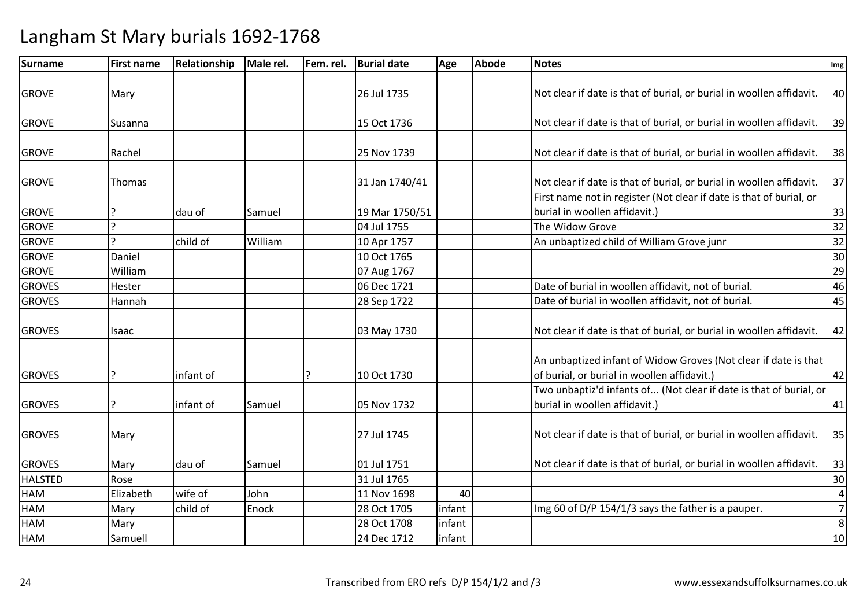| Surname        | <b>First name</b> | Relationship | Male rel. | Fem. rel. | <b>Burial date</b> | Age    | <b>Abode</b> | <b>Notes</b>                                                         | Img            |
|----------------|-------------------|--------------|-----------|-----------|--------------------|--------|--------------|----------------------------------------------------------------------|----------------|
|                |                   |              |           |           |                    |        |              |                                                                      |                |
| <b>GROVE</b>   | Mary              |              |           |           | 26 Jul 1735        |        |              | Not clear if date is that of burial, or burial in woollen affidavit. | 40             |
| <b>GROVE</b>   | Susanna           |              |           |           | 15 Oct 1736        |        |              | Not clear if date is that of burial, or burial in woollen affidavit. | 39             |
|                |                   |              |           |           |                    |        |              |                                                                      |                |
| <b>GROVE</b>   | Rachel            |              |           |           | 25 Nov 1739        |        |              | Not clear if date is that of burial, or burial in woollen affidavit. | 38             |
| <b>GROVE</b>   | Thomas            |              |           |           | 31 Jan 1740/41     |        |              | Not clear if date is that of burial, or burial in woollen affidavit. | 37             |
|                |                   |              |           |           |                    |        |              | First name not in register (Not clear if date is that of burial, or  |                |
| <b>GROVE</b>   |                   | dau of       | Samuel    |           | 19 Mar 1750/51     |        |              | burial in woollen affidavit.)                                        | 33             |
| <b>GROVE</b>   | $\overline{?}$    |              |           |           | 04 Jul 1755        |        |              | The Widow Grove                                                      | 32             |
| <b>GROVE</b>   |                   | child of     | William   |           | 10 Apr 1757        |        |              | An unbaptized child of William Grove junr                            | 32             |
| <b>GROVE</b>   | Daniel            |              |           |           | 10 Oct 1765        |        |              |                                                                      | 30             |
| <b>GROVE</b>   | William           |              |           |           | 07 Aug 1767        |        |              |                                                                      | 29             |
| <b>GROVES</b>  | Hester            |              |           |           | 06 Dec 1721        |        |              | Date of burial in woollen affidavit, not of burial.                  | 46             |
| <b>GROVES</b>  | Hannah            |              |           |           | 28 Sep 1722        |        |              | Date of burial in woollen affidavit, not of burial.                  | 45             |
|                |                   |              |           |           |                    |        |              |                                                                      |                |
| <b>GROVES</b>  | Isaac             |              |           |           | 03 May 1730        |        |              | Not clear if date is that of burial, or burial in woollen affidavit. | 42             |
|                |                   |              |           |           |                    |        |              |                                                                      |                |
|                |                   |              |           |           |                    |        |              | An unbaptized infant of Widow Groves (Not clear if date is that      |                |
| <b>GROVES</b>  | ?                 | infant of    |           |           | 10 Oct 1730        |        |              | of burial, or burial in woollen affidavit.)                          | 42             |
|                |                   |              |           |           |                    |        |              | Two unbaptiz'd infants of (Not clear if date is that of burial, or   |                |
| <b>GROVES</b>  | P.                | infant of    | Samuel    |           | 05 Nov 1732        |        |              | burial in woollen affidavit.)                                        | 41             |
| <b>GROVES</b>  | Mary              |              |           |           | 27 Jul 1745        |        |              | Not clear if date is that of burial, or burial in woollen affidavit. | 35             |
|                |                   |              |           |           |                    |        |              |                                                                      |                |
| <b>GROVES</b>  | Mary              | dau of       | Samuel    |           | 01 Jul 1751        |        |              | Not clear if date is that of burial, or burial in woollen affidavit. | 33             |
| <b>HALSTED</b> | Rose              |              |           |           | 31 Jul 1765        |        |              |                                                                      | 30             |
| HAM            | Elizabeth         | wife of      | John      |           | 11 Nov 1698        | 40     |              |                                                                      | $\overline{4}$ |
| <b>HAM</b>     | Mary              | child of     | Enock     |           | 28 Oct 1705        | infant |              | Img 60 of D/P 154/1/3 says the father is a pauper.                   | $\overline{7}$ |
| <b>HAM</b>     | Mary              |              |           |           | 28 Oct 1708        | infant |              |                                                                      | 8              |
| HAM            | Samuell           |              |           |           | 24 Dec 1712        | infant |              |                                                                      | 10             |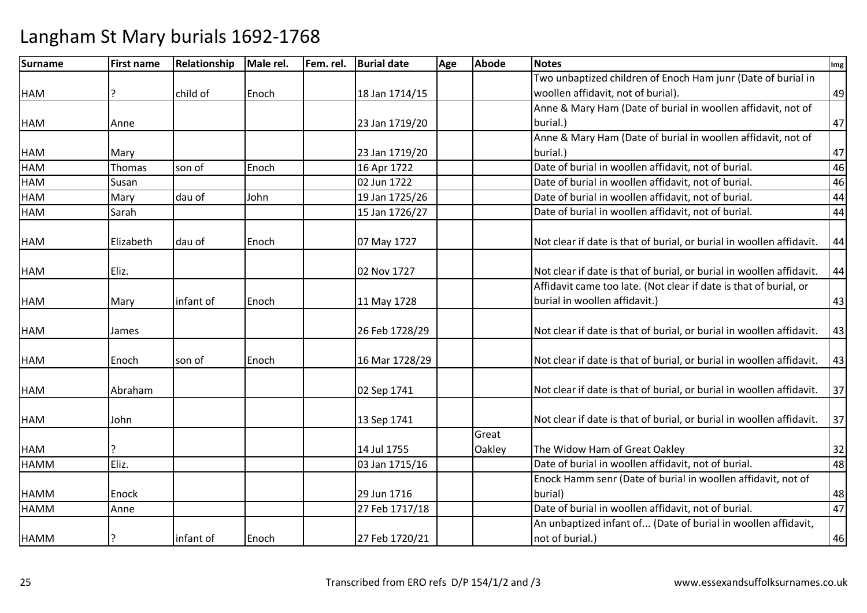| <b>Surname</b> | <b>First name</b> | Relationship | Male rel. | Fem. rel. | <b>Burial date</b> | Age | <b>Abode</b> | <b>Notes</b>                                                         | Img |
|----------------|-------------------|--------------|-----------|-----------|--------------------|-----|--------------|----------------------------------------------------------------------|-----|
|                |                   |              |           |           |                    |     |              | Two unbaptized children of Enoch Ham junr (Date of burial in         |     |
| <b>HAM</b>     | 7                 | child of     | Enoch     |           | 18 Jan 1714/15     |     |              | woollen affidavit, not of burial).                                   | 49  |
|                |                   |              |           |           |                    |     |              | Anne & Mary Ham (Date of burial in woollen affidavit, not of         |     |
| <b>HAM</b>     | Anne              |              |           |           | 23 Jan 1719/20     |     |              | burial.)                                                             | 47  |
|                |                   |              |           |           |                    |     |              | Anne & Mary Ham (Date of burial in woollen affidavit, not of         |     |
| <b>HAM</b>     | Mary              |              |           |           | 23 Jan 1719/20     |     |              | burial.)                                                             | 47  |
| <b>HAM</b>     | Thomas            | son of       | Enoch     |           | 16 Apr 1722        |     |              | Date of burial in woollen affidavit, not of burial.                  | 46  |
| <b>HAM</b>     | Susan             |              |           |           | 02 Jun 1722        |     |              | Date of burial in woollen affidavit, not of burial.                  | 46  |
| <b>HAM</b>     | Mary              | dau of       | John      |           | 19 Jan 1725/26     |     |              | Date of burial in woollen affidavit, not of burial.                  | 44  |
| <b>HAM</b>     | Sarah             |              |           |           | 15 Jan 1726/27     |     |              | Date of burial in woollen affidavit, not of burial.                  | 44  |
| <b>HAM</b>     | Elizabeth         | dau of       | Enoch     |           | 07 May 1727        |     |              | Not clear if date is that of burial, or burial in woollen affidavit. | 44  |
| <b>HAM</b>     | Eliz.             |              |           |           | 02 Nov 1727        |     |              | Not clear if date is that of burial, or burial in woollen affidavit. | 44  |
|                |                   |              |           |           |                    |     |              | Affidavit came too late. (Not clear if date is that of burial, or    |     |
| <b>HAM</b>     | Mary              | infant of    | Enoch     |           | 11 May 1728        |     |              | burial in woollen affidavit.)                                        | 43  |
| <b>HAM</b>     | James             |              |           |           | 26 Feb 1728/29     |     |              | Not clear if date is that of burial, or burial in woollen affidavit. | 43  |
| <b>HAM</b>     | Enoch             | son of       | Enoch     |           | 16 Mar 1728/29     |     |              | Not clear if date is that of burial, or burial in woollen affidavit. | 43  |
| <b>HAM</b>     | Abraham           |              |           |           | 02 Sep 1741        |     |              | Not clear if date is that of burial, or burial in woollen affidavit. | 37  |
| <b>HAM</b>     | John              |              |           |           | 13 Sep 1741        |     |              | Not clear if date is that of burial, or burial in woollen affidavit. | 37  |
|                |                   |              |           |           |                    |     | Great        |                                                                      |     |
| <b>HAM</b>     |                   |              |           |           | 14 Jul 1755        |     | Oakley       | The Widow Ham of Great Oakley                                        | 32  |
| <b>HAMM</b>    | Eliz.             |              |           |           | 03 Jan 1715/16     |     |              | Date of burial in woollen affidavit, not of burial.                  | 48  |
|                |                   |              |           |           |                    |     |              | Enock Hamm senr (Date of burial in woollen affidavit, not of         |     |
| <b>HAMM</b>    | Enock             |              |           |           | 29 Jun 1716        |     |              | burial)                                                              | 48  |
| <b>HAMM</b>    | Anne              |              |           |           | 27 Feb 1717/18     |     |              | Date of burial in woollen affidavit, not of burial.                  | 47  |
|                |                   |              |           |           |                    |     |              | An unbaptized infant of (Date of burial in woollen affidavit,        |     |
| <b>HAMM</b>    |                   | infant of    | Enoch     |           | 27 Feb 1720/21     |     |              | not of burial.)                                                      | 46  |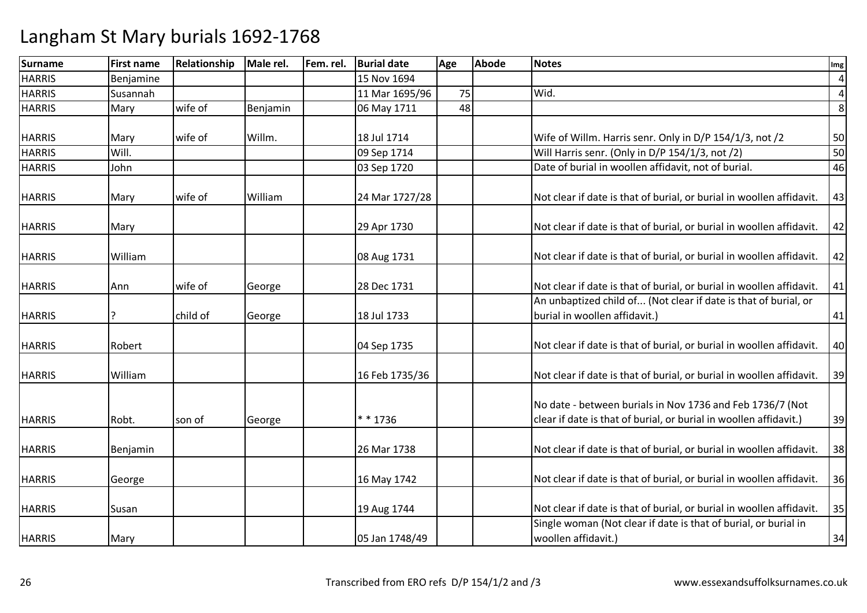| <b>Surname</b> | <b>First name</b> | Relationship | Male rel. | Fem. rel. | <b>Burial date</b> | Age | <b>Abode</b> | <b>Notes</b>                                                                                                                   | Img            |
|----------------|-------------------|--------------|-----------|-----------|--------------------|-----|--------------|--------------------------------------------------------------------------------------------------------------------------------|----------------|
| <b>HARRIS</b>  | Benjamine         |              |           |           | 15 Nov 1694        |     |              |                                                                                                                                | $\overline{4}$ |
| <b>HARRIS</b>  | Susannah          |              |           |           | 11 Mar 1695/96     | 75  |              | Wid.                                                                                                                           | $\overline{a}$ |
| <b>HARRIS</b>  | Mary              | wife of      | Benjamin  |           | 06 May 1711        | 48  |              |                                                                                                                                | 8              |
|                |                   |              |           |           |                    |     |              |                                                                                                                                |                |
| <b>HARRIS</b>  | Mary              | wife of      | Willm.    |           | 18 Jul 1714        |     |              | Wife of Willm. Harris senr. Only in D/P 154/1/3, not /2                                                                        | 50             |
| <b>HARRIS</b>  | Will.             |              |           |           | 09 Sep 1714        |     |              | Will Harris senr. (Only in D/P 154/1/3, not /2)                                                                                | 50             |
| <b>HARRIS</b>  | John              |              |           |           | 03 Sep 1720        |     |              | Date of burial in woollen affidavit, not of burial.                                                                            | 46             |
| <b>HARRIS</b>  | Mary              | wife of      | William   |           | 24 Mar 1727/28     |     |              | Not clear if date is that of burial, or burial in woollen affidavit.                                                           | 43             |
| <b>HARRIS</b>  | Mary              |              |           |           | 29 Apr 1730        |     |              | Not clear if date is that of burial, or burial in woollen affidavit.                                                           | 42             |
| <b>HARRIS</b>  | William           |              |           |           | 08 Aug 1731        |     |              | Not clear if date is that of burial, or burial in woollen affidavit.                                                           | 42             |
| <b>HARRIS</b>  | Ann               | wife of      | George    |           | 28 Dec 1731        |     |              | Not clear if date is that of burial, or burial in woollen affidavit.                                                           | 41             |
| <b>HARRIS</b>  |                   | child of     | George    |           | 18 Jul 1733        |     |              | An unbaptized child of (Not clear if date is that of burial, or<br>burial in woollen affidavit.)                               | 41             |
| <b>HARRIS</b>  | Robert            |              |           |           | 04 Sep 1735        |     |              | Not clear if date is that of burial, or burial in woollen affidavit.                                                           | 40             |
| <b>HARRIS</b>  | William           |              |           |           | 16 Feb 1735/36     |     |              | Not clear if date is that of burial, or burial in woollen affidavit.                                                           | 39             |
| <b>HARRIS</b>  | Robt.             | son of       | George    |           | * * 1736           |     |              | No date - between burials in Nov 1736 and Feb 1736/7 (Not<br>clear if date is that of burial, or burial in woollen affidavit.) | 39             |
| <b>HARRIS</b>  | Benjamin          |              |           |           | 26 Mar 1738        |     |              | Not clear if date is that of burial, or burial in woollen affidavit.                                                           | 38             |
| <b>HARRIS</b>  | George            |              |           |           | 16 May 1742        |     |              | Not clear if date is that of burial, or burial in woollen affidavit.                                                           | 36             |
| <b>HARRIS</b>  | Susan             |              |           |           | 19 Aug 1744        |     |              | Not clear if date is that of burial, or burial in woollen affidavit.                                                           | 35             |
| <b>HARRIS</b>  | Mary              |              |           |           | 05 Jan 1748/49     |     |              | Single woman (Not clear if date is that of burial, or burial in<br>woollen affidavit.)                                         | 34             |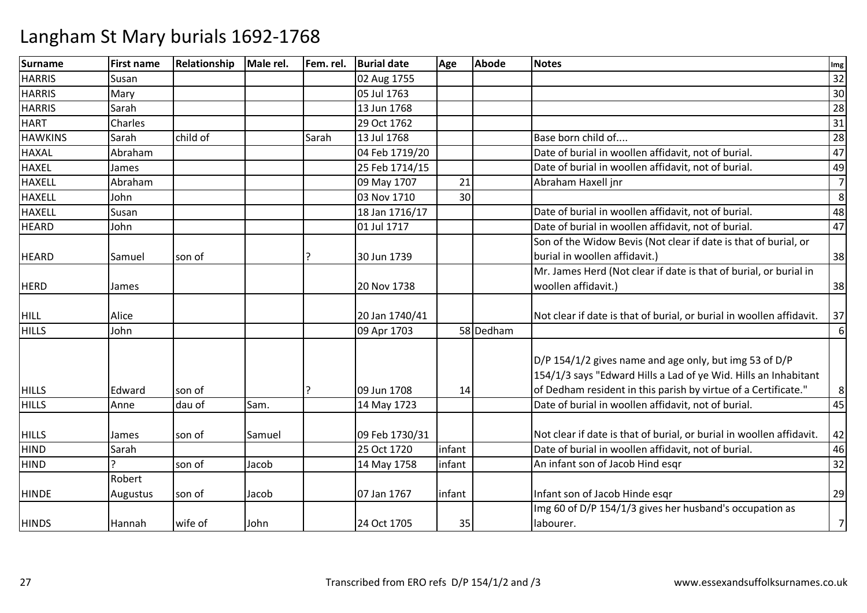| <b>Surname</b> | <b>First name</b> | Relationship | Male rel. | Fem. rel. | <b>Burial date</b> | Age    | <b>Abode</b> | <b>Notes</b>                                                         | Img            |
|----------------|-------------------|--------------|-----------|-----------|--------------------|--------|--------------|----------------------------------------------------------------------|----------------|
| <b>HARRIS</b>  | Susan             |              |           |           | 02 Aug 1755        |        |              |                                                                      | 32             |
| <b>HARRIS</b>  | Mary              |              |           |           | 05 Jul 1763        |        |              |                                                                      | 30             |
| <b>HARRIS</b>  | Sarah             |              |           |           | 13 Jun 1768        |        |              |                                                                      | 28             |
| <b>HART</b>    | Charles           |              |           |           | 29 Oct 1762        |        |              |                                                                      | 31             |
| <b>HAWKINS</b> | Sarah             | child of     |           | Sarah     | 13 Jul 1768        |        |              | Base born child of                                                   | 28             |
| <b>HAXAL</b>   | Abraham           |              |           |           | 04 Feb 1719/20     |        |              | Date of burial in woollen affidavit, not of burial.                  | 47             |
| <b>HAXEL</b>   | James             |              |           |           | 25 Feb 1714/15     |        |              | Date of burial in woollen affidavit, not of burial.                  | 49             |
| <b>HAXELL</b>  | Abraham           |              |           |           | 09 May 1707        | 21     |              | Abraham Haxell jnr                                                   | $\overline{7}$ |
| <b>HAXELL</b>  | John              |              |           |           | 03 Nov 1710        | 30     |              |                                                                      | 8              |
| <b>HAXELL</b>  | Susan             |              |           |           | 18 Jan 1716/17     |        |              | Date of burial in woollen affidavit, not of burial.                  | 48             |
| <b>HEARD</b>   | John              |              |           |           | 01 Jul 1717        |        |              | Date of burial in woollen affidavit, not of burial.                  | 47             |
|                |                   |              |           |           |                    |        |              | Son of the Widow Bevis (Not clear if date is that of burial, or      |                |
| <b>HEARD</b>   | Samuel            | son of       |           |           | 30 Jun 1739        |        |              | burial in woollen affidavit.)                                        | 38             |
|                |                   |              |           |           |                    |        |              | Mr. James Herd (Not clear if date is that of burial, or burial in    |                |
| <b>HERD</b>    | James             |              |           |           | 20 Nov 1738        |        |              | woollen affidavit.)                                                  | 38             |
|                |                   |              |           |           |                    |        |              |                                                                      |                |
| <b>HILL</b>    | Alice             |              |           |           | 20 Jan 1740/41     |        |              | Not clear if date is that of burial, or burial in woollen affidavit. | 37             |
| <b>HILLS</b>   | John              |              |           |           | 09 Apr 1703        |        | 58 Dedham    |                                                                      | 6              |
|                |                   |              |           |           |                    |        |              | D/P 154/1/2 gives name and age only, but img 53 of D/P               |                |
|                |                   |              |           |           |                    |        |              | 154/1/3 says "Edward Hills a Lad of ye Wid. Hills an Inhabitant      |                |
| <b>HILLS</b>   | Edward            | son of       |           |           | 09 Jun 1708        | 14     |              | of Dedham resident in this parish by virtue of a Certificate."       | 8              |
| <b>HILLS</b>   | Anne              | dau of       | Sam.      |           | 14 May 1723        |        |              | Date of burial in woollen affidavit, not of burial.                  | 45             |
|                |                   |              |           |           |                    |        |              |                                                                      |                |
| <b>HILLS</b>   | James             | son of       | Samuel    |           | 09 Feb 1730/31     |        |              | Not clear if date is that of burial, or burial in woollen affidavit. | 42             |
| <b>HIND</b>    | Sarah             |              |           |           | 25 Oct 1720        | infant |              | Date of burial in woollen affidavit, not of burial.                  | 46             |
| <b>HIND</b>    |                   | son of       | Jacob     |           | 14 May 1758        | infant |              | An infant son of Jacob Hind esgr                                     | 32             |
|                | Robert            |              |           |           |                    |        |              |                                                                      |                |
| <b>HINDE</b>   | Augustus          | son of       | Jacob     |           | 07 Jan 1767        | infant |              | Infant son of Jacob Hinde esqr                                       | 29             |
|                |                   |              |           |           |                    |        |              | Img 60 of D/P 154/1/3 gives her husband's occupation as              |                |
| <b>HINDS</b>   | Hannah            | wife of      | John      |           | 24 Oct 1705        | 35     |              | labourer.                                                            | $\overline{7}$ |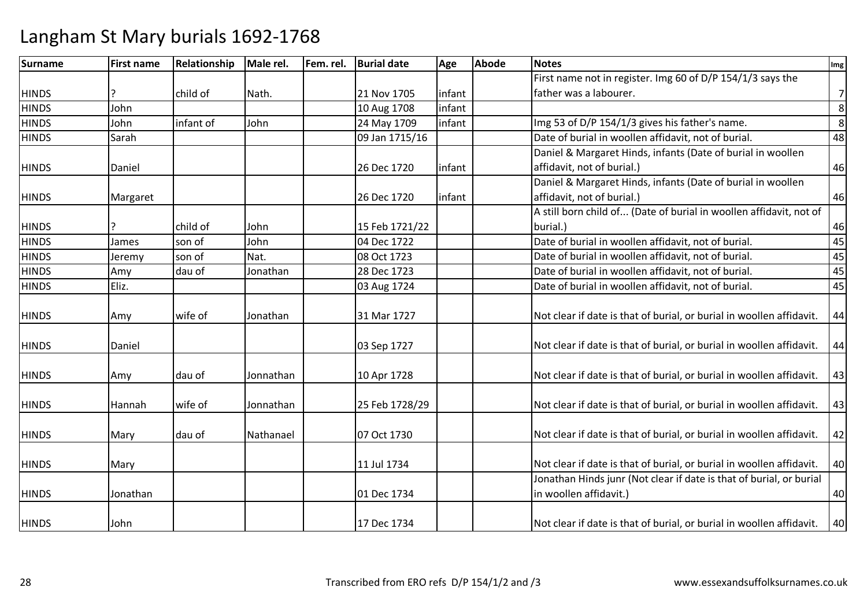| <b>Surname</b> | <b>First name</b> | Relationship | Male rel. | Fem. rel. | <b>Burial date</b> | Age    | Abode | <b>Notes</b>                                                                                  | Img            |
|----------------|-------------------|--------------|-----------|-----------|--------------------|--------|-------|-----------------------------------------------------------------------------------------------|----------------|
|                |                   |              |           |           |                    |        |       | First name not in register. Img 60 of D/P 154/1/3 says the                                    |                |
| <b>HINDS</b>   |                   | child of     | Nath.     |           | 21 Nov 1705        | infant |       | father was a labourer.                                                                        | $7 \mid$       |
| <b>HINDS</b>   | John              |              |           |           | 10 Aug 1708        | infant |       |                                                                                               | $\,8\,$        |
| <b>HINDS</b>   | John              | infant of    | John      |           | 24 May 1709        | infant |       | Img 53 of D/P 154/1/3 gives his father's name.                                                | $\overline{8}$ |
| <b>HINDS</b>   | Sarah             |              |           |           | 09 Jan 1715/16     |        |       | Date of burial in woollen affidavit, not of burial.                                           | 48             |
|                |                   |              |           |           |                    |        |       | Daniel & Margaret Hinds, infants (Date of burial in woollen                                   |                |
| <b>HINDS</b>   | Daniel            |              |           |           | 26 Dec 1720        | infant |       | affidavit, not of burial.)                                                                    | 46             |
|                |                   |              |           |           |                    |        |       | Daniel & Margaret Hinds, infants (Date of burial in woollen                                   |                |
| <b>HINDS</b>   | Margaret          |              |           |           | 26 Dec 1720        | infant |       | affidavit, not of burial.)                                                                    | 46             |
|                |                   |              |           |           |                    |        |       | A still born child of (Date of burial in woollen affidavit, not of                            |                |
| <b>HINDS</b>   |                   | child of     | John      |           | 15 Feb 1721/22     |        |       | burial.)                                                                                      | 46             |
| <b>HINDS</b>   | James             | son of       | John      |           | 04 Dec 1722        |        |       | Date of burial in woollen affidavit, not of burial.                                           | 45             |
| <b>HINDS</b>   | Jeremy            | son of       | Nat.      |           | 08 Oct 1723        |        |       | Date of burial in woollen affidavit, not of burial.                                           | 45             |
| <b>HINDS</b>   | Amy               | dau of       | Jonathan  |           | 28 Dec 1723        |        |       | Date of burial in woollen affidavit, not of burial.                                           | 45             |
| <b>HINDS</b>   | Eliz.             |              |           |           | 03 Aug 1724        |        |       | Date of burial in woollen affidavit, not of burial.                                           | 45             |
| <b>HINDS</b>   | Amy               | wife of      | Jonathan  |           | 31 Mar 1727        |        |       | Not clear if date is that of burial, or burial in woollen affidavit.                          | 44             |
| <b>HINDS</b>   | Daniel            |              |           |           | 03 Sep 1727        |        |       | Not clear if date is that of burial, or burial in woollen affidavit.                          | 44             |
| <b>HINDS</b>   | Amy               | dau of       | Jonnathan |           | 10 Apr 1728        |        |       | Not clear if date is that of burial, or burial in woollen affidavit.                          | 43             |
| <b>HINDS</b>   | Hannah            | wife of      | Jonnathan |           | 25 Feb 1728/29     |        |       | Not clear if date is that of burial, or burial in woollen affidavit.                          | 43             |
| <b>HINDS</b>   | Mary              | dau of       | Nathanael |           | 07 Oct 1730        |        |       | Not clear if date is that of burial, or burial in woollen affidavit.                          | 42             |
| <b>HINDS</b>   | Mary              |              |           |           | 11 Jul 1734        |        |       | Not clear if date is that of burial, or burial in woollen affidavit.                          | 40             |
| <b>HINDS</b>   | Jonathan          |              |           |           | 01 Dec 1734        |        |       | Jonathan Hinds junr (Not clear if date is that of burial, or burial<br>in woollen affidavit.) | 40             |
| <b>HINDS</b>   | John              |              |           |           | 17 Dec 1734        |        |       | Not clear if date is that of burial, or burial in woollen affidavit.                          | 40             |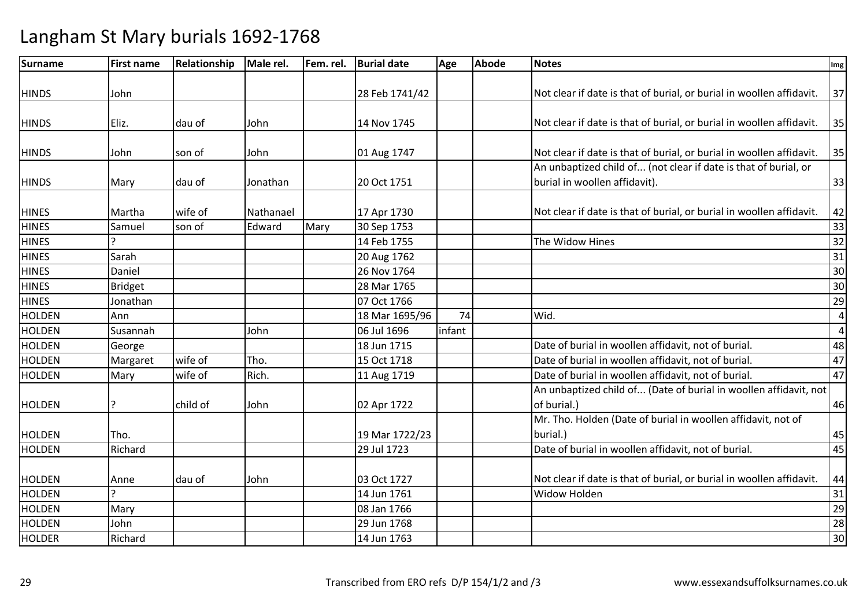| <b>Surname</b> | <b>First name</b> | Relationship | Male rel. | Fem. rel. | <b>Burial date</b> | Age    | <b>Abode</b> | <b>Notes</b>                                                         | Img             |
|----------------|-------------------|--------------|-----------|-----------|--------------------|--------|--------------|----------------------------------------------------------------------|-----------------|
|                |                   |              |           |           |                    |        |              |                                                                      |                 |
| <b>HINDS</b>   | John              |              |           |           | 28 Feb 1741/42     |        |              | Not clear if date is that of burial, or burial in woollen affidavit. | 37              |
|                |                   |              |           |           |                    |        |              |                                                                      |                 |
| <b>HINDS</b>   | Eliz.             | dau of       | John      |           | 14 Nov 1745        |        |              | Not clear if date is that of burial, or burial in woollen affidavit. | 35              |
| <b>HINDS</b>   | John              | son of       | John      |           | 01 Aug 1747        |        |              | Not clear if date is that of burial, or burial in woollen affidavit. | 35              |
|                |                   |              |           |           |                    |        |              | An unbaptized child of (not clear if date is that of burial, or      |                 |
| <b>HINDS</b>   | Mary              | dau of       | Jonathan  |           | 20 Oct 1751        |        |              | burial in woollen affidavit).                                        | 33              |
| <b>HINES</b>   | Martha            | wife of      | Nathanael |           | 17 Apr 1730        |        |              | Not clear if date is that of burial, or burial in woollen affidavit. | 42              |
| <b>HINES</b>   | Samuel            | son of       | Edward    | Mary      | 30 Sep 1753        |        |              |                                                                      | 33              |
| <b>HINES</b>   |                   |              |           |           | 14 Feb 1755        |        |              | The Widow Hines                                                      | 32              |
| <b>HINES</b>   | Sarah             |              |           |           | 20 Aug 1762        |        |              |                                                                      | 31              |
| <b>HINES</b>   | Daniel            |              |           |           | 26 Nov 1764        |        |              |                                                                      | 30              |
| <b>HINES</b>   | <b>Bridget</b>    |              |           |           | 28 Mar 1765        |        |              |                                                                      | 30              |
| <b>HINES</b>   | Jonathan          |              |           |           | 07 Oct 1766        |        |              |                                                                      | 29              |
| <b>HOLDEN</b>  | Ann               |              |           |           | 18 Mar 1695/96     | 74     |              | Wid.                                                                 | $\overline{4}$  |
| <b>HOLDEN</b>  | Susannah          |              | John      |           | 06 Jul 1696        | infant |              |                                                                      | $\overline{4}$  |
| HOLDEN         | George            |              |           |           | 18 Jun 1715        |        |              | Date of burial in woollen affidavit, not of burial.                  | 48              |
| <b>HOLDEN</b>  | Margaret          | wife of      | Tho.      |           | 15 Oct 1718        |        |              | Date of burial in woollen affidavit, not of burial.                  | 47              |
| <b>HOLDEN</b>  | Mary              | wife of      | Rich.     |           | 11 Aug 1719        |        |              | Date of burial in woollen affidavit, not of burial.                  | 47              |
|                |                   |              |           |           |                    |        |              | An unbaptized child of (Date of burial in woollen affidavit, not     |                 |
| <b>HOLDEN</b>  |                   | child of     | John      |           | 02 Apr 1722        |        |              | of burial.)                                                          | 46              |
|                |                   |              |           |           |                    |        |              | Mr. Tho. Holden (Date of burial in woollen affidavit, not of         |                 |
| <b>HOLDEN</b>  | Tho.              |              |           |           | 19 Mar 1722/23     |        |              | burial.)                                                             | 45              |
| <b>HOLDEN</b>  | Richard           |              |           |           | 29 Jul 1723        |        |              | Date of burial in woollen affidavit, not of burial.                  | 45              |
|                |                   |              |           |           |                    |        |              |                                                                      |                 |
| <b>HOLDEN</b>  | Anne              | dau of       | John      |           | 03 Oct 1727        |        |              | Not clear if date is that of burial, or burial in woollen affidavit. | 44              |
| <b>HOLDEN</b>  |                   |              |           |           | 14 Jun 1761        |        |              | Widow Holden                                                         | 31              |
| <b>HOLDEN</b>  | Mary              |              |           |           | 08 Jan 1766        |        |              |                                                                      | 29              |
| <b>HOLDEN</b>  | John              |              |           |           | 29 Jun 1768        |        |              |                                                                      | $\overline{28}$ |
| <b>HOLDER</b>  | Richard           |              |           |           | 14 Jun 1763        |        |              |                                                                      | 30              |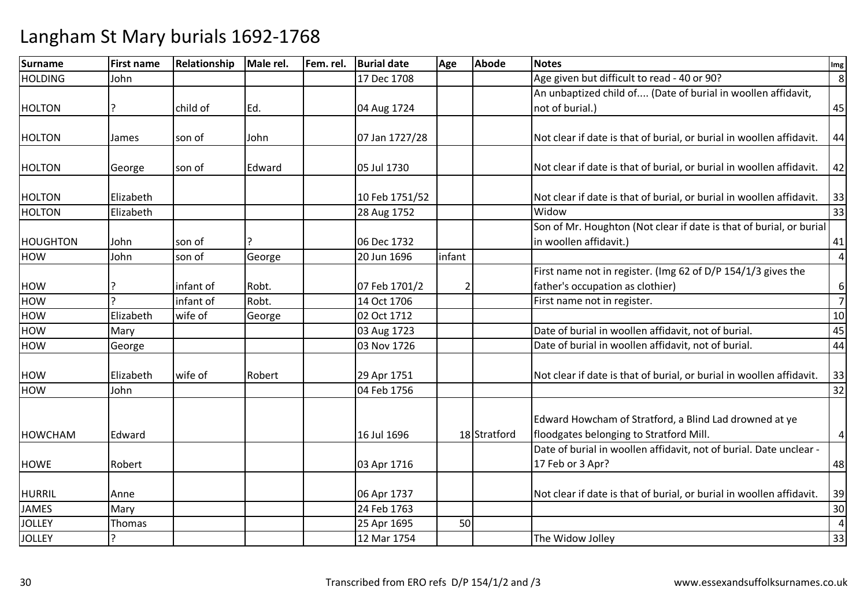| <b>Surname</b>  | <b>First name</b> | Relationship | Male rel. | Fem. rel. | <b>Burial date</b> | Age            | <b>Abode</b> | <b>Notes</b>                                                         | Img              |
|-----------------|-------------------|--------------|-----------|-----------|--------------------|----------------|--------------|----------------------------------------------------------------------|------------------|
| <b>HOLDING</b>  | John              |              |           |           | 17 Dec 1708        |                |              | Age given but difficult to read - 40 or 90?                          | $\infty$         |
|                 |                   |              |           |           |                    |                |              | An unbaptized child of (Date of burial in woollen affidavit,         |                  |
| <b>HOLTON</b>   |                   | child of     | Ed.       |           | 04 Aug 1724        |                |              | not of burial.)                                                      | 45               |
|                 |                   |              |           |           |                    |                |              |                                                                      |                  |
| <b>HOLTON</b>   | James             | son of       | John      |           | 07 Jan 1727/28     |                |              | Not clear if date is that of burial, or burial in woollen affidavit. | 44               |
|                 |                   |              |           |           |                    |                |              |                                                                      |                  |
| <b>HOLTON</b>   | George            | son of       | Edward    |           | 05 Jul 1730        |                |              | Not clear if date is that of burial, or burial in woollen affidavit. | 42               |
|                 |                   |              |           |           |                    |                |              |                                                                      |                  |
| <b>HOLTON</b>   | Elizabeth         |              |           |           | 10 Feb 1751/52     |                |              | Not clear if date is that of burial, or burial in woollen affidavit. | 33               |
| <b>HOLTON</b>   | Elizabeth         |              |           |           | 28 Aug 1752        |                |              | Widow                                                                | 33               |
|                 |                   |              |           |           |                    |                |              | Son of Mr. Houghton (Not clear if date is that of burial, or burial  |                  |
| <b>HOUGHTON</b> | John              | son of       |           |           | 06 Dec 1732        |                |              | in woollen affidavit.)                                               | 41               |
| <b>HOW</b>      | John              | son of       | George    |           | 20 Jun 1696        | infant         |              |                                                                      | $\overline{4}$   |
|                 |                   |              |           |           |                    |                |              | First name not in register. (Img 62 of D/P 154/1/3 gives the         |                  |
| <b>HOW</b>      |                   | infant of    | Robt.     |           | 07 Feb 1701/2      | $\overline{2}$ |              | father's occupation as clothier)                                     | $\boldsymbol{6}$ |
| <b>HOW</b>      |                   | infant of    | Robt.     |           | 14 Oct 1706        |                |              | First name not in register.                                          | $\overline{7}$   |
| <b>HOW</b>      | Elizabeth         | wife of      | George    |           | 02 Oct 1712        |                |              |                                                                      | 10               |
| <b>HOW</b>      | Mary              |              |           |           | 03 Aug 1723        |                |              | Date of burial in woollen affidavit, not of burial.                  | 45               |
| <b>HOW</b>      | George            |              |           |           | 03 Nov 1726        |                |              | Date of burial in woollen affidavit, not of burial.                  | 44               |
|                 |                   |              |           |           |                    |                |              |                                                                      |                  |
| <b>HOW</b>      | Elizabeth         | wife of      | Robert    |           | 29 Apr 1751        |                |              | Not clear if date is that of burial, or burial in woollen affidavit. | 33               |
| <b>HOW</b>      | John              |              |           |           | 04 Feb 1756        |                |              |                                                                      | 32               |
|                 |                   |              |           |           |                    |                |              |                                                                      |                  |
|                 |                   |              |           |           |                    |                |              | Edward Howcham of Stratford, a Blind Lad drowned at ye               |                  |
| HOWCHAM         | Edward            |              |           |           | 16 Jul 1696        |                | 18 Stratford | floodgates belonging to Stratford Mill.                              | $\overline{4}$   |
|                 |                   |              |           |           |                    |                |              | Date of burial in woollen affidavit, not of burial. Date unclear -   |                  |
| <b>HOWE</b>     | Robert            |              |           |           | 03 Apr 1716        |                |              | 17 Feb or 3 Apr?                                                     | 48               |
|                 |                   |              |           |           |                    |                |              |                                                                      |                  |
| <b>HURRIL</b>   | Anne              |              |           |           | 06 Apr 1737        |                |              | Not clear if date is that of burial, or burial in woollen affidavit. | 39               |
| <b>JAMES</b>    | Mary              |              |           |           | 24 Feb 1763        |                |              |                                                                      | 30               |
| <b>JOLLEY</b>   | Thomas            |              |           |           | 25 Apr 1695        | 50             |              |                                                                      | $\overline{4}$   |
| <b>JOLLEY</b>   |                   |              |           |           | 12 Mar 1754        |                |              | The Widow Jolley                                                     | 33               |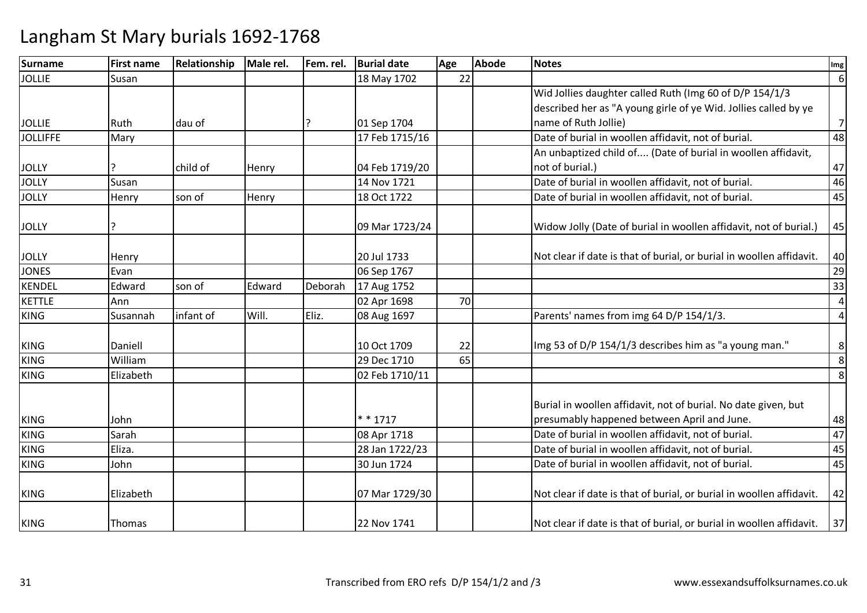| <b>Surname</b>  | <b>First name</b> | Relationship | Male rel. | Fem. rel. | <b>Burial date</b> | Age | <b>Abode</b> | <b>Notes</b>                                                         | Img              |
|-----------------|-------------------|--------------|-----------|-----------|--------------------|-----|--------------|----------------------------------------------------------------------|------------------|
| <b>JOLLIE</b>   | Susan             |              |           |           | 18 May 1702        | 22  |              |                                                                      | $6 \mid$         |
|                 |                   |              |           |           |                    |     |              | Wid Jollies daughter called Ruth (Img 60 of D/P 154/1/3              |                  |
|                 |                   |              |           |           |                    |     |              | described her as "A young girle of ye Wid. Jollies called by ye      |                  |
| <b>JOLLIE</b>   | Ruth              | dau of       |           |           | 01 Sep 1704        |     |              | name of Ruth Jollie)                                                 | $7 \overline{ }$ |
| <b>JOLLIFFE</b> | Mary              |              |           |           | 17 Feb 1715/16     |     |              | Date of burial in woollen affidavit, not of burial.                  | 48               |
|                 |                   |              |           |           |                    |     |              | An unbaptized child of (Date of burial in woollen affidavit,         |                  |
| <b>JOLLY</b>    |                   | child of     | Henry     |           | 04 Feb 1719/20     |     |              | not of burial.)                                                      | 47               |
| <b>JOLLY</b>    | Susan             |              |           |           | 14 Nov 1721        |     |              | Date of burial in woollen affidavit, not of burial.                  | 46               |
| <b>JOLLY</b>    | Henry             | son of       | Henry     |           | 18 Oct 1722        |     |              | Date of burial in woollen affidavit, not of burial.                  | 45               |
|                 |                   |              |           |           |                    |     |              |                                                                      |                  |
| <b>JOLLY</b>    | 7                 |              |           |           | 09 Mar 1723/24     |     |              | Widow Jolly (Date of burial in woollen affidavit, not of burial.)    | 45               |
|                 |                   |              |           |           |                    |     |              |                                                                      |                  |
| <b>JOLLY</b>    | Henry             |              |           |           | 20 Jul 1733        |     |              | Not clear if date is that of burial, or burial in woollen affidavit. | 40               |
| <b>JONES</b>    | Evan              |              |           |           | 06 Sep 1767        |     |              |                                                                      | 29               |
| <b>KENDEL</b>   | Edward            | son of       | Edward    | Deborah   | 17 Aug 1752        |     |              |                                                                      | 33               |
| <b>KETTLE</b>   | Ann               |              |           |           | 02 Apr 1698        | 70  |              |                                                                      | $\overline{4}$   |
| <b>KING</b>     | Susannah          | infant of    | Will.     | Eliz.     | 08 Aug 1697        |     |              | Parents' names from img 64 D/P 154/1/3.                              | $\overline{a}$   |
|                 |                   |              |           |           |                    |     |              |                                                                      |                  |
| <b>KING</b>     | Daniell           |              |           |           | 10 Oct 1709        | 22  |              | Img 53 of D/P 154/1/3 describes him as "a young man."                | 8 <sup>1</sup>   |
| <b>KING</b>     | William           |              |           |           | 29 Dec 1710        | 65  |              |                                                                      | 8                |
| <b>KING</b>     | Elizabeth         |              |           |           | 02 Feb 1710/11     |     |              |                                                                      | 8                |
|                 |                   |              |           |           |                    |     |              |                                                                      |                  |
|                 |                   |              |           |           |                    |     |              | Burial in woollen affidavit, not of burial. No date given, but       |                  |
| <b>KING</b>     | John              |              |           |           | $* * 1717$         |     |              | presumably happened between April and June.                          | 48               |
| <b>KING</b>     | Sarah             |              |           |           | 08 Apr 1718        |     |              | Date of burial in woollen affidavit, not of burial.                  | 47               |
| <b>KING</b>     | Eliza.            |              |           |           | 28 Jan 1722/23     |     |              | Date of burial in woollen affidavit, not of burial.                  | 45               |
| <b>KING</b>     | John              |              |           |           | 30 Jun 1724        |     |              | Date of burial in woollen affidavit, not of burial.                  | 45               |
| <b>KING</b>     | Elizabeth         |              |           |           | 07 Mar 1729/30     |     |              | Not clear if date is that of burial, or burial in woollen affidavit. | 42               |
| <b>KING</b>     | Thomas            |              |           |           | 22 Nov 1741        |     |              | Not clear if date is that of burial, or burial in woollen affidavit. | 37               |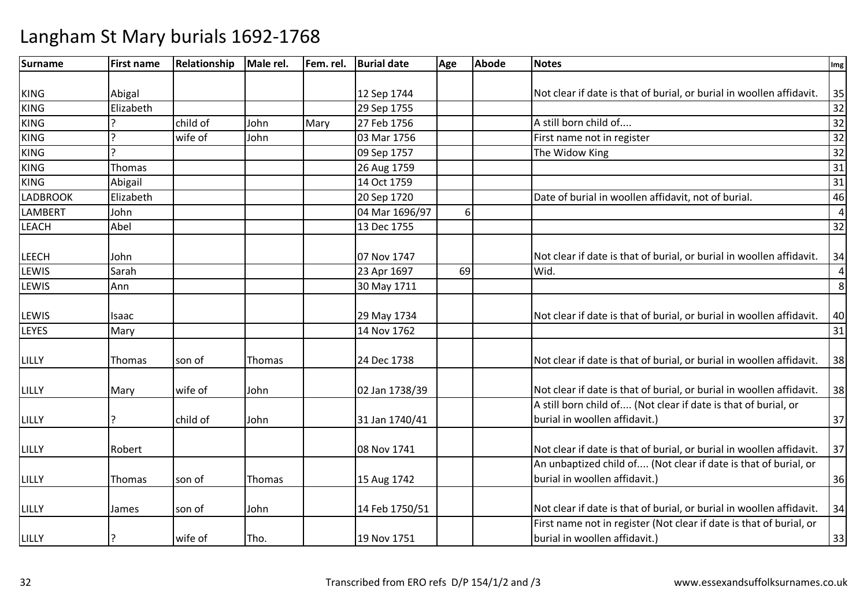| <b>Surname</b>  | <b>First name</b> | Relationship | Male rel. | Fem. rel. | <b>Burial date</b> | Age | <b>Abode</b> | <b>Notes</b>                                                         | Img            |
|-----------------|-------------------|--------------|-----------|-----------|--------------------|-----|--------------|----------------------------------------------------------------------|----------------|
|                 |                   |              |           |           |                    |     |              |                                                                      |                |
| <b>KING</b>     | Abigal            |              |           |           | 12 Sep 1744        |     |              | Not clear if date is that of burial, or burial in woollen affidavit. | 35             |
| <b>KING</b>     | Elizabeth         |              |           |           | 29 Sep 1755        |     |              |                                                                      | 32             |
| <b>KING</b>     |                   | child of     | John      | Mary      | 27 Feb 1756        |     |              | A still born child of                                                | 32             |
| <b>KING</b>     | $\mathbf{C}$      | wife of      | John      |           | 03 Mar 1756        |     |              | First name not in register                                           | 32             |
| <b>KING</b>     | C                 |              |           |           | 09 Sep 1757        |     |              | The Widow King                                                       | 32             |
| <b>KING</b>     | Thomas            |              |           |           | 26 Aug 1759        |     |              |                                                                      | 31             |
| <b>KING</b>     | Abigail           |              |           |           | 14 Oct 1759        |     |              |                                                                      | 31             |
| <b>LADBROOK</b> | Elizabeth         |              |           |           | 20 Sep 1720        |     |              | Date of burial in woollen affidavit, not of burial.                  | 46             |
| <b>LAMBERT</b>  | John              |              |           |           | 04 Mar 1696/97     | 6   |              |                                                                      | $\overline{4}$ |
| <b>LEACH</b>    | Abel              |              |           |           | 13 Dec 1755        |     |              |                                                                      | 32             |
|                 |                   |              |           |           |                    |     |              |                                                                      |                |
| <b>LEECH</b>    | John              |              |           |           | 07 Nov 1747        |     |              | Not clear if date is that of burial, or burial in woollen affidavit. | 34             |
| LEWIS           | Sarah             |              |           |           | 23 Apr 1697        | 69  |              | Wid.                                                                 | $\overline{4}$ |
| <b>LEWIS</b>    | Ann               |              |           |           | 30 May 1711        |     |              |                                                                      | $\bf 8$        |
|                 |                   |              |           |           |                    |     |              |                                                                      |                |
| <b>LEWIS</b>    | Isaac             |              |           |           | 29 May 1734        |     |              | Not clear if date is that of burial, or burial in woollen affidavit. | 40             |
| <b>LEYES</b>    | Mary              |              |           |           | 14 Nov 1762        |     |              |                                                                      | 31             |
|                 |                   |              |           |           |                    |     |              |                                                                      |                |
| LILLY           | <b>Thomas</b>     | son of       | Thomas    |           | 24 Dec 1738        |     |              | Not clear if date is that of burial, or burial in woollen affidavit. | 38             |
|                 |                   |              |           |           |                    |     |              |                                                                      |                |
| LILLY           | Mary              | wife of      | John      |           | 02 Jan 1738/39     |     |              | Not clear if date is that of burial, or burial in woollen affidavit. | 38             |
|                 |                   |              |           |           |                    |     |              | A still born child of (Not clear if date is that of burial, or       |                |
| LILLY           |                   | child of     | John      |           | 31 Jan 1740/41     |     |              | burial in woollen affidavit.)                                        | 37             |
|                 |                   |              |           |           |                    |     |              |                                                                      |                |
| LILLY           | Robert            |              |           |           | 08 Nov 1741        |     |              | Not clear if date is that of burial, or burial in woollen affidavit. | 37             |
|                 |                   |              |           |           |                    |     |              | An unbaptized child of (Not clear if date is that of burial, or      |                |
| LILLY           | <b>Thomas</b>     | son of       | Thomas    |           | 15 Aug 1742        |     |              | burial in woollen affidavit.)                                        | 36             |
|                 |                   |              |           |           |                    |     |              |                                                                      |                |
| LILLY           | James             | son of       | John      |           | 14 Feb 1750/51     |     |              | Not clear if date is that of burial, or burial in woollen affidavit. | 34             |
|                 |                   |              |           |           |                    |     |              | First name not in register (Not clear if date is that of burial, or  |                |
| <b>LILLY</b>    |                   | wife of      | Tho.      |           | 19 Nov 1751        |     |              | burial in woollen affidavit.)                                        | 33             |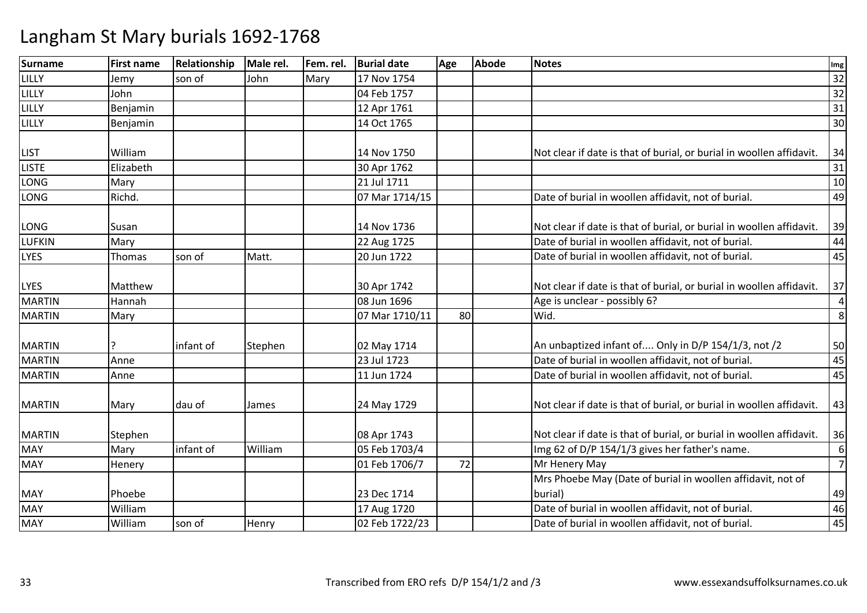| <b>Surname</b> | <b>First name</b> | Relationship | Male rel. | Fem. rel. | <b>Burial date</b> | Age | <b>Abode</b> | <b>Notes</b>                                                         | Img              |
|----------------|-------------------|--------------|-----------|-----------|--------------------|-----|--------------|----------------------------------------------------------------------|------------------|
| LILLY          | Jemy              | son of       | John      | Mary      | 17 Nov 1754        |     |              |                                                                      | 32               |
| LILLY          | John              |              |           |           | 04 Feb 1757        |     |              |                                                                      | 32               |
| LILLY          | Benjamin          |              |           |           | 12 Apr 1761        |     |              |                                                                      | 31               |
| LILLY          | Benjamin          |              |           |           | 14 Oct 1765        |     |              |                                                                      | 30               |
|                |                   |              |           |           |                    |     |              |                                                                      |                  |
| <b>LIST</b>    | William           |              |           |           | 14 Nov 1750        |     |              | Not clear if date is that of burial, or burial in woollen affidavit. | 34               |
| <b>LISTE</b>   | Elizabeth         |              |           |           | 30 Apr 1762        |     |              |                                                                      | 31               |
| LONG           | Mary              |              |           |           | 21 Jul 1711        |     |              |                                                                      | $10\,$           |
| LONG           | Richd.            |              |           |           | 07 Mar 1714/15     |     |              | Date of burial in woollen affidavit, not of burial.                  | 49               |
|                |                   |              |           |           |                    |     |              |                                                                      |                  |
| LONG           | Susan             |              |           |           | 14 Nov 1736        |     |              | Not clear if date is that of burial, or burial in woollen affidavit. | 39               |
| <b>LUFKIN</b>  | Mary              |              |           |           | 22 Aug 1725        |     |              | Date of burial in woollen affidavit, not of burial.                  | 44               |
| <b>LYES</b>    | Thomas            | son of       | Matt.     |           | 20 Jun 1722        |     |              | Date of burial in woollen affidavit, not of burial.                  | 45               |
|                |                   |              |           |           |                    |     |              |                                                                      |                  |
| <b>LYES</b>    | Matthew           |              |           |           | 30 Apr 1742        |     |              | Not clear if date is that of burial, or burial in woollen affidavit. | 37               |
| <b>MARTIN</b>  | Hannah            |              |           |           | 08 Jun 1696        |     |              | Age is unclear - possibly 6?                                         | $\overline{4}$   |
| <b>MARTIN</b>  | Mary              |              |           |           | 07 Mar 1710/11     | 80  |              | Wid.                                                                 | $\,8\,$          |
|                |                   |              |           |           |                    |     |              |                                                                      |                  |
| <b>MARTIN</b>  |                   | infant of    | Stephen   |           | 02 May 1714        |     |              | An unbaptized infant of Only in D/P 154/1/3, not /2                  | 50               |
| <b>MARTIN</b>  | Anne              |              |           |           | 23 Jul 1723        |     |              | Date of burial in woollen affidavit, not of burial.                  | 45               |
| <b>MARTIN</b>  | Anne              |              |           |           | 11 Jun 1724        |     |              | Date of burial in woollen affidavit, not of burial.                  | 45               |
|                |                   |              |           |           |                    |     |              |                                                                      |                  |
| <b>MARTIN</b>  | Mary              | dau of       | James     |           | 24 May 1729        |     |              | Not clear if date is that of burial, or burial in woollen affidavit. | 43               |
|                |                   |              |           |           |                    |     |              |                                                                      |                  |
| <b>MARTIN</b>  | Stephen           |              |           |           | 08 Apr 1743        |     |              | Not clear if date is that of burial, or burial in woollen affidavit. | 36               |
| <b>MAY</b>     | Mary              | infant of    | William   |           | 05 Feb 1703/4      |     |              | Img 62 of D/P 154/1/3 gives her father's name.                       | $\boldsymbol{6}$ |
| <b>MAY</b>     | Henery            |              |           |           | 01 Feb 1706/7      | 72  |              | Mr Henery May                                                        | $\overline{7}$   |
|                |                   |              |           |           |                    |     |              | Mrs Phoebe May (Date of burial in woollen affidavit, not of          |                  |
| <b>MAY</b>     | Phoebe            |              |           |           | 23 Dec 1714        |     |              | burial)                                                              | 49               |
| <b>MAY</b>     | William           |              |           |           | 17 Aug 1720        |     |              | Date of burial in woollen affidavit, not of burial.                  | 46               |
| <b>MAY</b>     | William           | son of       | Henry     |           | 02 Feb 1722/23     |     |              | Date of burial in woollen affidavit, not of burial.                  | 45               |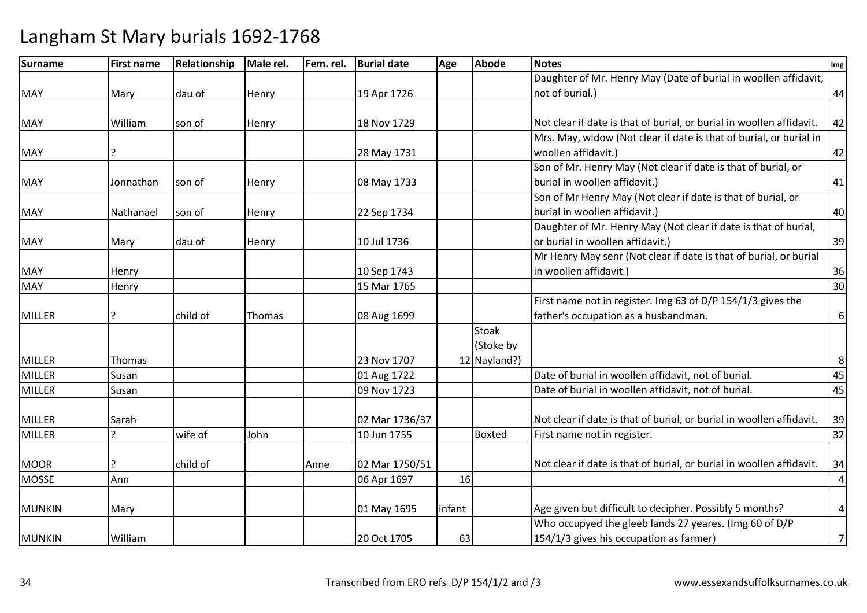| <b>Surname</b> | <b>First name</b> | Relationship | Male rel. | Fem. rel. | <b>Burial date</b> | Age    | <b>Abode</b>  | <b>Notes</b>                                                         | Img              |
|----------------|-------------------|--------------|-----------|-----------|--------------------|--------|---------------|----------------------------------------------------------------------|------------------|
|                |                   |              |           |           |                    |        |               | Daughter of Mr. Henry May (Date of burial in woollen affidavit,      |                  |
| <b>MAY</b>     | Mary              | dau of       | Henry     |           | 19 Apr 1726        |        |               | not of burial.)                                                      | 44               |
|                |                   |              |           |           |                    |        |               |                                                                      |                  |
| <b>MAY</b>     | William           | son of       | Henry     |           | 18 Nov 1729        |        |               | Not clear if date is that of burial, or burial in woollen affidavit. | 42               |
|                |                   |              |           |           |                    |        |               | Mrs. May, widow (Not clear if date is that of burial, or burial in   |                  |
| <b>MAY</b>     |                   |              |           |           | 28 May 1731        |        |               | woollen affidavit.)                                                  | 42               |
|                |                   |              |           |           |                    |        |               | Son of Mr. Henry May (Not clear if date is that of burial, or        |                  |
| <b>MAY</b>     | Jonnathan         | son of       | Henry     |           | 08 May 1733        |        |               | burial in woollen affidavit.)                                        | 41               |
|                |                   |              |           |           |                    |        |               | Son of Mr Henry May (Not clear if date is that of burial, or         |                  |
| <b>MAY</b>     | Nathanael         | son of       | Henry     |           | 22 Sep 1734        |        |               | burial in woollen affidavit.)                                        | 40               |
|                |                   |              |           |           |                    |        |               | Daughter of Mr. Henry May (Not clear if date is that of burial,      |                  |
| <b>MAY</b>     | Mary              | dau of       | Henry     |           | 10 Jul 1736        |        |               | or burial in woollen affidavit.)                                     | 39               |
|                |                   |              |           |           |                    |        |               | Mr Henry May senr (Not clear if date is that of burial, or burial    |                  |
| <b>MAY</b>     | Henry             |              |           |           | 10 Sep 1743        |        |               | in woollen affidavit.)                                               | 36               |
| <b>MAY</b>     | Henry             |              |           |           | 15 Mar 1765        |        |               |                                                                      | 30               |
|                |                   |              |           |           |                    |        |               | First name not in register. Img 63 of D/P 154/1/3 gives the          |                  |
| <b>MILLER</b>  |                   | child of     | Thomas    |           | 08 Aug 1699        |        |               | father's occupation as a husbandman.                                 | $\boldsymbol{6}$ |
|                |                   |              |           |           |                    |        | <b>Stoak</b>  |                                                                      |                  |
|                |                   |              |           |           |                    |        | (Stoke by     |                                                                      |                  |
| <b>MILLER</b>  | Thomas            |              |           |           | 23 Nov 1707        |        | 12 Nayland?)  |                                                                      | 8                |
| <b>MILLER</b>  | Susan             |              |           |           | 01 Aug 1722        |        |               | Date of burial in woollen affidavit, not of burial.                  | 45               |
| <b>MILLER</b>  | Susan             |              |           |           | 09 Nov 1723        |        |               | Date of burial in woollen affidavit, not of burial.                  | 45               |
|                |                   |              |           |           |                    |        |               |                                                                      |                  |
| <b>MILLER</b>  | Sarah             |              |           |           | 02 Mar 1736/37     |        |               | Not clear if date is that of burial, or burial in woollen affidavit. | 39               |
| <b>MILLER</b>  |                   | wife of      | John      |           | 10 Jun 1755        |        | <b>Boxted</b> | First name not in register.                                          | 32               |
|                |                   |              |           |           |                    |        |               |                                                                      |                  |
| <b>MOOR</b>    |                   | child of     |           | Anne      | 02 Mar 1750/51     |        |               | Not clear if date is that of burial, or burial in woollen affidavit. | 34               |
| <b>MOSSE</b>   | Ann               |              |           |           | 06 Apr 1697        | 16     |               |                                                                      | $\overline{a}$   |
|                |                   |              |           |           |                    |        |               |                                                                      |                  |
| <b>MUNKIN</b>  | Mary              |              |           |           | 01 May 1695        | infant |               | Age given but difficult to decipher. Possibly 5 months?              | $\pmb{4}$        |
|                |                   |              |           |           |                    |        |               | Who occupyed the gleeb lands 27 yeares. (Img 60 of D/P               |                  |
| <b>MUNKIN</b>  | William           |              |           |           | 20 Oct 1705        | 63     |               | 154/1/3 gives his occupation as farmer)                              | $\overline{7}$   |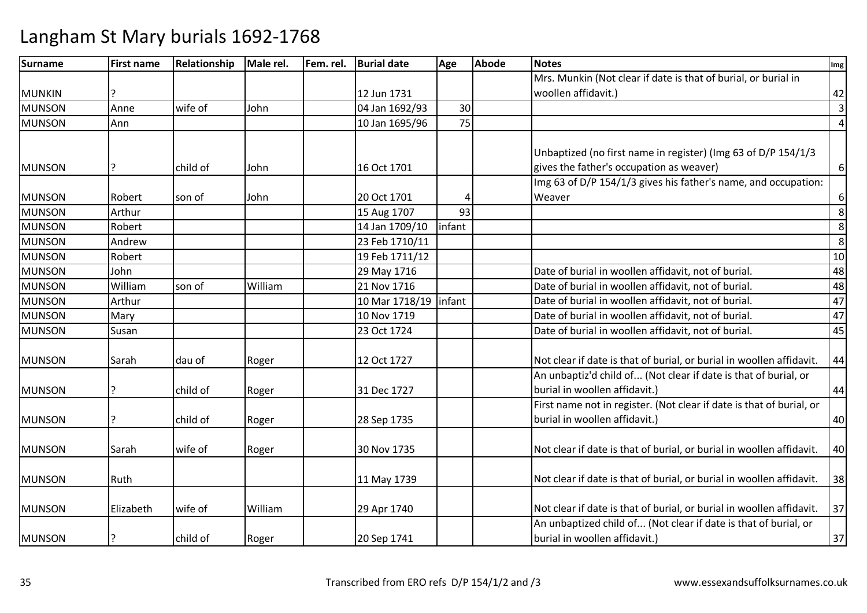| <b>Surname</b> | <b>First name</b> | Relationship | Male rel. | Fem. rel. | <b>Burial date</b> | Age    | <b>Abode</b> | <b>Notes</b>                                                         | Img                     |
|----------------|-------------------|--------------|-----------|-----------|--------------------|--------|--------------|----------------------------------------------------------------------|-------------------------|
|                |                   |              |           |           |                    |        |              | Mrs. Munkin (Not clear if date is that of burial, or burial in       |                         |
| <b>MUNKIN</b>  | ς                 |              |           |           | 12 Jun 1731        |        |              | woollen affidavit.)                                                  | 42                      |
| <b>MUNSON</b>  | Anne              | wife of      | John      |           | 04 Jan 1692/93     | 30     |              |                                                                      | $\overline{\mathbf{3}}$ |
| <b>MUNSON</b>  | Ann               |              |           |           | 10 Jan 1695/96     | 75     |              |                                                                      | $\overline{a}$          |
|                |                   |              |           |           |                    |        |              |                                                                      |                         |
|                |                   |              |           |           |                    |        |              | Unbaptized (no first name in register) (Img 63 of D/P 154/1/3        |                         |
| <b>MUNSON</b>  | P                 | child of     | John      |           | 16 Oct 1701        |        |              | gives the father's occupation as weaver)                             | $\boldsymbol{6}$        |
|                |                   |              |           |           |                    |        |              | Img 63 of D/P 154/1/3 gives his father's name, and occupation:       |                         |
| <b>MUNSON</b>  | Robert            | son of       | John      |           | 20 Oct 1701        | 4      |              | Weaver                                                               | $\boldsymbol{6}$        |
| <b>MUNSON</b>  | Arthur            |              |           |           | 15 Aug 1707        | 93     |              |                                                                      | 8                       |
| <b>MUNSON</b>  | Robert            |              |           |           | 14 Jan 1709/10     | infant |              |                                                                      | 8                       |
| <b>MUNSON</b>  | Andrew            |              |           |           | 23 Feb 1710/11     |        |              |                                                                      | 8                       |
| <b>MUNSON</b>  | Robert            |              |           |           | 19 Feb 1711/12     |        |              |                                                                      | 10                      |
| <b>MUNSON</b>  | John              |              |           |           | 29 May 1716        |        |              | Date of burial in woollen affidavit, not of burial.                  | 48                      |
| <b>MUNSON</b>  | William           | son of       | William   |           | 21 Nov 1716        |        |              | Date of burial in woollen affidavit, not of burial.                  | 48                      |
| <b>MUNSON</b>  | Arthur            |              |           |           | 10 Mar 1718/19     | infant |              | Date of burial in woollen affidavit, not of burial.                  | 47                      |
| <b>MUNSON</b>  | Mary              |              |           |           | 10 Nov 1719        |        |              | Date of burial in woollen affidavit, not of burial.                  | 47                      |
| <b>MUNSON</b>  | Susan             |              |           |           | 23 Oct 1724        |        |              | Date of burial in woollen affidavit, not of burial.                  | 45                      |
| <b>MUNSON</b>  | Sarah             | dau of       | Roger     |           | 12 Oct 1727        |        |              | Not clear if date is that of burial, or burial in woollen affidavit. | 44                      |
|                |                   |              |           |           |                    |        |              | An unbaptiz'd child of (Not clear if date is that of burial, or      |                         |
| <b>MUNSON</b>  | ŗ                 | child of     | Roger     |           | 31 Dec 1727        |        |              | burial in woollen affidavit.)                                        | 44                      |
|                |                   |              |           |           |                    |        |              | First name not in register. (Not clear if date is that of burial, or |                         |
| <b>MUNSON</b>  | ς                 | child of     | Roger     |           | 28 Sep 1735        |        |              | burial in woollen affidavit.)                                        | 40                      |
| <b>MUNSON</b>  | Sarah             | wife of      | Roger     |           | 30 Nov 1735        |        |              | Not clear if date is that of burial, or burial in woollen affidavit. | 40                      |
|                |                   |              |           |           |                    |        |              |                                                                      |                         |
| <b>MUNSON</b>  | Ruth              |              |           |           | 11 May 1739        |        |              | Not clear if date is that of burial, or burial in woollen affidavit. | 38                      |
| <b>MUNSON</b>  | Elizabeth         | wife of      | William   |           | 29 Apr 1740        |        |              | Not clear if date is that of burial, or burial in woollen affidavit. | 37                      |
|                |                   |              |           |           |                    |        |              | An unbaptized child of (Not clear if date is that of burial, or      |                         |
| <b>MUNSON</b>  | ?                 | child of     | Roger     |           | 20 Sep 1741        |        |              | burial in woollen affidavit.)                                        | 37                      |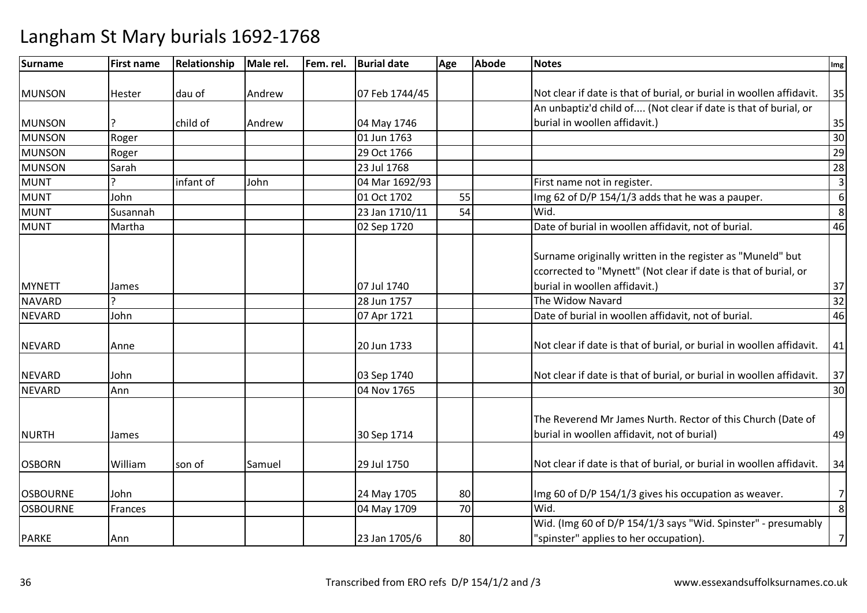| Surname         | <b>First name</b> | Relationship | Male rel. | Fem. rel. | <b>Burial date</b> | Age | <b>Abode</b> | <b>Notes</b>                                                                                                                                                   | Img            |
|-----------------|-------------------|--------------|-----------|-----------|--------------------|-----|--------------|----------------------------------------------------------------------------------------------------------------------------------------------------------------|----------------|
|                 |                   |              |           |           |                    |     |              |                                                                                                                                                                |                |
| <b>MUNSON</b>   | Hester            | dau of       | Andrew    |           | 07 Feb 1744/45     |     |              | Not clear if date is that of burial, or burial in woollen affidavit.                                                                                           | 35             |
|                 |                   |              |           |           |                    |     |              | An unbaptiz'd child of (Not clear if date is that of burial, or                                                                                                |                |
| <b>MUNSON</b>   |                   | child of     | Andrew    |           | 04 May 1746        |     |              | burial in woollen affidavit.)                                                                                                                                  | 35             |
| <b>MUNSON</b>   | Roger             |              |           |           | 01 Jun 1763        |     |              |                                                                                                                                                                | 30             |
| <b>MUNSON</b>   | Roger             |              |           |           | 29 Oct 1766        |     |              |                                                                                                                                                                | 29             |
| <b>MUNSON</b>   | Sarah             |              |           |           | 23 Jul 1768        |     |              |                                                                                                                                                                | 28             |
| <b>MUNT</b>     |                   | infant of    | John      |           | 04 Mar 1692/93     |     |              | First name not in register.                                                                                                                                    | $\overline{3}$ |
| <b>MUNT</b>     | John              |              |           |           | 01 Oct 1702        | 55  |              | Img 62 of D/P 154/1/3 adds that he was a pauper.                                                                                                               | 6              |
| <b>MUNT</b>     | Susannah          |              |           |           | 23 Jan 1710/11     | 54  |              | Wid.                                                                                                                                                           | 8              |
| <b>MUNT</b>     | Martha            |              |           |           | 02 Sep 1720        |     |              | Date of burial in woollen affidavit, not of burial.                                                                                                            | 46             |
| <b>MYNETT</b>   |                   |              |           |           | 07 Jul 1740        |     |              | Surname originally written in the register as "Muneld" but<br>ccorrected to "Mynett" (Not clear if date is that of burial, or<br>burial in woollen affidavit.) | 37             |
| <b>NAVARD</b>   | James             |              |           |           | 28 Jun 1757        |     |              | The Widow Navard                                                                                                                                               | 32             |
| <b>NEVARD</b>   | John              |              |           |           | 07 Apr 1721        |     |              | Date of burial in woollen affidavit, not of burial.                                                                                                            | 46             |
|                 |                   |              |           |           |                    |     |              |                                                                                                                                                                |                |
| <b>NEVARD</b>   | Anne              |              |           |           | 20 Jun 1733        |     |              | Not clear if date is that of burial, or burial in woollen affidavit.                                                                                           | 41             |
| <b>NEVARD</b>   | John              |              |           |           | 03 Sep 1740        |     |              | Not clear if date is that of burial, or burial in woollen affidavit.                                                                                           | 37             |
| <b>NEVARD</b>   | Ann               |              |           |           | 04 Nov 1765        |     |              |                                                                                                                                                                | 30             |
| <b>NURTH</b>    | James             |              |           |           | 30 Sep 1714        |     |              | The Reverend Mr James Nurth. Rector of this Church (Date of<br>burial in woollen affidavit, not of burial)                                                     | 49             |
| <b>OSBORN</b>   | William           | son of       | Samuel    |           | 29 Jul 1750        |     |              | Not clear if date is that of burial, or burial in woollen affidavit.                                                                                           | 34             |
| <b>OSBOURNE</b> | John              |              |           |           | 24 May 1705        | 80  |              | Img 60 of D/P 154/1/3 gives his occupation as weaver.                                                                                                          | $\overline{7}$ |
| <b>OSBOURNE</b> | Frances           |              |           |           | 04 May 1709        | 70  |              | Wid.                                                                                                                                                           | 8              |
|                 |                   |              |           |           |                    |     |              | Wid. (Img 60 of D/P 154/1/3 says "Wid. Spinster" - presumably                                                                                                  |                |
| <b>PARKE</b>    | Ann               |              |           |           | 23 Jan 1705/6      | 80  |              | "spinster" applies to her occupation).                                                                                                                         | $\overline{7}$ |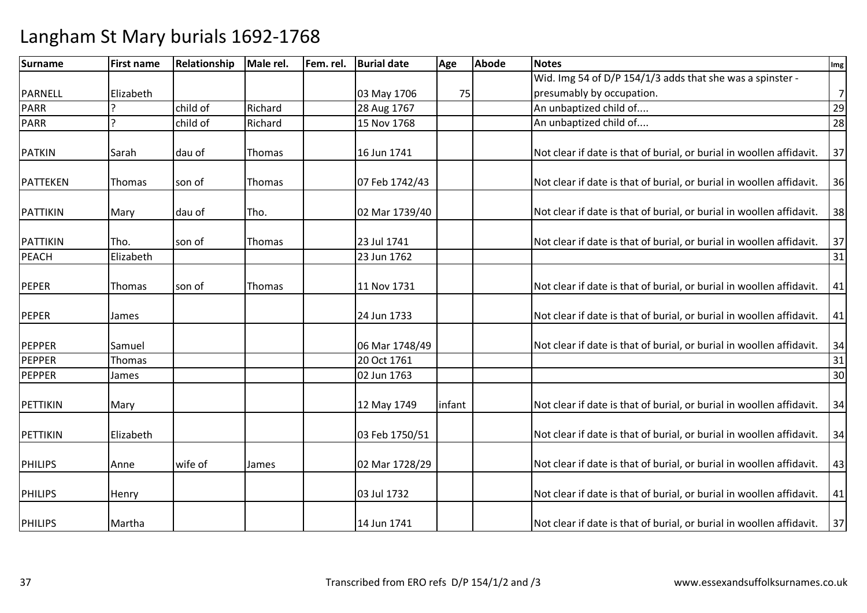| <b>Surname</b>  | <b>First name</b> | Relationship | Male rel. | Fem. rel. | <b>Burial date</b> | Age    | Abode | <b>Notes</b>                                                         | Img            |
|-----------------|-------------------|--------------|-----------|-----------|--------------------|--------|-------|----------------------------------------------------------------------|----------------|
|                 |                   |              |           |           |                    |        |       | Wid. Img 54 of D/P 154/1/3 adds that she was a spinster -            |                |
| PARNELL         | Elizabeth         |              |           |           | 03 May 1706        | 75     |       | presumably by occupation.                                            | $\overline{7}$ |
| <b>PARR</b>     |                   | child of     | Richard   |           | 28 Aug 1767        |        |       | An unbaptized child of                                               | 29             |
| <b>PARR</b>     |                   | child of     | Richard   |           | 15 Nov 1768        |        |       | An unbaptized child of                                               | 28             |
| <b>PATKIN</b>   | Sarah             | dau of       | Thomas    |           | 16 Jun 1741        |        |       | Not clear if date is that of burial, or burial in woollen affidavit. | 37             |
| PATTEKEN        | Thomas            | son of       | Thomas    |           | 07 Feb 1742/43     |        |       | Not clear if date is that of burial, or burial in woollen affidavit. | 36             |
| <b>PATTIKIN</b> | Mary              | dau of       | Tho.      |           | 02 Mar 1739/40     |        |       | Not clear if date is that of burial, or burial in woollen affidavit. | 38             |
| PATTIKIN        | lTho.             | son of       | Thomas    |           | 23 Jul 1741        |        |       | Not clear if date is that of burial, or burial in woollen affidavit. | 37             |
| <b>PEACH</b>    | Elizabeth         |              |           |           | 23 Jun 1762        |        |       |                                                                      | 31             |
| <b>PEPER</b>    | Thomas            | son of       | Thomas    |           | 11 Nov 1731        |        |       | Not clear if date is that of burial, or burial in woollen affidavit. | 41             |
| <b>PEPER</b>    | James             |              |           |           | 24 Jun 1733        |        |       | Not clear if date is that of burial, or burial in woollen affidavit. | 41             |
| PEPPER          | Samuel            |              |           |           | 06 Mar 1748/49     |        |       | Not clear if date is that of burial, or burial in woollen affidavit. | 34             |
| PEPPER          | Thomas            |              |           |           | 20 Oct 1761        |        |       |                                                                      | 31             |
| <b>PEPPER</b>   | James             |              |           |           | 02 Jun 1763        |        |       |                                                                      | 30             |
| PETTIKIN        | Mary              |              |           |           | 12 May 1749        | infant |       | Not clear if date is that of burial, or burial in woollen affidavit. | 34             |
| PETTIKIN        | Elizabeth         |              |           |           | 03 Feb 1750/51     |        |       | Not clear if date is that of burial, or burial in woollen affidavit. | 34             |
| <b>PHILIPS</b>  | Anne              | wife of      | James     |           | 02 Mar 1728/29     |        |       | Not clear if date is that of burial, or burial in woollen affidavit. | 43             |
| <b>PHILIPS</b>  | Henry             |              |           |           | 03 Jul 1732        |        |       | Not clear if date is that of burial, or burial in woollen affidavit. | 41             |
| <b>PHILIPS</b>  | Martha            |              |           |           | 14 Jun 1741        |        |       | Not clear if date is that of burial, or burial in woollen affidavit. | 37             |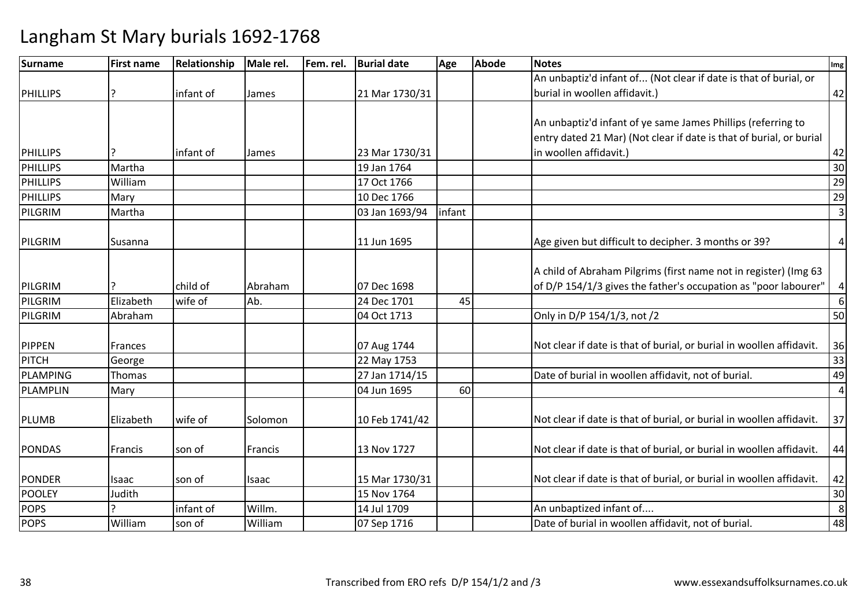| <b>Surname</b>  | <b>First name</b> | Relationship | Male rel. | Fem. rel. | <b>Burial date</b> | Age    | Abode | <b>Notes</b>                                                         | Img            |
|-----------------|-------------------|--------------|-----------|-----------|--------------------|--------|-------|----------------------------------------------------------------------|----------------|
|                 |                   |              |           |           |                    |        |       | An unbaptiz'd infant of (Not clear if date is that of burial, or     |                |
| <b>PHILLIPS</b> | 7                 | infant of    | James     |           | 21 Mar 1730/31     |        |       | burial in woollen affidavit.)                                        | 42             |
|                 |                   |              |           |           |                    |        |       |                                                                      |                |
|                 |                   |              |           |           |                    |        |       | An unbaptiz'd infant of ye same James Phillips (referring to         |                |
|                 |                   |              |           |           |                    |        |       | entry dated 21 Mar) (Not clear if date is that of burial, or burial  |                |
| <b>PHILLIPS</b> |                   | infant of    | James     |           | 23 Mar 1730/31     |        |       | in woollen affidavit.)                                               | 42             |
| <b>PHILLIPS</b> | Martha            |              |           |           | 19 Jan 1764        |        |       |                                                                      | 30             |
| <b>PHILLIPS</b> | William           |              |           |           | 17 Oct 1766        |        |       |                                                                      | 29             |
| PHILLIPS        | Mary              |              |           |           | 10 Dec 1766        |        |       |                                                                      | 29             |
| PILGRIM         | Martha            |              |           |           | 03 Jan 1693/94     | infant |       |                                                                      | $\overline{3}$ |
|                 |                   |              |           |           |                    |        |       |                                                                      |                |
| PILGRIM         | Susanna           |              |           |           | 11 Jun 1695        |        |       | Age given but difficult to decipher. 3 months or 39?                 | $\pmb{4}$      |
|                 |                   |              |           |           |                    |        |       | A child of Abraham Pilgrims (first name not in register) (Img 63     |                |
|                 |                   | child of     |           |           |                    |        |       | of D/P 154/1/3 gives the father's occupation as "poor labourer"      |                |
| PILGRIM         |                   |              | Abraham   |           | 07 Dec 1698        |        |       |                                                                      | $\overline{a}$ |
| PILGRIM         | Elizabeth         | wife of      | Ab.       |           | 24 Dec 1701        | 45     |       |                                                                      | 6              |
| PILGRIM         | Abraham           |              |           |           | 04 Oct 1713        |        |       | Only in D/P 154/1/3, not /2                                          | 50             |
| <b>PIPPEN</b>   | Frances           |              |           |           | 07 Aug 1744        |        |       | Not clear if date is that of burial, or burial in woollen affidavit. | 36             |
| <b>PITCH</b>    | George            |              |           |           | 22 May 1753        |        |       |                                                                      | 33             |
| <b>PLAMPING</b> | Thomas            |              |           |           | 27 Jan 1714/15     |        |       | Date of burial in woollen affidavit, not of burial.                  | 49             |
| <b>PLAMPLIN</b> | Mary              |              |           |           | 04 Jun 1695        | 60     |       |                                                                      | $\overline{4}$ |
|                 |                   |              |           |           |                    |        |       |                                                                      |                |
| PLUMB           | Elizabeth         | wife of      | Solomon   |           | 10 Feb 1741/42     |        |       | Not clear if date is that of burial, or burial in woollen affidavit. | 37             |
|                 |                   |              |           |           |                    |        |       |                                                                      |                |
| <b>PONDAS</b>   | Francis           | son of       | Francis   |           | 13 Nov 1727        |        |       | Not clear if date is that of burial, or burial in woollen affidavit. | 44             |
|                 |                   |              |           |           |                    |        |       |                                                                      |                |
| <b>PONDER</b>   | Isaac             | son of       | Isaac     |           | 15 Mar 1730/31     |        |       | Not clear if date is that of burial, or burial in woollen affidavit. | 42             |
| <b>POOLEY</b>   | Judith            |              |           |           | 15 Nov 1764        |        |       |                                                                      | 30             |
| <b>POPS</b>     |                   | infant of    | Willm.    |           | 14 Jul 1709        |        |       | An unbaptized infant of                                              | 8              |
| <b>POPS</b>     | William           | son of       | William   |           | 07 Sep 1716        |        |       | Date of burial in woollen affidavit, not of burial.                  | 48             |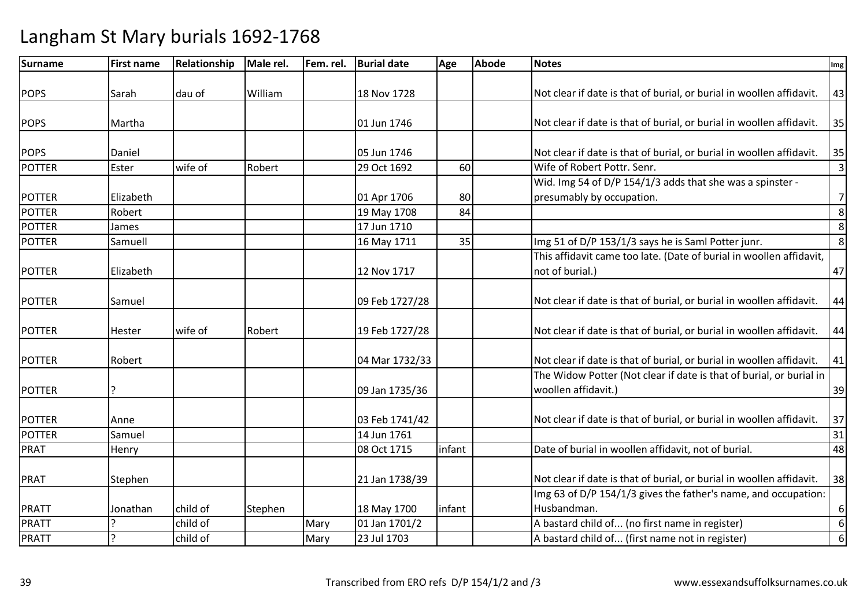| Surname                        | <b>First name</b> | <b>Relationship</b> | Male rel. | Fem. rel. | <b>Burial date</b>            | Age    | <b>Abode</b> | <b>Notes</b>                                                         | Img            |
|--------------------------------|-------------------|---------------------|-----------|-----------|-------------------------------|--------|--------------|----------------------------------------------------------------------|----------------|
|                                |                   |                     |           |           |                               |        |              |                                                                      |                |
| <b>POPS</b>                    | Sarah             | dau of              | William   |           | 18 Nov 1728                   |        |              | Not clear if date is that of burial, or burial in woollen affidavit. | 43             |
|                                | Martha            |                     |           |           | 01 Jun 1746                   |        |              |                                                                      | 35             |
| <b>POPS</b>                    |                   |                     |           |           |                               |        |              | Not clear if date is that of burial, or burial in woollen affidavit. |                |
| <b>POPS</b>                    | Daniel            |                     |           |           | 05 Jun 1746                   |        |              | Not clear if date is that of burial, or burial in woollen affidavit. | 35             |
| <b>POTTER</b>                  | Ester             | wife of             | Robert    |           | 29 Oct 1692                   | 60     |              | Wife of Robert Pottr. Senr.                                          | $\overline{3}$ |
|                                |                   |                     |           |           |                               |        |              | Wid. Img 54 of D/P 154/1/3 adds that she was a spinster -            |                |
| <b>POTTER</b>                  | Elizabeth         |                     |           |           | 01 Apr 1706                   | 80     |              | presumably by occupation.                                            | $\overline{7}$ |
| <b>POTTER</b>                  | Robert            |                     |           |           | 19 May 1708                   | 84     |              |                                                                      | 8              |
| <b>POTTER</b>                  | James             |                     |           |           | 17 Jun 1710                   |        |              |                                                                      | 8              |
| <b>POTTER</b>                  | Samuell           |                     |           |           | 16 May 1711                   | 35     |              | Img 51 of D/P 153/1/3 says he is Saml Potter junr.                   | 8 <sup>1</sup> |
|                                |                   |                     |           |           |                               |        |              | This affidavit came too late. (Date of burial in woollen affidavit,  |                |
| <b>POTTER</b>                  | Elizabeth         |                     |           |           | 12 Nov 1717                   |        |              | not of burial.)                                                      | 47             |
|                                |                   |                     |           |           |                               |        |              |                                                                      |                |
| <b>POTTER</b>                  | Samuel            |                     |           |           | 09 Feb 1727/28                |        |              | Not clear if date is that of burial, or burial in woollen affidavit. | 44             |
| <b>POTTER</b>                  | Hester            | wife of             | Robert    |           | 19 Feb 1727/28                |        |              | Not clear if date is that of burial, or burial in woollen affidavit. | 44             |
|                                |                   |                     |           |           |                               |        |              |                                                                      |                |
| <b>POTTER</b>                  | Robert            |                     |           |           | 04 Mar 1732/33                |        |              | Not clear if date is that of burial, or burial in woollen affidavit. | 41             |
|                                |                   |                     |           |           |                               |        |              | The Widow Potter (Not clear if date is that of burial, or burial in  |                |
| <b>POTTER</b>                  | ?                 |                     |           |           | 09 Jan 1735/36                |        |              | woollen affidavit.)                                                  | 39             |
|                                |                   |                     |           |           |                               |        |              |                                                                      |                |
| <b>POTTER</b><br><b>POTTER</b> | Anne<br>Samuel    |                     |           |           | 03 Feb 1741/42<br>14 Jun 1761 |        |              | Not clear if date is that of burial, or burial in woollen affidavit. | 37<br>31       |
| PRAT                           |                   |                     |           |           | 08 Oct 1715                   | infant |              | Date of burial in woollen affidavit, not of burial.                  | 48             |
|                                | Henry             |                     |           |           |                               |        |              |                                                                      |                |
| <b>PRAT</b>                    | Stephen           |                     |           |           | 21 Jan 1738/39                |        |              | Not clear if date is that of burial, or burial in woollen affidavit. | 38             |
|                                |                   |                     |           |           |                               |        |              | Img 63 of D/P 154/1/3 gives the father's name, and occupation:       |                |
| <b>PRATT</b>                   | Jonathan          | child of            | Stephen   |           | 18 May 1700                   | infant |              | Husbandman.                                                          | $6 \mid$       |
| <b>PRATT</b>                   |                   | child of            |           | Mary      | 01 Jan 1701/2                 |        |              | A bastard child of (no first name in register)                       | 6              |
| <b>PRATT</b>                   | ŗ                 | child of            |           | Mary      | 23 Jul 1703                   |        |              | A bastard child of (first name not in register)                      | 6 <sup>1</sup> |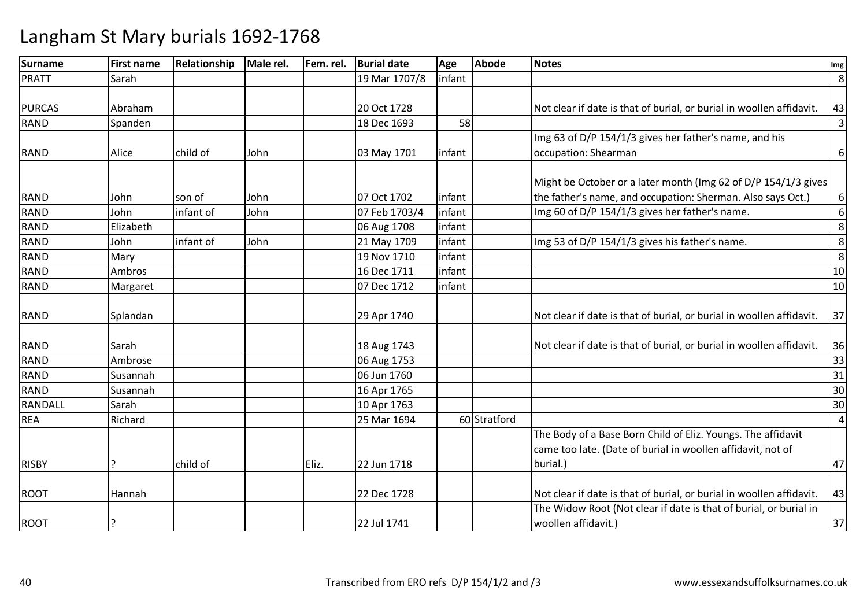| <b>Surname</b> | <b>First name</b> | Relationship | Male rel. | Fem. rel. | <b>Burial date</b> | Age    | <b>Abode</b> | <b>Notes</b>                                                         | Img            |
|----------------|-------------------|--------------|-----------|-----------|--------------------|--------|--------------|----------------------------------------------------------------------|----------------|
| <b>PRATT</b>   | Sarah             |              |           |           | 19 Mar 1707/8      | infant |              |                                                                      | 8              |
|                |                   |              |           |           |                    |        |              |                                                                      |                |
| <b>PURCAS</b>  | Abraham           |              |           |           | 20 Oct 1728        |        |              | Not clear if date is that of burial, or burial in woollen affidavit. | 43             |
| <b>RAND</b>    | Spanden           |              |           |           | 18 Dec 1693        | 58     |              |                                                                      | $\overline{3}$ |
|                |                   |              |           |           |                    |        |              | Img 63 of D/P 154/1/3 gives her father's name, and his               |                |
| <b>RAND</b>    | Alice             | child of     | John      |           | 03 May 1701        | infant |              | occupation: Shearman                                                 | 6              |
|                |                   |              |           |           |                    |        |              |                                                                      |                |
|                |                   |              |           |           |                    |        |              | Might be October or a later month (Img 62 of D/P 154/1/3 gives       |                |
| <b>RAND</b>    | John              | son of       | John      |           | 07 Oct 1702        | infant |              | the father's name, and occupation: Sherman. Also says Oct.)          | 6              |
| <b>RAND</b>    | John              | infant of    | John      |           | 07 Feb 1703/4      | infant |              | Img 60 of D/P 154/1/3 gives her father's name.                       | 6              |
| <b>RAND</b>    | Elizabeth         |              |           |           | 06 Aug 1708        | infant |              |                                                                      | 8              |
| <b>RAND</b>    | John              | infant of    | John      |           | 21 May 1709        | infant |              | Img 53 of D/P 154/1/3 gives his father's name.                       | 8              |
| <b>RAND</b>    | Mary              |              |           |           | 19 Nov 1710        | infant |              |                                                                      | 8              |
| <b>RAND</b>    | Ambros            |              |           |           | 16 Dec 1711        | infant |              |                                                                      | 10             |
| <b>RAND</b>    | Margaret          |              |           |           | 07 Dec 1712        | infant |              |                                                                      | 10             |
|                |                   |              |           |           |                    |        |              |                                                                      |                |
| <b>RAND</b>    | Splandan          |              |           |           | 29 Apr 1740        |        |              | Not clear if date is that of burial, or burial in woollen affidavit. | 37             |
|                |                   |              |           |           |                    |        |              |                                                                      |                |
| <b>RAND</b>    | Sarah             |              |           |           | 18 Aug 1743        |        |              | Not clear if date is that of burial, or burial in woollen affidavit. | 36             |
| <b>RAND</b>    | Ambrose           |              |           |           | 06 Aug 1753        |        |              |                                                                      | 33             |
| RAND           | Susannah          |              |           |           | 06 Jun 1760        |        |              |                                                                      | 31             |
| <b>RAND</b>    | Susannah          |              |           |           | 16 Apr 1765        |        |              |                                                                      | 30             |
| <b>RANDALL</b> | Sarah             |              |           |           | 10 Apr 1763        |        |              |                                                                      | 30             |
| <b>REA</b>     | Richard           |              |           |           | 25 Mar 1694        |        | 60 Stratford |                                                                      | $\overline{4}$ |
|                |                   |              |           |           |                    |        |              | The Body of a Base Born Child of Eliz. Youngs. The affidavit         |                |
|                |                   |              |           |           |                    |        |              | came too late. (Date of burial in woollen affidavit, not of          |                |
| <b>RISBY</b>   |                   | child of     |           | Eliz.     | 22 Jun 1718        |        |              | burial.)                                                             | 47             |
|                |                   |              |           |           |                    |        |              |                                                                      |                |
| <b>ROOT</b>    | Hannah            |              |           |           | 22 Dec 1728        |        |              | Not clear if date is that of burial, or burial in woollen affidavit. | 43             |
|                |                   |              |           |           |                    |        |              | The Widow Root (Not clear if date is that of burial, or burial in    |                |
| <b>ROOT</b>    |                   |              |           |           | 22 Jul 1741        |        |              | woollen affidavit.)                                                  | 37             |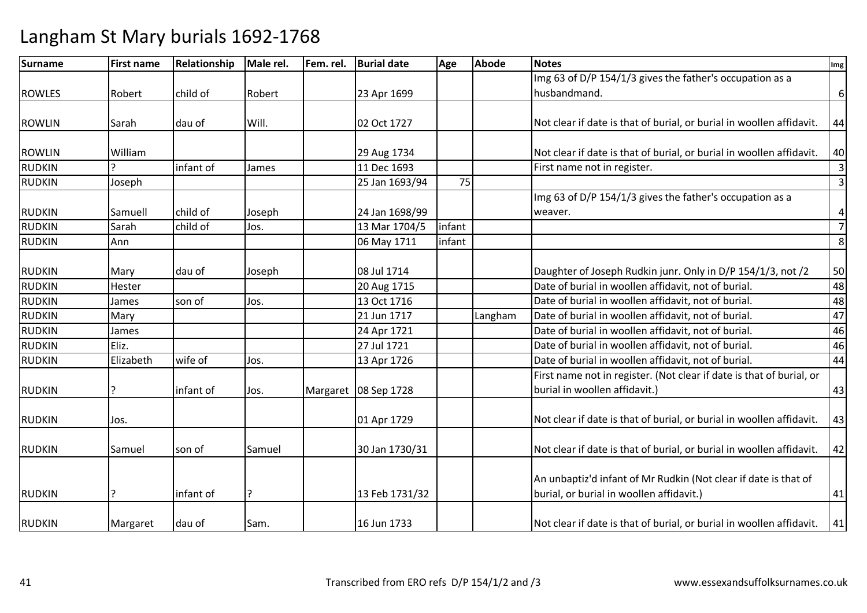| <b>Surname</b> | <b>First name</b> | Relationship | Male rel. | Fem. rel. | <b>Burial date</b>     | Age    | <b>Abode</b> | <b>Notes</b>                                                         | Img                     |
|----------------|-------------------|--------------|-----------|-----------|------------------------|--------|--------------|----------------------------------------------------------------------|-------------------------|
|                |                   |              |           |           |                        |        |              | Img 63 of D/P 154/1/3 gives the father's occupation as a             |                         |
| <b>ROWLES</b>  | Robert            | child of     | Robert    |           | 23 Apr 1699            |        |              | husbandmand.                                                         | 6                       |
|                |                   |              |           |           |                        |        |              |                                                                      |                         |
| <b>ROWLIN</b>  | Sarah             | dau of       | Will.     |           | 02 Oct 1727            |        |              | Not clear if date is that of burial, or burial in woollen affidavit. | 44                      |
| <b>ROWLIN</b>  | William           |              |           |           | 29 Aug 1734            |        |              | Not clear if date is that of burial, or burial in woollen affidavit. | 40                      |
| <b>RUDKIN</b>  |                   | infant of    | James     |           | 11 Dec 1693            |        |              | First name not in register.                                          | $\overline{\mathbf{3}}$ |
| <b>RUDKIN</b>  | Joseph            |              |           |           | 25 Jan 1693/94         | 75     |              |                                                                      | $\overline{\mathbf{3}}$ |
|                |                   |              |           |           |                        |        |              | Img 63 of D/P 154/1/3 gives the father's occupation as a             |                         |
| <b>RUDKIN</b>  | Samuell           | child of     | Joseph    |           | 24 Jan 1698/99         |        |              | weaver.                                                              | 4                       |
| <b>RUDKIN</b>  | Sarah             | child of     | Jos.      |           | 13 Mar 1704/5          | infant |              |                                                                      | $\overline{7}$          |
| <b>RUDKIN</b>  | Ann               |              |           |           | 06 May 1711            | infant |              |                                                                      | 8                       |
|                |                   |              |           |           |                        |        |              |                                                                      |                         |
| <b>RUDKIN</b>  | Mary              | dau of       | Joseph    |           | 08 Jul 1714            |        |              | Daughter of Joseph Rudkin junr. Only in D/P 154/1/3, not /2          | 50                      |
| <b>RUDKIN</b>  | Hester            |              |           |           | 20 Aug 1715            |        |              | Date of burial in woollen affidavit, not of burial.                  | 48                      |
| <b>RUDKIN</b>  | James             | son of       | Jos.      |           | 13 Oct 1716            |        |              | Date of burial in woollen affidavit, not of burial.                  | 48                      |
| <b>RUDKIN</b>  | Mary              |              |           |           | 21 Jun 1717            |        | Langham      | Date of burial in woollen affidavit, not of burial.                  | 47                      |
| <b>RUDKIN</b>  | James             |              |           |           | 24 Apr 1721            |        |              | Date of burial in woollen affidavit, not of burial.                  | 46                      |
| <b>RUDKIN</b>  | Eliz.             |              |           |           | 27 Jul 1721            |        |              | Date of burial in woollen affidavit, not of burial.                  | 46                      |
| <b>RUDKIN</b>  | Elizabeth         | wife of      | Jos.      |           | 13 Apr 1726            |        |              | Date of burial in woollen affidavit, not of burial.                  | 44                      |
|                |                   |              |           |           |                        |        |              | First name not in register. (Not clear if date is that of burial, or |                         |
| <b>RUDKIN</b>  |                   | infant of    | Jos.      |           | Margaret   08 Sep 1728 |        |              | burial in woollen affidavit.)                                        | 43                      |
|                |                   |              |           |           |                        |        |              |                                                                      |                         |
| <b>RUDKIN</b>  | Jos.              |              |           |           | 01 Apr 1729            |        |              | Not clear if date is that of burial, or burial in woollen affidavit. | 43                      |
| <b>RUDKIN</b>  | Samuel            | son of       | Samuel    |           | 30 Jan 1730/31         |        |              | Not clear if date is that of burial, or burial in woollen affidavit. | 42                      |
|                |                   |              |           |           |                        |        |              |                                                                      |                         |
|                |                   |              |           |           |                        |        |              | An unbaptiz'd infant of Mr Rudkin (Not clear if date is that of      |                         |
| <b>RUDKIN</b>  |                   | infant of    |           |           | 13 Feb 1731/32         |        |              | burial, or burial in woollen affidavit.)                             | 41                      |
|                |                   |              |           |           |                        |        |              |                                                                      |                         |
| <b>RUDKIN</b>  | Margaret          | dau of       | Sam.      |           | 16 Jun 1733            |        |              | Not clear if date is that of burial, or burial in woollen affidavit. | 41                      |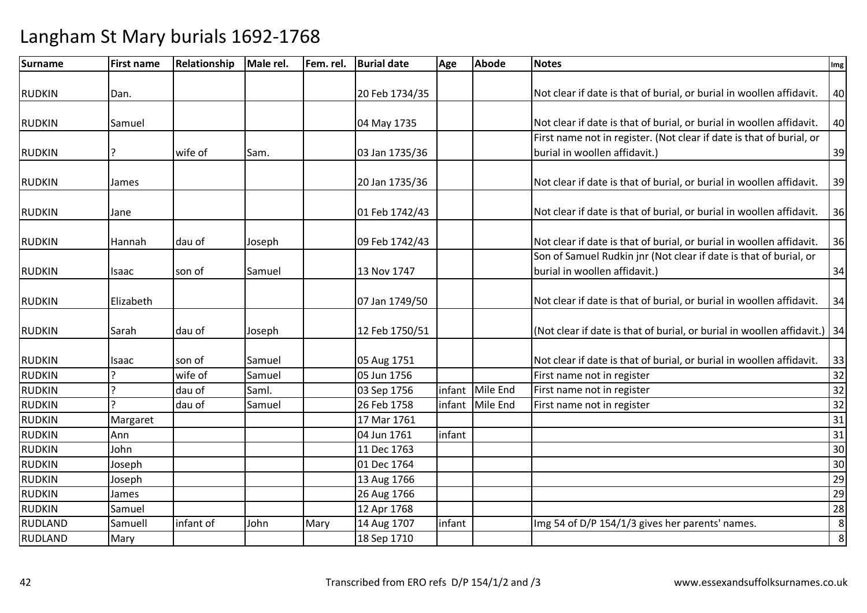| Surname        | <b>First name</b> | Relationship | Male rel. | Fem. rel. | <b>Burial date</b> | Age    | <b>Abode</b>    | <b>Notes</b>                                                              | Img     |
|----------------|-------------------|--------------|-----------|-----------|--------------------|--------|-----------------|---------------------------------------------------------------------------|---------|
|                |                   |              |           |           |                    |        |                 |                                                                           |         |
| <b>RUDKIN</b>  | Dan.              |              |           |           | 20 Feb 1734/35     |        |                 | Not clear if date is that of burial, or burial in woollen affidavit.      | 40      |
|                |                   |              |           |           |                    |        |                 |                                                                           |         |
| <b>RUDKIN</b>  | Samuel            |              |           |           | 04 May 1735        |        |                 | Not clear if date is that of burial, or burial in woollen affidavit.      | 40      |
|                |                   |              |           |           |                    |        |                 | First name not in register. (Not clear if date is that of burial, or      |         |
| <b>RUDKIN</b>  | 7                 | wife of      | Sam.      |           | 03 Jan 1735/36     |        |                 | burial in woollen affidavit.)                                             | 39      |
| <b>RUDKIN</b>  | James             |              |           |           | 20 Jan 1735/36     |        |                 | Not clear if date is that of burial, or burial in woollen affidavit.      | 39      |
| <b>RUDKIN</b>  | Jane              |              |           |           | 01 Feb 1742/43     |        |                 | Not clear if date is that of burial, or burial in woollen affidavit.      | 36      |
| <b>RUDKIN</b>  | Hannah            | dau of       | Joseph    |           | 09 Feb 1742/43     |        |                 | Not clear if date is that of burial, or burial in woollen affidavit.      | 36      |
|                |                   |              |           |           |                    |        |                 | Son of Samuel Rudkin jnr (Not clear if date is that of burial, or         |         |
| <b>RUDKIN</b>  | Isaac             | son of       | Samuel    |           | 13 Nov 1747        |        |                 | burial in woollen affidavit.)                                             | 34      |
| <b>RUDKIN</b>  | Elizabeth         |              |           |           | 07 Jan 1749/50     |        |                 | Not clear if date is that of burial, or burial in woollen affidavit.      | 34      |
| <b>RUDKIN</b>  | Sarah             | dau of       | Joseph    |           | 12 Feb 1750/51     |        |                 | (Not clear if date is that of burial, or burial in woollen affidavit.) 34 |         |
| <b>RUDKIN</b>  | Isaac             | son of       | Samuel    |           | 05 Aug 1751        |        |                 | Not clear if date is that of burial, or burial in woollen affidavit.      | 33      |
| <b>RUDKIN</b>  | ς                 | wife of      | Samuel    |           | 05 Jun 1756        |        |                 | First name not in register                                                | 32      |
| <b>RUDKIN</b>  | ς                 | dau of       | Saml.     |           | 03 Sep 1756        | infant | Mile End        | First name not in register                                                | 32      |
| <b>RUDKIN</b>  | C                 | dau of       | Samuel    |           | 26 Feb 1758        |        | infant Mile End | First name not in register                                                | 32      |
| <b>RUDKIN</b>  | Margaret          |              |           |           | 17 Mar 1761        |        |                 |                                                                           | 31      |
| <b>RUDKIN</b>  | Ann               |              |           |           | 04 Jun 1761        | infant |                 |                                                                           | 31      |
| <b>RUDKIN</b>  | John              |              |           |           | 11 Dec 1763        |        |                 |                                                                           | 30      |
| <b>RUDKIN</b>  | Joseph            |              |           |           | 01 Dec 1764        |        |                 |                                                                           | 30      |
| <b>RUDKIN</b>  | Joseph            |              |           |           | 13 Aug 1766        |        |                 |                                                                           | 29      |
| <b>RUDKIN</b>  | James             |              |           |           | 26 Aug 1766        |        |                 |                                                                           | 29      |
| <b>RUDKIN</b>  | Samuel            |              |           |           | 12 Apr 1768        |        |                 |                                                                           | 28      |
| <b>RUDLAND</b> | Samuell           | infant of    | John      | Mary      | 14 Aug 1707        | infant |                 | Img 54 of D/P 154/1/3 gives her parents' names.                           | $\,8\,$ |
| <b>RUDLAND</b> | Mary              |              |           |           | 18 Sep 1710        |        |                 |                                                                           | $\,8\,$ |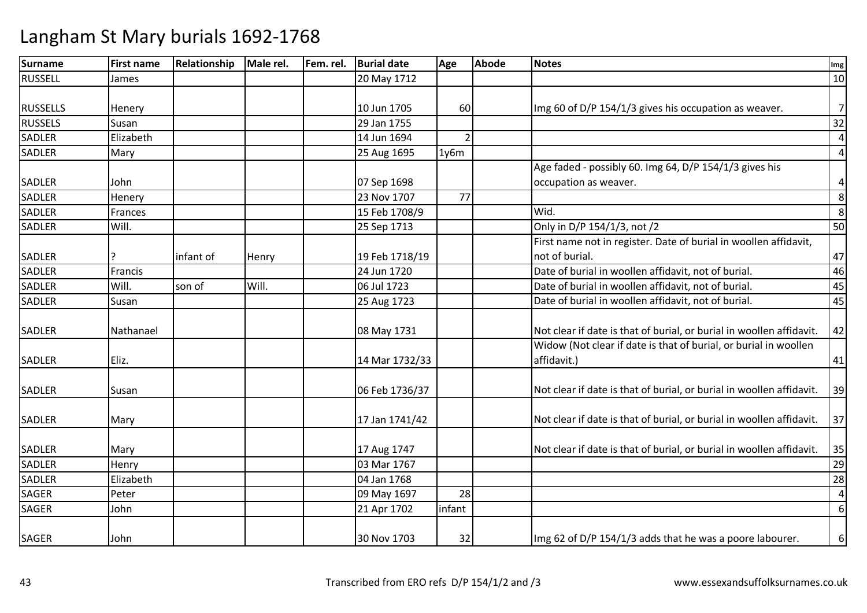| <b>Surname</b>  | <b>First name</b> | Relationship | Male rel. | Fem. rel. | <b>Burial date</b> | Age    | <b>Abode</b> | <b>Notes</b>                                                         | Img            |
|-----------------|-------------------|--------------|-----------|-----------|--------------------|--------|--------------|----------------------------------------------------------------------|----------------|
| <b>RUSSELL</b>  | James             |              |           |           | 20 May 1712        |        |              |                                                                      | 10             |
|                 |                   |              |           |           |                    |        |              |                                                                      |                |
| <b>RUSSELLS</b> | Henery            |              |           |           | 10 Jun 1705        | 60     |              | Img 60 of D/P 154/1/3 gives his occupation as weaver.                | $\overline{7}$ |
| <b>RUSSELS</b>  | Susan             |              |           |           | 29 Jan 1755        |        |              |                                                                      | 32             |
| <b>SADLER</b>   | Elizabeth         |              |           |           | 14 Jun 1694        |        |              |                                                                      | $\overline{a}$ |
| <b>SADLER</b>   | Mary              |              |           |           | 25 Aug 1695        | 1y6m   |              |                                                                      | $\overline{4}$ |
|                 |                   |              |           |           |                    |        |              | Age faded - possibly 60. Img 64, D/P 154/1/3 gives his               |                |
| <b>SADLER</b>   | John              |              |           |           | 07 Sep 1698        |        |              | occupation as weaver.                                                | 4              |
| <b>SADLER</b>   | Henery            |              |           |           | 23 Nov 1707        | 77     |              |                                                                      | $\,8\,$        |
| <b>SADLER</b>   | Frances           |              |           |           | 15 Feb 1708/9      |        |              | Wid.                                                                 | 8              |
| SADLER          | Will.             |              |           |           | 25 Sep 1713        |        |              | Only in D/P 154/1/3, not /2                                          | 50             |
|                 |                   |              |           |           |                    |        |              | First name not in register. Date of burial in woollen affidavit,     |                |
| <b>SADLER</b>   |                   | infant of    | Henry     |           | 19 Feb 1718/19     |        |              | not of burial.                                                       | 47             |
| <b>SADLER</b>   | Francis           |              |           |           | 24 Jun 1720        |        |              | Date of burial in woollen affidavit, not of burial.                  | 46             |
| SADLER          | Will.             | son of       | Will.     |           | 06 Jul 1723        |        |              | Date of burial in woollen affidavit, not of burial.                  | 45             |
| <b>SADLER</b>   | Susan             |              |           |           | 25 Aug 1723        |        |              | Date of burial in woollen affidavit, not of burial.                  | 45             |
|                 |                   |              |           |           |                    |        |              |                                                                      |                |
| <b>SADLER</b>   | Nathanael         |              |           |           | 08 May 1731        |        |              | Not clear if date is that of burial, or burial in woollen affidavit. | 42             |
|                 |                   |              |           |           |                    |        |              | Widow (Not clear if date is that of burial, or burial in woollen     |                |
| <b>SADLER</b>   | Eliz.             |              |           |           | 14 Mar 1732/33     |        |              | affidavit.)                                                          | 41             |
|                 |                   |              |           |           |                    |        |              |                                                                      |                |
| <b>SADLER</b>   | Susan             |              |           |           | 06 Feb 1736/37     |        |              | Not clear if date is that of burial, or burial in woollen affidavit. | 39             |
|                 |                   |              |           |           |                    |        |              |                                                                      |                |
| <b>SADLER</b>   | Mary              |              |           |           | 17 Jan 1741/42     |        |              | Not clear if date is that of burial, or burial in woollen affidavit. | 37             |
|                 |                   |              |           |           |                    |        |              |                                                                      |                |
| <b>SADLER</b>   | Mary              |              |           |           | 17 Aug 1747        |        |              | Not clear if date is that of burial, or burial in woollen affidavit. | 35             |
| SADLER          | Henry             |              |           |           | 03 Mar 1767        |        |              |                                                                      | 29             |
| <b>SADLER</b>   | Elizabeth         |              |           |           | 04 Jan 1768        |        |              |                                                                      | 28             |
| <b>SAGER</b>    | Peter             |              |           |           | 09 May 1697        | 28     |              |                                                                      | $\pmb{4}$      |
| <b>SAGER</b>    | John              |              |           |           | 21 Apr 1702        | infant |              |                                                                      | 6              |
|                 |                   |              |           |           |                    |        |              |                                                                      |                |
| <b>SAGER</b>    | John              |              |           |           | 30 Nov 1703        | 32     |              | Img 62 of D/P 154/1/3 adds that he was a poore labourer.             | 6              |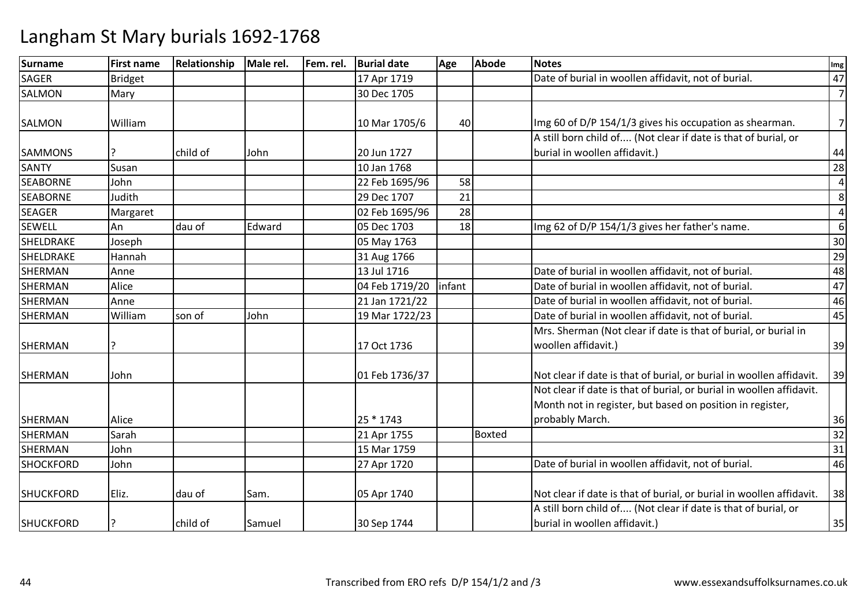| <b>Surname</b>   | <b>First name</b> | Relationship | Male rel. | Fem. rel. | <b>Burial date</b> | Age    | <b>Abode</b>  | <b>Notes</b>                                                         | Img            |
|------------------|-------------------|--------------|-----------|-----------|--------------------|--------|---------------|----------------------------------------------------------------------|----------------|
| <b>SAGER</b>     | <b>Bridget</b>    |              |           |           | 17 Apr 1719        |        |               | Date of burial in woollen affidavit, not of burial.                  | 47             |
| <b>SALMON</b>    | Mary              |              |           |           | 30 Dec 1705        |        |               |                                                                      | $\overline{7}$ |
|                  |                   |              |           |           |                    |        |               |                                                                      |                |
| SALMON           | William           |              |           |           | 10 Mar 1705/6      | 40     |               | Img 60 of D/P 154/1/3 gives his occupation as shearman.              | $\overline{7}$ |
|                  |                   |              |           |           |                    |        |               | A still born child of (Not clear if date is that of burial, or       |                |
| <b>SAMMONS</b>   |                   | child of     | John      |           | 20 Jun 1727        |        |               | burial in woollen affidavit.)                                        | 44             |
| <b>SANTY</b>     | Susan             |              |           |           | 10 Jan 1768        |        |               |                                                                      | 28             |
| <b>SEABORNE</b>  | John              |              |           |           | 22 Feb 1695/96     | 58     |               |                                                                      | $\overline{4}$ |
| <b>SEABORNE</b>  | Judith            |              |           |           | 29 Dec 1707        | 21     |               |                                                                      | 8              |
| <b>SEAGER</b>    | Margaret          |              |           |           | 02 Feb 1695/96     | 28     |               |                                                                      | $\overline{a}$ |
| <b>SEWELL</b>    | An                | dau of       | Edward    |           | 05 Dec 1703        | 18     |               | Img 62 of D/P 154/1/3 gives her father's name.                       | 6              |
| SHELDRAKE        | Joseph            |              |           |           | 05 May 1763        |        |               |                                                                      | 30             |
| SHELDRAKE        | Hannah            |              |           |           | 31 Aug 1766        |        |               |                                                                      | 29             |
| <b>SHERMAN</b>   | Anne              |              |           |           | 13 Jul 1716        |        |               | Date of burial in woollen affidavit, not of burial.                  | 48             |
| <b>SHERMAN</b>   | Alice             |              |           |           | 04 Feb 1719/20     | infant |               | Date of burial in woollen affidavit, not of burial.                  | 47             |
| <b>SHERMAN</b>   | Anne              |              |           |           | 21 Jan 1721/22     |        |               | Date of burial in woollen affidavit, not of burial.                  | 46             |
| <b>SHERMAN</b>   | William           | son of       | John      |           | 19 Mar 1722/23     |        |               | Date of burial in woollen affidavit, not of burial.                  | 45             |
|                  |                   |              |           |           |                    |        |               | Mrs. Sherman (Not clear if date is that of burial, or burial in      |                |
| SHERMAN          | 7                 |              |           |           | 17 Oct 1736        |        |               | woollen affidavit.)                                                  | 39             |
|                  |                   |              |           |           |                    |        |               |                                                                      |                |
| SHERMAN          | John              |              |           |           | 01 Feb 1736/37     |        |               | Not clear if date is that of burial, or burial in woollen affidavit. | 39             |
|                  |                   |              |           |           |                    |        |               | Not clear if date is that of burial, or burial in woollen affidavit. |                |
|                  |                   |              |           |           |                    |        |               | Month not in register, but based on position in register,            |                |
| SHERMAN          | Alice             |              |           |           | 25 * 1743          |        |               | probably March.                                                      | 36             |
| <b>SHERMAN</b>   | Sarah             |              |           |           | 21 Apr 1755        |        | <b>Boxted</b> |                                                                      | 32             |
| <b>SHERMAN</b>   | John              |              |           |           | 15 Mar 1759        |        |               |                                                                      | 31             |
| <b>SHOCKFORD</b> | John              |              |           |           | 27 Apr 1720        |        |               | Date of burial in woollen affidavit, not of burial.                  | 46             |
| <b>SHUCKFORD</b> | Eliz.             | dau of       | Sam.      |           | 05 Apr 1740        |        |               | Not clear if date is that of burial, or burial in woollen affidavit. | 38             |
|                  |                   |              |           |           |                    |        |               | A still born child of (Not clear if date is that of burial, or       |                |
| <b>SHUCKFORD</b> | ?                 | child of     | Samuel    |           | 30 Sep 1744        |        |               | burial in woollen affidavit.)                                        | 35             |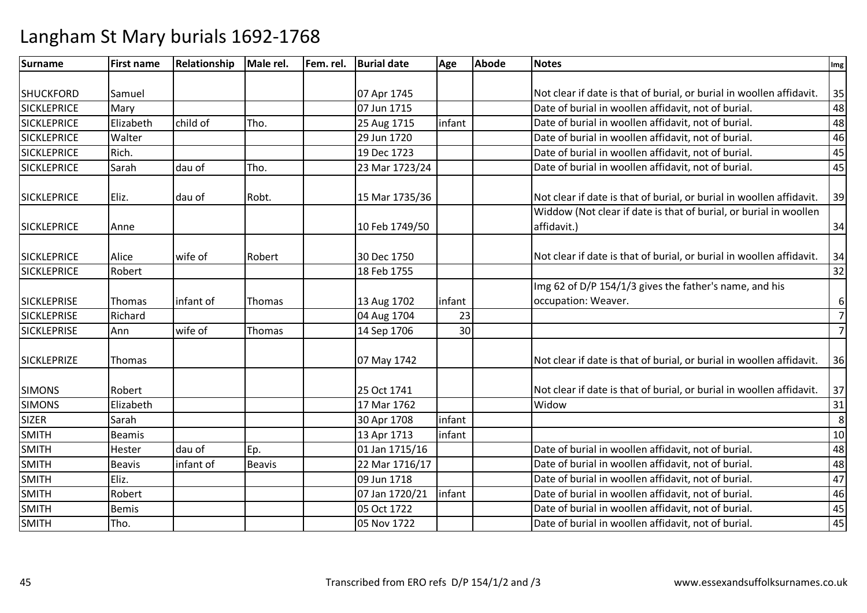| <b>Surname</b>     | <b>First name</b> | Relationship | Male rel.     | Fem. rel. | <b>Burial date</b> | Age    | <b>Abode</b> | <b>Notes</b>                                                         | Img            |
|--------------------|-------------------|--------------|---------------|-----------|--------------------|--------|--------------|----------------------------------------------------------------------|----------------|
|                    |                   |              |               |           |                    |        |              |                                                                      |                |
| <b>SHUCKFORD</b>   | Samuel            |              |               |           | 07 Apr 1745        |        |              | Not clear if date is that of burial, or burial in woollen affidavit. | 35             |
| <b>SICKLEPRICE</b> | Mary              |              |               |           | 07 Jun 1715        |        |              | Date of burial in woollen affidavit, not of burial.                  | 48             |
| <b>SICKLEPRICE</b> | Elizabeth         | child of     | Tho.          |           | 25 Aug 1715        | infant |              | Date of burial in woollen affidavit, not of burial.                  | 48             |
| <b>SICKLEPRICE</b> | Walter            |              |               |           | 29 Jun 1720        |        |              | Date of burial in woollen affidavit, not of burial.                  | 46             |
| <b>SICKLEPRICE</b> | Rich.             |              |               |           | 19 Dec 1723        |        |              | Date of burial in woollen affidavit, not of burial.                  | 45             |
| <b>SICKLEPRICE</b> | Sarah             | dau of       | Tho.          |           | 23 Mar 1723/24     |        |              | Date of burial in woollen affidavit, not of burial.                  | 45             |
| <b>SICKLEPRICE</b> | Eliz.             | dau of       | Robt.         |           | 15 Mar 1735/36     |        |              | Not clear if date is that of burial, or burial in woollen affidavit. | 39             |
|                    |                   |              |               |           |                    |        |              | Widdow (Not clear if date is that of burial, or burial in woollen    |                |
| <b>SICKLEPRICE</b> | Anne              |              |               |           | 10 Feb 1749/50     |        |              | affidavit.)                                                          | 34             |
| <b>SICKLEPRICE</b> | Alice             | wife of      | Robert        |           | 30 Dec 1750        |        |              | Not clear if date is that of burial, or burial in woollen affidavit. | 34             |
| <b>SICKLEPRICE</b> | Robert            |              |               |           | 18 Feb 1755        |        |              |                                                                      | 32             |
|                    |                   |              |               |           |                    |        |              | Img 62 of D/P 154/1/3 gives the father's name, and his               |                |
| <b>SICKLEPRISE</b> | Thomas            | infant of    | Thomas        |           | 13 Aug 1702        | infant |              | occupation: Weaver.                                                  | 6              |
| <b>SICKLEPRISE</b> | Richard           |              |               |           | 04 Aug 1704        | 23     |              |                                                                      | $\overline{7}$ |
| <b>SICKLEPRISE</b> | Ann               | wife of      | Thomas        |           | 14 Sep 1706        | 30     |              |                                                                      | 7              |
| <b>SICKLEPRIZE</b> | Thomas            |              |               |           | 07 May 1742        |        |              | Not clear if date is that of burial, or burial in woollen affidavit. | 36             |
| <b>SIMONS</b>      | Robert            |              |               |           | 25 Oct 1741        |        |              | Not clear if date is that of burial, or burial in woollen affidavit. | 37             |
| <b>SIMONS</b>      | Elizabeth         |              |               |           | 17 Mar 1762        |        |              | Widow                                                                | 31             |
| <b>SIZER</b>       | Sarah             |              |               |           | 30 Apr 1708        | infant |              |                                                                      | 8              |
| <b>SMITH</b>       | <b>Beamis</b>     |              |               |           | 13 Apr 1713        | infant |              |                                                                      | 10             |
| <b>SMITH</b>       | Hester            | dau of       | Ep.           |           | 01 Jan 1715/16     |        |              | Date of burial in woollen affidavit, not of burial.                  | 48             |
| <b>SMITH</b>       | <b>Beavis</b>     | infant of    | <b>Beavis</b> |           | 22 Mar 1716/17     |        |              | Date of burial in woollen affidavit, not of burial.                  | 48             |
| <b>SMITH</b>       | Eliz.             |              |               |           | 09 Jun 1718        |        |              | Date of burial in woollen affidavit, not of burial.                  | 47             |
| <b>SMITH</b>       | Robert            |              |               |           | 07 Jan 1720/21     | infant |              | Date of burial in woollen affidavit, not of burial.                  | 46             |
| <b>SMITH</b>       | <b>Bemis</b>      |              |               |           | 05 Oct 1722        |        |              | Date of burial in woollen affidavit, not of burial.                  | 45             |
| <b>SMITH</b>       | Tho.              |              |               |           | 05 Nov 1722        |        |              | Date of burial in woollen affidavit, not of burial.                  | 45             |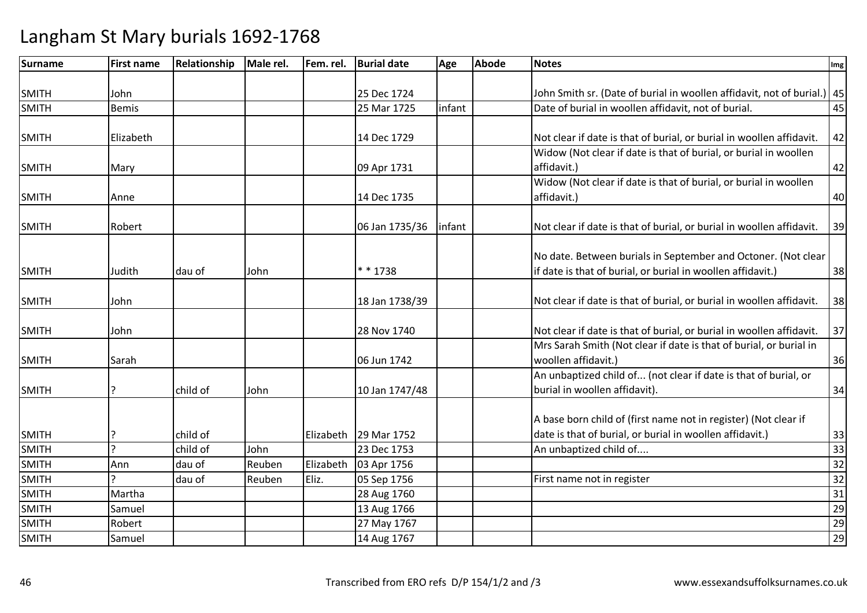| <b>Surname</b> | <b>First name</b> | Relationship | Male rel. | Fem. rel. | <b>Burial date</b> | Age     | <b>Abode</b> | <b>Notes</b>                                                              | Img             |
|----------------|-------------------|--------------|-----------|-----------|--------------------|---------|--------------|---------------------------------------------------------------------------|-----------------|
|                |                   |              |           |           |                    |         |              |                                                                           |                 |
| <b>SMITH</b>   | John              |              |           |           | 25 Dec 1724        |         |              | John Smith sr. (Date of burial in woollen affidavit, not of burial.)   45 |                 |
| <b>SMITH</b>   | <b>Bemis</b>      |              |           |           | 25 Mar 1725        | infant  |              | Date of burial in woollen affidavit, not of burial.                       | 45              |
|                |                   |              |           |           |                    |         |              |                                                                           |                 |
| <b>SMITH</b>   | Elizabeth         |              |           |           | 14 Dec 1729        |         |              | Not clear if date is that of burial, or burial in woollen affidavit.      | 42              |
|                |                   |              |           |           |                    |         |              | Widow (Not clear if date is that of burial, or burial in woollen          |                 |
| <b>SMITH</b>   | Mary              |              |           |           | 09 Apr 1731        |         |              | affidavit.)                                                               | 42              |
|                |                   |              |           |           |                    |         |              | Widow (Not clear if date is that of burial, or burial in woollen          |                 |
| <b>SMITH</b>   | Anne              |              |           |           | 14 Dec 1735        |         |              | affidavit.)                                                               | 40              |
|                |                   |              |           |           |                    |         |              |                                                                           |                 |
| <b>SMITH</b>   | Robert            |              |           |           | 06 Jan 1735/36     | linfant |              | Not clear if date is that of burial, or burial in woollen affidavit.      | 39              |
|                |                   |              |           |           |                    |         |              |                                                                           |                 |
|                |                   |              |           |           |                    |         |              | No date. Between burials in September and Octoner. (Not clear             |                 |
| <b>SMITH</b>   | Judith            | dau of       | John      |           | * * 1738           |         |              | if date is that of burial, or burial in woollen affidavit.)               | 38              |
|                |                   |              |           |           |                    |         |              |                                                                           |                 |
| <b>SMITH</b>   | John              |              |           |           | 18 Jan 1738/39     |         |              | Not clear if date is that of burial, or burial in woollen affidavit.      | 38              |
|                |                   |              |           |           |                    |         |              |                                                                           |                 |
| <b>SMITH</b>   | John              |              |           |           | 28 Nov 1740        |         |              | Not clear if date is that of burial, or burial in woollen affidavit.      | 37              |
|                |                   |              |           |           |                    |         |              | Mrs Sarah Smith (Not clear if date is that of burial, or burial in        |                 |
| <b>SMITH</b>   | Sarah             |              |           |           | 06 Jun 1742        |         |              | woollen affidavit.)                                                       | 36              |
|                |                   |              |           |           |                    |         |              | An unbaptized child of (not clear if date is that of burial, or           |                 |
| <b>SMITH</b>   | ς                 | child of     | John      |           | 10 Jan 1747/48     |         |              | burial in woollen affidavit).                                             | 34              |
|                |                   |              |           |           |                    |         |              |                                                                           |                 |
|                |                   |              |           |           |                    |         |              | A base born child of (first name not in register) (Not clear if           |                 |
| <b>SMITH</b>   |                   | child of     |           | Elizabeth | 29 Mar 1752        |         |              | date is that of burial, or burial in woollen affidavit.)                  | 33              |
| <b>SMITH</b>   | $\mathcal{L}$     | child of     | John      |           | 23 Dec 1753        |         |              | An unbaptized child of                                                    | 33              |
| <b>SMITH</b>   | Ann               | dau of       | Reuben    | Elizabeth | 03 Apr 1756        |         |              |                                                                           | 32              |
| <b>SMITH</b>   |                   | dau of       | Reuben    | Eliz.     | 05 Sep 1756        |         |              | First name not in register                                                | $\overline{32}$ |
| <b>SMITH</b>   | Martha            |              |           |           | 28 Aug 1760        |         |              |                                                                           | 31              |
| <b>SMITH</b>   | Samuel            |              |           |           | 13 Aug 1766        |         |              |                                                                           | 29              |
| <b>SMITH</b>   | Robert            |              |           |           | 27 May 1767        |         |              |                                                                           | 29              |
| <b>SMITH</b>   | Samuel            |              |           |           | 14 Aug 1767        |         |              |                                                                           | 29              |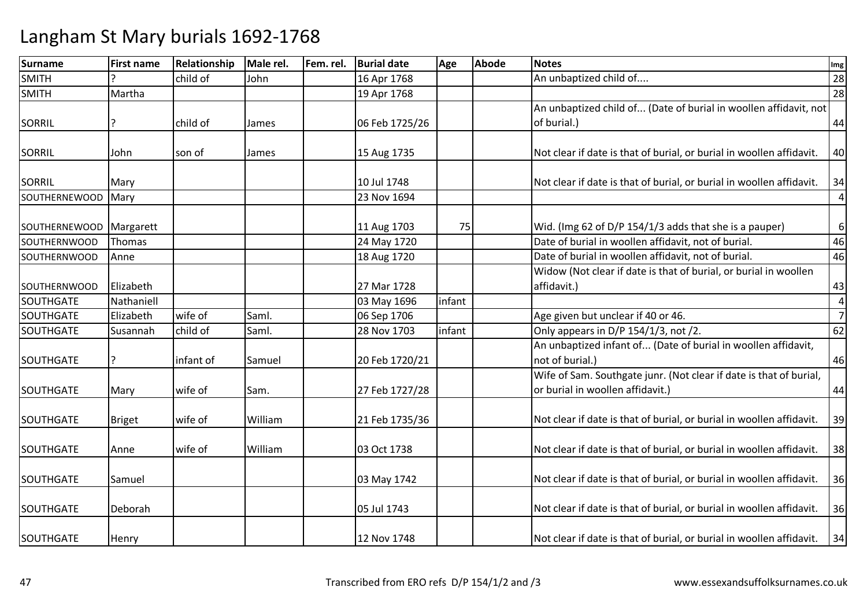| Surname              | <b>First name</b> | Relationship | Male rel. | Fem. rel. | <b>Burial date</b> | Age    | <b>Abode</b> | <b>Notes</b>                                                                                           | Img            |
|----------------------|-------------------|--------------|-----------|-----------|--------------------|--------|--------------|--------------------------------------------------------------------------------------------------------|----------------|
| <b>SMITH</b>         |                   | child of     | John      |           | 16 Apr 1768        |        |              | An unbaptized child of                                                                                 | 28             |
| <b>SMITH</b>         | Martha            |              |           |           | 19 Apr 1768        |        |              |                                                                                                        | 28             |
|                      |                   |              |           |           |                    |        |              | An unbaptized child of (Date of burial in woollen affidavit, not                                       |                |
| SORRIL               |                   | child of     | James     |           | 06 Feb 1725/26     |        |              | of burial.)                                                                                            | 44             |
| <b>SORRIL</b>        | John              | son of       | James     |           | 15 Aug 1735        |        |              | Not clear if date is that of burial, or burial in woollen affidavit.                                   | 40             |
| <b>SORRIL</b>        | Mary              |              |           |           | 10 Jul 1748        |        |              | Not clear if date is that of burial, or burial in woollen affidavit.                                   | 34             |
| <b>SOUTHERNEWOOD</b> | Mary              |              |           |           | 23 Nov 1694        |        |              |                                                                                                        | $\overline{a}$ |
| SOUTHERNEWOOD        | Margarett         |              |           |           | 11 Aug 1703        | 75     |              | Wid. (Img 62 of D/P 154/1/3 adds that she is a pauper)                                                 | 6              |
| <b>SOUTHERNWOOD</b>  | Thomas            |              |           |           | 24 May 1720        |        |              | Date of burial in woollen affidavit, not of burial.                                                    | 46             |
| SOUTHERNWOOD         | Anne              |              |           |           | 18 Aug 1720        |        |              | Date of burial in woollen affidavit, not of burial.                                                    | 46             |
|                      |                   |              |           |           |                    |        |              | Widow (Not clear if date is that of burial, or burial in woollen                                       |                |
| SOUTHERNWOOD         | Elizabeth         |              |           |           | 27 Mar 1728        |        |              | affidavit.)                                                                                            | 43             |
| <b>SOUTHGATE</b>     | Nathaniell        |              |           |           | 03 May 1696        | infant |              |                                                                                                        | $\overline{a}$ |
| <b>SOUTHGATE</b>     | Elizabeth         | wife of      | Saml.     |           | 06 Sep 1706        |        |              | Age given but unclear if 40 or 46.                                                                     | $\overline{7}$ |
| SOUTHGATE            | Susannah          | child of     | Saml.     |           | 28 Nov 1703        | infant |              | Only appears in D/P 154/1/3, not /2.                                                                   | 62             |
| <b>SOUTHGATE</b>     | P                 | infant of    | Samuel    |           | 20 Feb 1720/21     |        |              | An unbaptized infant of (Date of burial in woollen affidavit,<br>not of burial.)                       | 46             |
| <b>SOUTHGATE</b>     | Mary              | wife of      | Sam.      |           | 27 Feb 1727/28     |        |              | Wife of Sam. Southgate junr. (Not clear if date is that of burial,<br>or burial in woollen affidavit.) | 44             |
| SOUTHGATE            | <b>Briget</b>     | wife of      | William   |           | 21 Feb 1735/36     |        |              | Not clear if date is that of burial, or burial in woollen affidavit.                                   | 39             |
| <b>SOUTHGATE</b>     | Anne              | wife of      | William   |           | 03 Oct 1738        |        |              | Not clear if date is that of burial, or burial in woollen affidavit.                                   | 38             |
| SOUTHGATE            | Samuel            |              |           |           | 03 May 1742        |        |              | Not clear if date is that of burial, or burial in woollen affidavit.                                   | 36             |
| <b>SOUTHGATE</b>     | Deborah           |              |           |           | 05 Jul 1743        |        |              | Not clear if date is that of burial, or burial in woollen affidavit.                                   | 36             |
| SOUTHGATE            | Henry             |              |           |           | 12 Nov 1748        |        |              | Not clear if date is that of burial, or burial in woollen affidavit.                                   | 34             |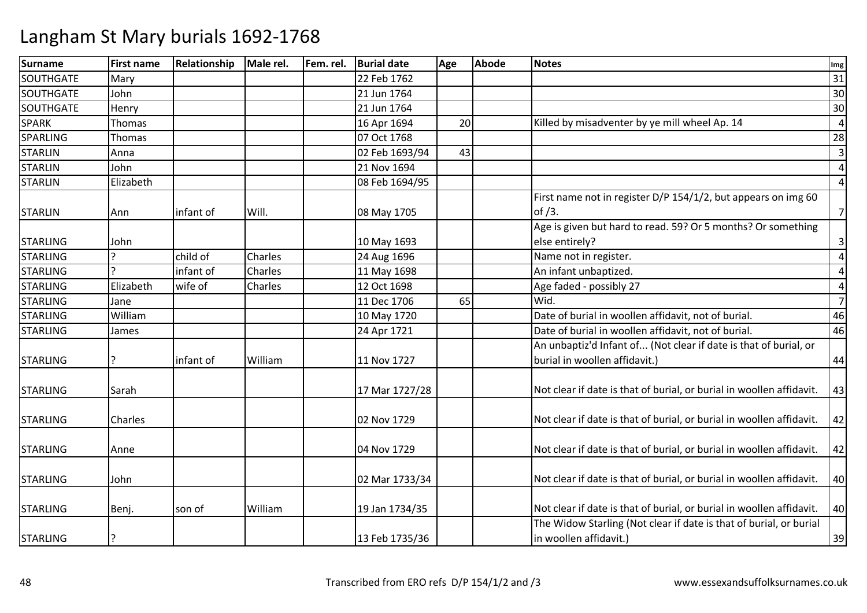| <b>Surname</b>   | <b>First name</b> | Relationship | Male rel. | Fem. rel. | <b>Burial date</b> | Age | <b>Abode</b> | <b>Notes</b>                                                         | Img            |
|------------------|-------------------|--------------|-----------|-----------|--------------------|-----|--------------|----------------------------------------------------------------------|----------------|
| <b>SOUTHGATE</b> | Mary              |              |           |           | 22 Feb 1762        |     |              |                                                                      | 31             |
| <b>SOUTHGATE</b> | John              |              |           |           | 21 Jun 1764        |     |              |                                                                      | 30             |
| SOUTHGATE        | Henry             |              |           |           | 21 Jun 1764        |     |              |                                                                      | 30             |
| <b>SPARK</b>     | Thomas            |              |           |           | 16 Apr 1694        | 20  |              | Killed by misadventer by ye mill wheel Ap. 14                        | $\overline{a}$ |
| SPARLING         | <b>Thomas</b>     |              |           |           | 07 Oct 1768        |     |              |                                                                      | 28             |
| <b>STARLIN</b>   | Anna              |              |           |           | 02 Feb 1693/94     | 43  |              |                                                                      | 3              |
| <b>STARLIN</b>   | John              |              |           |           | 21 Nov 1694        |     |              |                                                                      | $\overline{4}$ |
| <b>STARLIN</b>   | Elizabeth         |              |           |           | 08 Feb 1694/95     |     |              |                                                                      | $\overline{a}$ |
|                  |                   |              |           |           |                    |     |              | First name not in register D/P 154/1/2, but appears on img 60        |                |
| <b>STARLIN</b>   | Ann               | infant of    | Will.     |           | 08 May 1705        |     |              | of $/3$ .                                                            | $\overline{7}$ |
|                  |                   |              |           |           |                    |     |              | Age is given but hard to read. 59? Or 5 months? Or something         |                |
| <b>STARLING</b>  | John              |              |           |           | 10 May 1693        |     |              | else entirely?                                                       | 3              |
| <b>STARLING</b>  |                   | child of     | Charles   |           | 24 Aug 1696        |     |              | Name not in register.                                                | $\overline{4}$ |
| <b>STARLING</b>  | C                 | infant of    | Charles   |           | 11 May 1698        |     |              | An infant unbaptized.                                                | $\overline{4}$ |
| <b>STARLING</b>  | Elizabeth         | wife of      | Charles   |           | 12 Oct 1698        |     |              | Age faded - possibly 27                                              | $\overline{4}$ |
| <b>STARLING</b>  | Jane              |              |           |           | 11 Dec 1706        | 65  |              | Wid.                                                                 | $\overline{7}$ |
| <b>STARLING</b>  | William           |              |           |           | 10 May 1720        |     |              | Date of burial in woollen affidavit, not of burial.                  | 46             |
| <b>STARLING</b>  | James             |              |           |           | 24 Apr 1721        |     |              | Date of burial in woollen affidavit, not of burial.                  | 46             |
|                  |                   |              |           |           |                    |     |              | An unbaptiz'd Infant of (Not clear if date is that of burial, or     |                |
| <b>STARLING</b>  |                   | infant of    | William   |           | 11 Nov 1727        |     |              | burial in woollen affidavit.)                                        | 44             |
| <b>STARLING</b>  | Sarah             |              |           |           | 17 Mar 1727/28     |     |              | Not clear if date is that of burial, or burial in woollen affidavit. | 43             |
|                  |                   |              |           |           |                    |     |              |                                                                      |                |
| <b>STARLING</b>  | <b>Charles</b>    |              |           |           | 02 Nov 1729        |     |              | Not clear if date is that of burial, or burial in woollen affidavit. | 42             |
| <b>STARLING</b>  | Anne              |              |           |           | 04 Nov 1729        |     |              | Not clear if date is that of burial, or burial in woollen affidavit. | 42             |
|                  |                   |              |           |           |                    |     |              |                                                                      |                |
| <b>STARLING</b>  | John              |              |           |           | 02 Mar 1733/34     |     |              | Not clear if date is that of burial, or burial in woollen affidavit. | 40             |
| <b>STARLING</b>  | Benj.             | son of       | William   |           | 19 Jan 1734/35     |     |              | Not clear if date is that of burial, or burial in woollen affidavit. | 40             |
|                  |                   |              |           |           |                    |     |              | The Widow Starling (Not clear if date is that of burial, or burial   |                |
| <b>STARLING</b>  | ?                 |              |           |           | 13 Feb 1735/36     |     |              | in woollen affidavit.)                                               | 39             |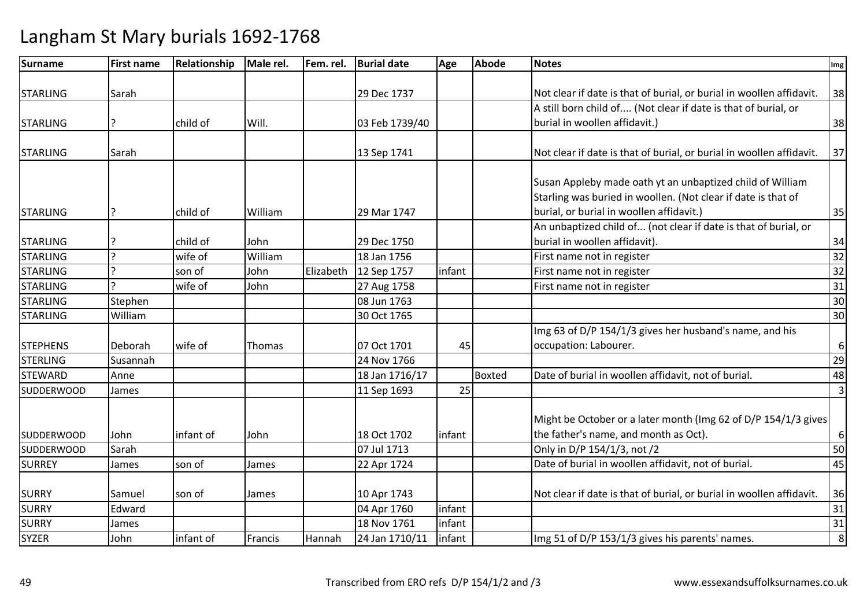| <b>Surname</b>    | <b>First name</b> | Relationship | Male rel. | Fem. rel. | <b>Burial date</b> | Age    | <b>Abode</b>  | <b>Notes</b>                                                         | Img              |
|-------------------|-------------------|--------------|-----------|-----------|--------------------|--------|---------------|----------------------------------------------------------------------|------------------|
|                   |                   |              |           |           |                    |        |               |                                                                      |                  |
| <b>STARLING</b>   | Sarah             |              |           |           | 29 Dec 1737        |        |               | Not clear if date is that of burial, or burial in woollen affidavit. | 38               |
|                   |                   |              |           |           |                    |        |               | A still born child of (Not clear if date is that of burial, or       |                  |
| <b>STARLING</b>   |                   | child of     | Will.     |           | 03 Feb 1739/40     |        |               | burial in woollen affidavit.)                                        | 38               |
|                   |                   |              |           |           |                    |        |               |                                                                      |                  |
| <b>STARLING</b>   | Sarah             |              |           |           | 13 Sep 1741        |        |               | Not clear if date is that of burial, or burial in woollen affidavit. | 37               |
|                   |                   |              |           |           |                    |        |               | Susan Appleby made oath yt an unbaptized child of William            |                  |
|                   |                   |              |           |           |                    |        |               | Starling was buried in woollen. (Not clear if date is that of        |                  |
|                   |                   | child of     | William   |           | 29 Mar 1747        |        |               | burial, or burial in woollen affidavit.)                             |                  |
| <b>STARLING</b>   |                   |              |           |           |                    |        |               | An unbaptized child of (not clear if date is that of burial, or      | 35               |
|                   |                   |              |           |           |                    |        |               |                                                                      |                  |
| <b>STARLING</b>   | ς                 | child of     | John      |           | 29 Dec 1750        |        |               | burial in woollen affidavit).                                        | 34               |
| <b>STARLING</b>   | C                 | wife of      | William   |           | 18 Jan 1756        |        |               | First name not in register                                           | 32               |
| <b>STARLING</b>   |                   | son of       | John      | Elizabeth | 12 Sep 1757        | infant |               | First name not in register                                           | 32               |
| <b>STARLING</b>   |                   | wife of      | John      |           | 27 Aug 1758        |        |               | First name not in register                                           | 31               |
| <b>STARLING</b>   | Stephen           |              |           |           | 08 Jun 1763        |        |               |                                                                      | 30               |
| <b>STARLING</b>   | William           |              |           |           | 30 Oct 1765        |        |               |                                                                      | 30               |
|                   |                   |              |           |           |                    |        |               | Img 63 of D/P 154/1/3 gives her husband's name, and his              |                  |
| <b>STEPHENS</b>   | Deborah           | wife of      | Thomas    |           | 07 Oct 1701        | 45     |               | occupation: Labourer.                                                | $\boldsymbol{6}$ |
| <b>STERLING</b>   | Susannah          |              |           |           | 24 Nov 1766        |        |               |                                                                      | 29               |
| <b>STEWARD</b>    | Anne              |              |           |           | 18 Jan 1716/17     |        | <b>Boxted</b> | Date of burial in woollen affidavit, not of burial.                  | 48               |
| <b>SUDDERWOOD</b> | James             |              |           |           | 11 Sep 1693        | 25     |               |                                                                      | $\overline{3}$   |
|                   |                   |              |           |           |                    |        |               |                                                                      |                  |
|                   |                   |              |           |           |                    |        |               | Might be October or a later month (Img 62 of D/P 154/1/3 gives       |                  |
| <b>SUDDERWOOD</b> | John              | infant of    | John      |           | 18 Oct 1702        | infant |               | the father's name, and month as Oct).                                | 6                |
| <b>SUDDERWOOD</b> | Sarah             |              |           |           | 07 Jul 1713        |        |               | Only in D/P 154/1/3, not /2                                          | 50               |
| <b>SURREY</b>     | James             | son of       | James     |           | 22 Apr 1724        |        |               | Date of burial in woollen affidavit, not of burial.                  | 45               |
| <b>SURRY</b>      | Samuel            | son of       | James     |           | 10 Apr 1743        |        |               | Not clear if date is that of burial, or burial in woollen affidavit. | 36               |
| <b>SURRY</b>      | Edward            |              |           |           | 04 Apr 1760        | infant |               |                                                                      | 31               |
| <b>SURRY</b>      | James             |              |           |           | 18 Nov 1761        | infant |               |                                                                      | 31               |
| <b>SYZER</b>      | John              | infant of    | Francis   | Hannah    | 24 Jan 1710/11     | infant |               | Img 51 of D/P 153/1/3 gives his parents' names.                      | 8                |
|                   |                   |              |           |           |                    |        |               |                                                                      |                  |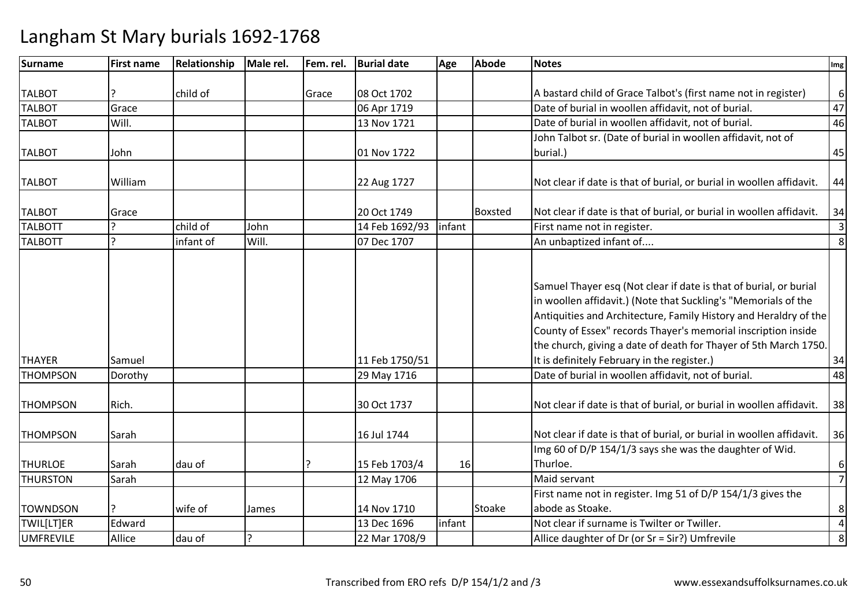| Surname          | <b>First name</b> | Relationship | Male rel. | Fem. rel. | <b>Burial date</b> | Age    | <b>Abode</b>   | <b>Notes</b>                                                         | Img            |
|------------------|-------------------|--------------|-----------|-----------|--------------------|--------|----------------|----------------------------------------------------------------------|----------------|
|                  |                   |              |           |           |                    |        |                |                                                                      |                |
| <b>TALBOT</b>    |                   | child of     |           | Grace     | 08 Oct 1702        |        |                | A bastard child of Grace Talbot's (first name not in register)       | $6 \mid$       |
| <b>TALBOT</b>    | Grace             |              |           |           | 06 Apr 1719        |        |                | Date of burial in woollen affidavit, not of burial.                  | 47             |
| <b>TALBOT</b>    | Will.             |              |           |           | 13 Nov 1721        |        |                | Date of burial in woollen affidavit, not of burial.                  | 46             |
|                  |                   |              |           |           |                    |        |                | John Talbot sr. (Date of burial in woollen affidavit, not of         |                |
| <b>TALBOT</b>    | John              |              |           |           | 01 Nov 1722        |        |                | burial.)                                                             | 45             |
|                  |                   |              |           |           |                    |        |                |                                                                      |                |
| <b>TALBOT</b>    | William           |              |           |           | 22 Aug 1727        |        |                | Not clear if date is that of burial, or burial in woollen affidavit. | 44             |
| <b>TALBOT</b>    | Grace             |              |           |           | 20 Oct 1749        |        | <b>Boxsted</b> | Not clear if date is that of burial, or burial in woollen affidavit. | 34             |
| <b>TALBOTT</b>   | ς                 | child of     | John      |           | 14 Feb 1692/93     | infant |                | First name not in register.                                          | $\mathbf{3}$   |
| <b>TALBOTT</b>   | ς                 | infant of    | Will.     |           | 07 Dec 1707        |        |                | An unbaptized infant of                                              | 8              |
|                  |                   |              |           |           |                    |        |                |                                                                      |                |
|                  |                   |              |           |           |                    |        |                |                                                                      |                |
|                  |                   |              |           |           |                    |        |                | Samuel Thayer esq (Not clear if date is that of burial, or burial    |                |
|                  |                   |              |           |           |                    |        |                | in woollen affidavit.) (Note that Suckling's "Memorials of the       |                |
|                  |                   |              |           |           |                    |        |                | Antiquities and Architecture, Family History and Heraldry of the     |                |
|                  |                   |              |           |           |                    |        |                | County of Essex" records Thayer's memorial inscription inside        |                |
|                  |                   |              |           |           |                    |        |                | the church, giving a date of death for Thayer of 5th March 1750.     |                |
| <b>THAYER</b>    | Samuel            |              |           |           | 11 Feb 1750/51     |        |                | It is definitely February in the register.)                          | 34             |
| <b>THOMPSON</b>  | Dorothy           |              |           |           | 29 May 1716        |        |                | Date of burial in woollen affidavit, not of burial.                  | 48             |
| <b>THOMPSON</b>  | Rich.             |              |           |           | 30 Oct 1737        |        |                | Not clear if date is that of burial, or burial in woollen affidavit. | 38             |
|                  |                   |              |           |           |                    |        |                |                                                                      |                |
| <b>THOMPSON</b>  | Sarah             |              |           |           | 16 Jul 1744        |        |                | Not clear if date is that of burial, or burial in woollen affidavit. | 36             |
|                  |                   |              |           |           |                    |        |                | Img 60 of D/P 154/1/3 says she was the daughter of Wid.              |                |
| <b>THURLOE</b>   | Sarah             | dau of       |           |           | 15 Feb 1703/4      | 16     |                | Thurloe.                                                             | $6 \mid$       |
| <b>THURSTON</b>  | Sarah             |              |           |           | 12 May 1706        |        |                | Maid servant                                                         | $\overline{7}$ |
|                  |                   |              |           |           |                    |        |                | First name not in register. Img 51 of D/P 154/1/3 gives the          |                |
| <b>TOWNDSON</b>  |                   | wife of      | James     |           | 14 Nov 1710        |        | <b>Stoake</b>  | abode as Stoake.                                                     | 8 <sup>1</sup> |
| TWIL[LT]ER       | Edward            |              |           |           | 13 Dec 1696        | infant |                | Not clear if surname is Twilter or Twiller.                          | $\overline{4}$ |
| <b>UMFREVILE</b> | Allice            | dau of       | C         |           | 22 Mar 1708/9      |        |                | Allice daughter of Dr (or Sr = Sir?) Umfrevile                       | 8 <sup>1</sup> |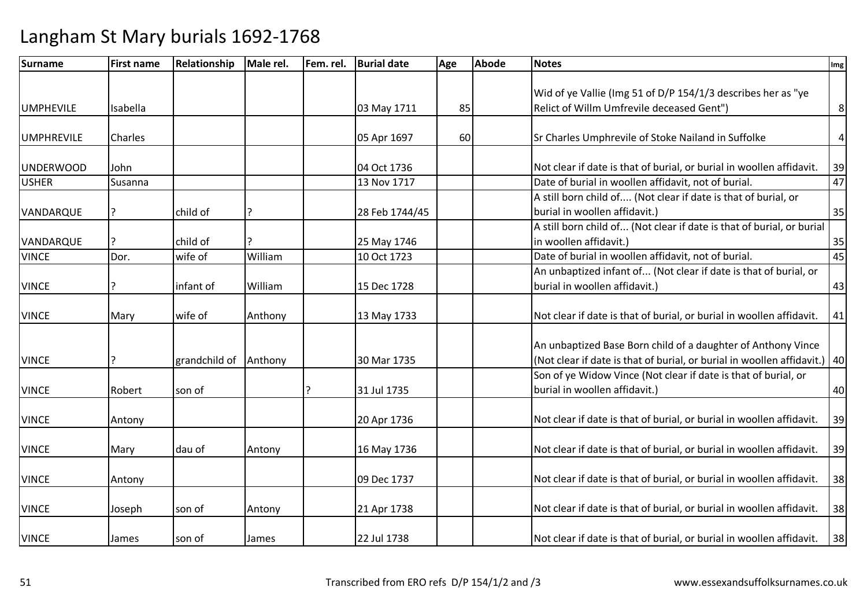| Surname           | <b>First name</b> | <b>Relationship</b> | Male rel. | Fem. rel. | <b>Burial date</b> | Age | <b>Abode</b> | <b>Notes</b>                                                                  | Img |
|-------------------|-------------------|---------------------|-----------|-----------|--------------------|-----|--------------|-------------------------------------------------------------------------------|-----|
|                   |                   |                     |           |           |                    |     |              |                                                                               |     |
|                   |                   |                     |           |           |                    |     |              | Wid of ye Vallie (Img 51 of D/P 154/1/3 describes her as "ye                  |     |
| <b>UMPHEVILE</b>  | Isabella          |                     |           |           | 03 May 1711        | 85  |              | Relict of Willm Umfrevile deceased Gent")                                     | 8   |
|                   |                   |                     |           |           |                    |     |              |                                                                               |     |
| <b>UMPHREVILE</b> | Charles           |                     |           |           | 05 Apr 1697        | 60  |              | Sr Charles Umphrevile of Stoke Nailand in Suffolke                            | 4   |
| <b>UNDERWOOD</b>  | John              |                     |           |           | 04 Oct 1736        |     |              | Not clear if date is that of burial, or burial in woollen affidavit.          | 39  |
| <b>USHER</b>      | Susanna           |                     |           |           | 13 Nov 1717        |     |              | Date of burial in woollen affidavit, not of burial.                           | 47  |
|                   |                   |                     |           |           |                    |     |              | A still born child of (Not clear if date is that of burial, or                |     |
| VANDARQUE         |                   | child of            |           |           | 28 Feb 1744/45     |     |              | burial in woollen affidavit.)                                                 | 35  |
|                   |                   |                     |           |           |                    |     |              | A still born child of (Not clear if date is that of burial, or burial         |     |
| VANDARQUE         |                   | child of            |           |           | 25 May 1746        |     |              | in woollen affidavit.)                                                        | 35  |
| <b>VINCE</b>      | Dor.              | wife of             | William   |           | 10 Oct 1723        |     |              | Date of burial in woollen affidavit, not of burial.                           | 45  |
|                   |                   |                     |           |           |                    |     |              | An unbaptized infant of (Not clear if date is that of burial, or              |     |
| <b>VINCE</b>      |                   | infant of           | William   |           | 15 Dec 1728        |     |              | burial in woollen affidavit.)                                                 | 43  |
| <b>VINCE</b>      | Mary              | wife of             | Anthony   |           | 13 May 1733        |     |              | Not clear if date is that of burial, or burial in woollen affidavit.          | 41  |
|                   |                   |                     |           |           |                    |     |              |                                                                               |     |
|                   |                   |                     |           |           |                    |     |              | An unbaptized Base Born child of a daughter of Anthony Vince                  |     |
| <b>VINCE</b>      |                   | grandchild of       | Anthony   |           | 30 Mar 1735        |     |              | (Not clear if date is that of burial, or burial in woollen affidavit.) $ 40 $ |     |
|                   |                   |                     |           |           |                    |     |              | Son of ye Widow Vince (Not clear if date is that of burial, or                |     |
| <b>VINCE</b>      | Robert            | son of              |           |           | 31 Jul 1735        |     |              | burial in woollen affidavit.)                                                 | 40  |
|                   |                   |                     |           |           |                    |     |              |                                                                               |     |
| <b>VINCE</b>      | Antony            |                     |           |           | 20 Apr 1736        |     |              | Not clear if date is that of burial, or burial in woollen affidavit.          | 39  |
|                   |                   |                     |           |           |                    |     |              |                                                                               |     |
| <b>VINCE</b>      | Mary              | dau of              | Antony    |           | 16 May 1736        |     |              | Not clear if date is that of burial, or burial in woollen affidavit.          | 39  |
| <b>VINCE</b>      | Antony            |                     |           |           | 09 Dec 1737        |     |              | Not clear if date is that of burial, or burial in woollen affidavit.          | 38  |
|                   |                   |                     |           |           |                    |     |              |                                                                               |     |
| <b>VINCE</b>      | Joseph            | son of              | Antony    |           | 21 Apr 1738        |     |              | Not clear if date is that of burial, or burial in woollen affidavit.          | 38  |
| <b>VINCE</b>      | James             | son of              | James     |           | 22 Jul 1738        |     |              | Not clear if date is that of burial, or burial in woollen affidavit.          | 38  |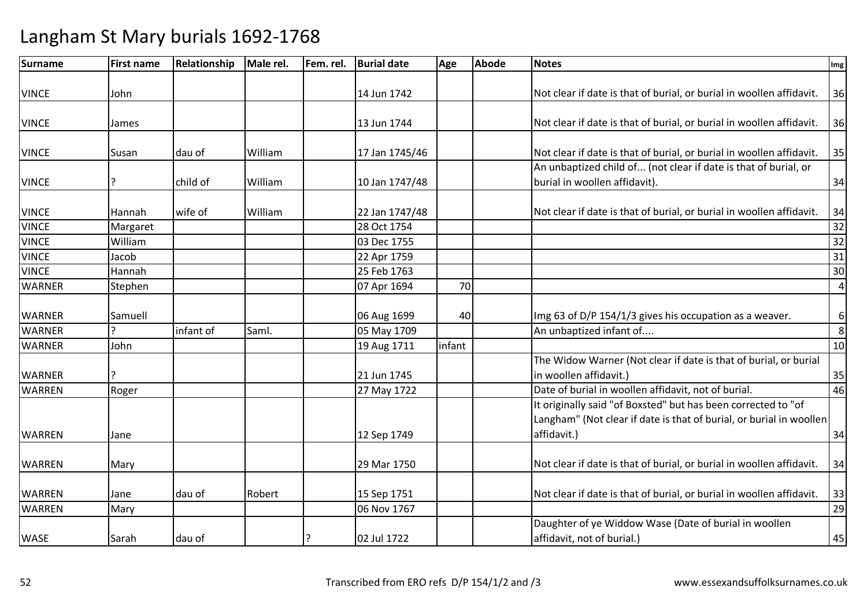| <b>Surname</b> | <b>First name</b> | Relationship | Male rel. | Fem. rel. | <b>Burial date</b> | Age    | <b>Abode</b> | <b>Notes</b>                                                         | Img            |
|----------------|-------------------|--------------|-----------|-----------|--------------------|--------|--------------|----------------------------------------------------------------------|----------------|
|                |                   |              |           |           |                    |        |              |                                                                      |                |
| <b>VINCE</b>   | John              |              |           |           | 14 Jun 1742        |        |              | Not clear if date is that of burial, or burial in woollen affidavit. | 36             |
|                |                   |              |           |           |                    |        |              |                                                                      |                |
| <b>VINCE</b>   | James             |              |           |           | 13 Jun 1744        |        |              | Not clear if date is that of burial, or burial in woollen affidavit. | 36             |
| <b>VINCE</b>   | Susan             | dau of       | William   |           | 17 Jan 1745/46     |        |              | Not clear if date is that of burial, or burial in woollen affidavit. | 35             |
|                |                   |              |           |           |                    |        |              | An unbaptized child of (not clear if date is that of burial, or      |                |
| <b>VINCE</b>   |                   | child of     | William   |           | 10 Jan 1747/48     |        |              | burial in woollen affidavit).                                        | 34             |
| <b>VINCE</b>   | Hannah            | wife of      | William   |           | 22 Jan 1747/48     |        |              | Not clear if date is that of burial, or burial in woollen affidavit. | 34             |
| <b>VINCE</b>   | Margaret          |              |           |           | 28 Oct 1754        |        |              |                                                                      | 32             |
| <b>VINCE</b>   | William           |              |           |           | 03 Dec 1755        |        |              |                                                                      | 32             |
| <b>VINCE</b>   | Jacob             |              |           |           | 22 Apr 1759        |        |              |                                                                      | 31             |
| <b>VINCE</b>   | Hannah            |              |           |           | 25 Feb 1763        |        |              |                                                                      | 30             |
| <b>WARNER</b>  | Stephen           |              |           |           | 07 Apr 1694        | 70     |              |                                                                      | $\overline{4}$ |
| <b>WARNER</b>  | Samuell           |              |           |           | 06 Aug 1699        | 40     |              | Img 63 of D/P 154/1/3 gives his occupation as a weaver.              | $6 \mid$       |
| <b>WARNER</b>  | C                 | infant of    | Saml.     |           | 05 May 1709        |        |              | An unbaptized infant of                                              | 8              |
| <b>WARNER</b>  | John              |              |           |           | 19 Aug 1711        | infant |              |                                                                      | 10             |
|                |                   |              |           |           |                    |        |              | The Widow Warner (Not clear if date is that of burial, or burial     |                |
| <b>WARNER</b>  | 7                 |              |           |           | 21 Jun 1745        |        |              | in woollen affidavit.                                                | 35             |
| <b>WARREN</b>  | Roger             |              |           |           | 27 May 1722        |        |              | Date of burial in woollen affidavit, not of burial.                  | 46             |
|                |                   |              |           |           |                    |        |              | It originally said "of Boxsted" but has been corrected to "of        |                |
|                |                   |              |           |           |                    |        |              | Langham" (Not clear if date is that of burial, or burial in woollen  |                |
| <b>WARREN</b>  | Jane              |              |           |           | 12 Sep 1749        |        |              | affidavit.)                                                          | 34             |
| <b>WARREN</b>  | Mary              |              |           |           | 29 Mar 1750        |        |              | Not clear if date is that of burial, or burial in woollen affidavit. | 34             |
|                |                   |              |           |           |                    |        |              |                                                                      |                |
| <b>WARREN</b>  | Jane              | dau of       | Robert    |           | 15 Sep 1751        |        |              | Not clear if date is that of burial, or burial in woollen affidavit. | 33             |
| <b>WARREN</b>  | Mary              |              |           |           | 06 Nov 1767        |        |              |                                                                      | 29             |
|                |                   |              |           |           |                    |        |              | Daughter of ye Widdow Wase (Date of burial in woollen                |                |
| <b>WASE</b>    | Sarah             | dau of       |           |           | 02 Jul 1722        |        |              | affidavit, not of burial.)                                           | 45             |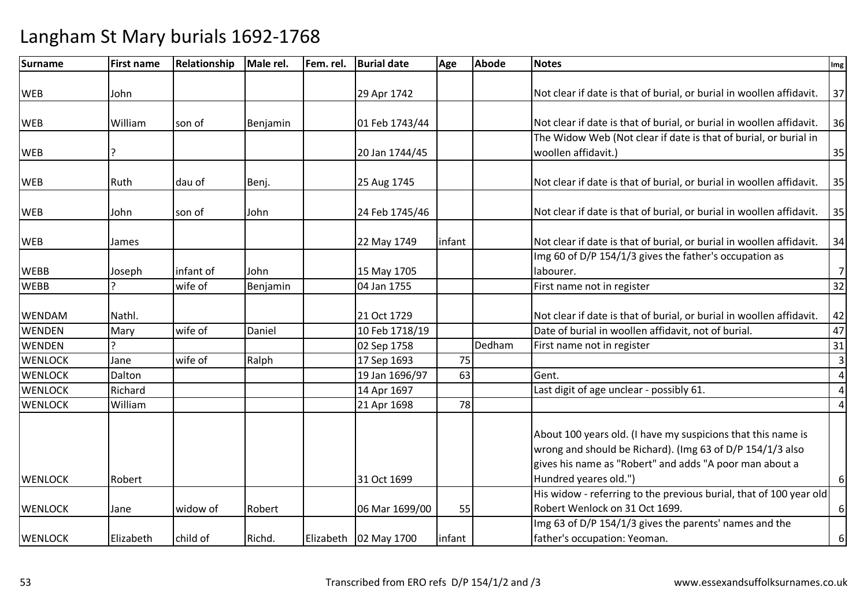| <b>First name</b> | Relationship                                                      | Male rel.        | Fem. rel.         | <b>Burial date</b> | Age                                                                                                                                                      | <b>Abode</b> | <b>Notes</b>                                                         | Img                                                                                                                                                                                                                                                                                                                                                                                                                                                                                                                                                                                                                                                                                                                                                                                                                                                       |
|-------------------|-------------------------------------------------------------------|------------------|-------------------|--------------------|----------------------------------------------------------------------------------------------------------------------------------------------------------|--------------|----------------------------------------------------------------------|-----------------------------------------------------------------------------------------------------------------------------------------------------------------------------------------------------------------------------------------------------------------------------------------------------------------------------------------------------------------------------------------------------------------------------------------------------------------------------------------------------------------------------------------------------------------------------------------------------------------------------------------------------------------------------------------------------------------------------------------------------------------------------------------------------------------------------------------------------------|
|                   |                                                                   |                  |                   |                    |                                                                                                                                                          |              |                                                                      |                                                                                                                                                                                                                                                                                                                                                                                                                                                                                                                                                                                                                                                                                                                                                                                                                                                           |
|                   |                                                                   |                  |                   |                    |                                                                                                                                                          |              |                                                                      | 37                                                                                                                                                                                                                                                                                                                                                                                                                                                                                                                                                                                                                                                                                                                                                                                                                                                        |
|                   |                                                                   |                  |                   |                    |                                                                                                                                                          |              |                                                                      |                                                                                                                                                                                                                                                                                                                                                                                                                                                                                                                                                                                                                                                                                                                                                                                                                                                           |
|                   |                                                                   |                  |                   |                    |                                                                                                                                                          |              |                                                                      | 36                                                                                                                                                                                                                                                                                                                                                                                                                                                                                                                                                                                                                                                                                                                                                                                                                                                        |
|                   |                                                                   |                  |                   |                    |                                                                                                                                                          |              |                                                                      |                                                                                                                                                                                                                                                                                                                                                                                                                                                                                                                                                                                                                                                                                                                                                                                                                                                           |
|                   |                                                                   |                  |                   |                    |                                                                                                                                                          |              |                                                                      | 35                                                                                                                                                                                                                                                                                                                                                                                                                                                                                                                                                                                                                                                                                                                                                                                                                                                        |
|                   |                                                                   |                  |                   |                    |                                                                                                                                                          |              |                                                                      |                                                                                                                                                                                                                                                                                                                                                                                                                                                                                                                                                                                                                                                                                                                                                                                                                                                           |
|                   |                                                                   |                  |                   |                    |                                                                                                                                                          |              |                                                                      | 35                                                                                                                                                                                                                                                                                                                                                                                                                                                                                                                                                                                                                                                                                                                                                                                                                                                        |
| John              | son of                                                            | John             |                   | 24 Feb 1745/46     |                                                                                                                                                          |              | Not clear if date is that of burial, or burial in woollen affidavit. | 35                                                                                                                                                                                                                                                                                                                                                                                                                                                                                                                                                                                                                                                                                                                                                                                                                                                        |
|                   |                                                                   |                  |                   |                    |                                                                                                                                                          |              |                                                                      | 34                                                                                                                                                                                                                                                                                                                                                                                                                                                                                                                                                                                                                                                                                                                                                                                                                                                        |
|                   |                                                                   |                  |                   |                    |                                                                                                                                                          |              |                                                                      |                                                                                                                                                                                                                                                                                                                                                                                                                                                                                                                                                                                                                                                                                                                                                                                                                                                           |
|                   | infant of                                                         | John             |                   |                    |                                                                                                                                                          |              | labourer.                                                            | $\overline{7}$                                                                                                                                                                                                                                                                                                                                                                                                                                                                                                                                                                                                                                                                                                                                                                                                                                            |
|                   | wife of                                                           | Benjamin         |                   | 04 Jan 1755        |                                                                                                                                                          |              | First name not in register                                           | 32                                                                                                                                                                                                                                                                                                                                                                                                                                                                                                                                                                                                                                                                                                                                                                                                                                                        |
|                   |                                                                   |                  |                   |                    |                                                                                                                                                          |              |                                                                      |                                                                                                                                                                                                                                                                                                                                                                                                                                                                                                                                                                                                                                                                                                                                                                                                                                                           |
| Nathl.            |                                                                   |                  |                   | 21 Oct 1729        |                                                                                                                                                          |              | Not clear if date is that of burial, or burial in woollen affidavit. | 42                                                                                                                                                                                                                                                                                                                                                                                                                                                                                                                                                                                                                                                                                                                                                                                                                                                        |
| Mary              | wife of                                                           | Daniel           |                   | 10 Feb 1718/19     |                                                                                                                                                          |              |                                                                      | 47                                                                                                                                                                                                                                                                                                                                                                                                                                                                                                                                                                                                                                                                                                                                                                                                                                                        |
|                   |                                                                   |                  |                   | 02 Sep 1758        |                                                                                                                                                          | Dedham       | First name not in register                                           | 31                                                                                                                                                                                                                                                                                                                                                                                                                                                                                                                                                                                                                                                                                                                                                                                                                                                        |
| Jane              | wife of                                                           | Ralph            |                   | 17 Sep 1693        |                                                                                                                                                          |              |                                                                      | $\overline{\mathbf{3}}$                                                                                                                                                                                                                                                                                                                                                                                                                                                                                                                                                                                                                                                                                                                                                                                                                                   |
| Dalton            |                                                                   |                  |                   | 19 Jan 1696/97     |                                                                                                                                                          |              | Gent.                                                                | $\overline{4}$                                                                                                                                                                                                                                                                                                                                                                                                                                                                                                                                                                                                                                                                                                                                                                                                                                            |
| Richard           |                                                                   |                  |                   | 14 Apr 1697        |                                                                                                                                                          |              | Last digit of age unclear - possibly 61.                             | $\overline{4}$                                                                                                                                                                                                                                                                                                                                                                                                                                                                                                                                                                                                                                                                                                                                                                                                                                            |
| William           |                                                                   |                  |                   | 21 Apr 1698        |                                                                                                                                                          |              |                                                                      | 4                                                                                                                                                                                                                                                                                                                                                                                                                                                                                                                                                                                                                                                                                                                                                                                                                                                         |
|                   |                                                                   |                  |                   |                    |                                                                                                                                                          |              |                                                                      |                                                                                                                                                                                                                                                                                                                                                                                                                                                                                                                                                                                                                                                                                                                                                                                                                                                           |
|                   |                                                                   |                  |                   |                    |                                                                                                                                                          |              |                                                                      |                                                                                                                                                                                                                                                                                                                                                                                                                                                                                                                                                                                                                                                                                                                                                                                                                                                           |
|                   |                                                                   |                  |                   |                    |                                                                                                                                                          |              |                                                                      |                                                                                                                                                                                                                                                                                                                                                                                                                                                                                                                                                                                                                                                                                                                                                                                                                                                           |
|                   |                                                                   |                  |                   |                    |                                                                                                                                                          |              |                                                                      | 6                                                                                                                                                                                                                                                                                                                                                                                                                                                                                                                                                                                                                                                                                                                                                                                                                                                         |
|                   |                                                                   |                  |                   |                    |                                                                                                                                                          |              |                                                                      |                                                                                                                                                                                                                                                                                                                                                                                                                                                                                                                                                                                                                                                                                                                                                                                                                                                           |
|                   | widow of                                                          | Robert           |                   |                    |                                                                                                                                                          |              | Robert Wenlock on 31 Oct 1699.                                       | 6                                                                                                                                                                                                                                                                                                                                                                                                                                                                                                                                                                                                                                                                                                                                                                                                                                                         |
|                   |                                                                   |                  |                   |                    |                                                                                                                                                          |              |                                                                      |                                                                                                                                                                                                                                                                                                                                                                                                                                                                                                                                                                                                                                                                                                                                                                                                                                                           |
| Elizabeth         | child of                                                          | Richd.           |                   |                    | infant                                                                                                                                                   |              | father's occupation: Yeoman.                                         | 6                                                                                                                                                                                                                                                                                                                                                                                                                                                                                                                                                                                                                                                                                                                                                                                                                                                         |
|                   | John<br>William<br>?<br>Ruth<br>James<br>Joseph<br>Robert<br>Jane | son of<br>dau of | Benjamin<br>Benj. |                    | 29 Apr 1742<br>01 Feb 1743/44<br>20 Jan 1744/45<br>25 Aug 1745<br>22 May 1749<br>15 May 1705<br>31 Oct 1699<br>06 Mar 1699/00<br>Elizabeth   02 May 1700 | infant       | 75<br>63<br>78<br>55                                                 | Not clear if date is that of burial, or burial in woollen affidavit.<br>Not clear if date is that of burial, or burial in woollen affidavit.<br>The Widow Web (Not clear if date is that of burial, or burial in<br>woollen affidavit.)<br>Not clear if date is that of burial, or burial in woollen affidavit.<br>Not clear if date is that of burial, or burial in woollen affidavit.<br>Img 60 of D/P 154/1/3 gives the father's occupation as<br>Date of burial in woollen affidavit, not of burial.<br>About 100 years old. (I have my suspicions that this name is<br>wrong and should be Richard). (Img 63 of D/P 154/1/3 also<br>gives his name as "Robert" and adds "A poor man about a<br>Hundred yeares old.")<br>His widow - referring to the previous burial, that of 100 year old<br>Img 63 of D/P 154/1/3 gives the parents' names and the |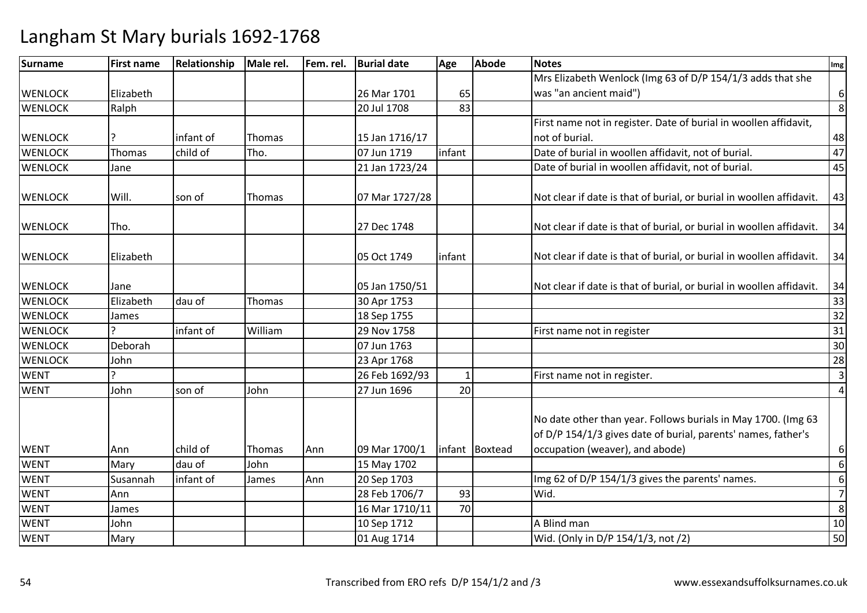| Surname        | <b>First name</b> | Relationship | Male rel. | Fem. rel. | <b>Burial date</b> | Age          | <b>Abode</b>   | <b>Notes</b>                                                                                                                                                      | Img              |
|----------------|-------------------|--------------|-----------|-----------|--------------------|--------------|----------------|-------------------------------------------------------------------------------------------------------------------------------------------------------------------|------------------|
|                |                   |              |           |           |                    |              |                | Mrs Elizabeth Wenlock (Img 63 of D/P 154/1/3 adds that she                                                                                                        |                  |
| <b>WENLOCK</b> | Elizabeth         |              |           |           | 26 Mar 1701        | 65           |                | was "an ancient maid")                                                                                                                                            | $\boldsymbol{6}$ |
| <b>WENLOCK</b> | Ralph             |              |           |           | 20 Jul 1708        | 83           |                |                                                                                                                                                                   | 8                |
|                |                   |              |           |           |                    |              |                | First name not in register. Date of burial in woollen affidavit,                                                                                                  |                  |
| <b>WENLOCK</b> | ?                 | infant of    | Thomas    |           | 15 Jan 1716/17     |              |                | not of burial.                                                                                                                                                    | 48               |
| <b>WENLOCK</b> | Thomas            | child of     | Tho.      |           | 07 Jun 1719        | infant       |                | Date of burial in woollen affidavit, not of burial.                                                                                                               | 47               |
| <b>WENLOCK</b> | Jane              |              |           |           | 21 Jan 1723/24     |              |                | Date of burial in woollen affidavit, not of burial.                                                                                                               | 45               |
| <b>WENLOCK</b> | Will.             | son of       | Thomas    |           | 07 Mar 1727/28     |              |                | Not clear if date is that of burial, or burial in woollen affidavit.                                                                                              | 43               |
| <b>WENLOCK</b> | Tho.              |              |           |           | 27 Dec 1748        |              |                | Not clear if date is that of burial, or burial in woollen affidavit.                                                                                              | 34               |
| <b>WENLOCK</b> | Elizabeth         |              |           |           | 05 Oct 1749        | infant       |                | Not clear if date is that of burial, or burial in woollen affidavit.                                                                                              | 34               |
| <b>WENLOCK</b> | Jane              |              |           |           | 05 Jan 1750/51     |              |                | Not clear if date is that of burial, or burial in woollen affidavit.                                                                                              | 34               |
| <b>WENLOCK</b> | Elizabeth         | dau of       | Thomas    |           | 30 Apr 1753        |              |                |                                                                                                                                                                   | 33               |
| <b>WENLOCK</b> | James             |              |           |           | 18 Sep 1755        |              |                |                                                                                                                                                                   | 32               |
| <b>WENLOCK</b> |                   | infant of    | William   |           | 29 Nov 1758        |              |                | First name not in register                                                                                                                                        | 31               |
| <b>WENLOCK</b> | Deborah           |              |           |           | 07 Jun 1763        |              |                |                                                                                                                                                                   | 30               |
| <b>WENLOCK</b> | John              |              |           |           | 23 Apr 1768        |              |                |                                                                                                                                                                   | 28               |
| <b>WENT</b>    |                   |              |           |           | 26 Feb 1692/93     | $\mathbf{1}$ |                | First name not in register.                                                                                                                                       | $\mathsf{3}$     |
| <b>WENT</b>    | John              | son of       | John      |           | 27 Jun 1696        | 20           |                |                                                                                                                                                                   | $\overline{4}$   |
| <b>WENT</b>    | Ann               | child of     | Thomas    | Ann       | 09 Mar 1700/1      |              | infant Boxtead | No date other than year. Follows burials in May 1700. (Img 63<br>of D/P 154/1/3 gives date of burial, parents' names, father's<br>occupation (weaver), and abode) | 6                |
| <b>WENT</b>    | Mary              | dau of       | John      |           | 15 May 1702        |              |                |                                                                                                                                                                   | $\boldsymbol{6}$ |
| <b>WENT</b>    | Susannah          | infant of    | James     | Ann       | 20 Sep 1703        |              |                | Img 62 of D/P 154/1/3 gives the parents' names.                                                                                                                   | $\boldsymbol{6}$ |
| <b>WENT</b>    | Ann               |              |           |           | 28 Feb 1706/7      | 93           |                | Wid.                                                                                                                                                              | $\overline{7}$   |
| <b>WENT</b>    | James             |              |           |           | 16 Mar 1710/11     | 70           |                |                                                                                                                                                                   | 8                |
| <b>WENT</b>    | John              |              |           |           | 10 Sep 1712        |              |                | A Blind man                                                                                                                                                       | 10               |
| <b>WENT</b>    | Mary              |              |           |           | 01 Aug 1714        |              |                | Wid. (Only in D/P 154/1/3, not /2)                                                                                                                                | 50               |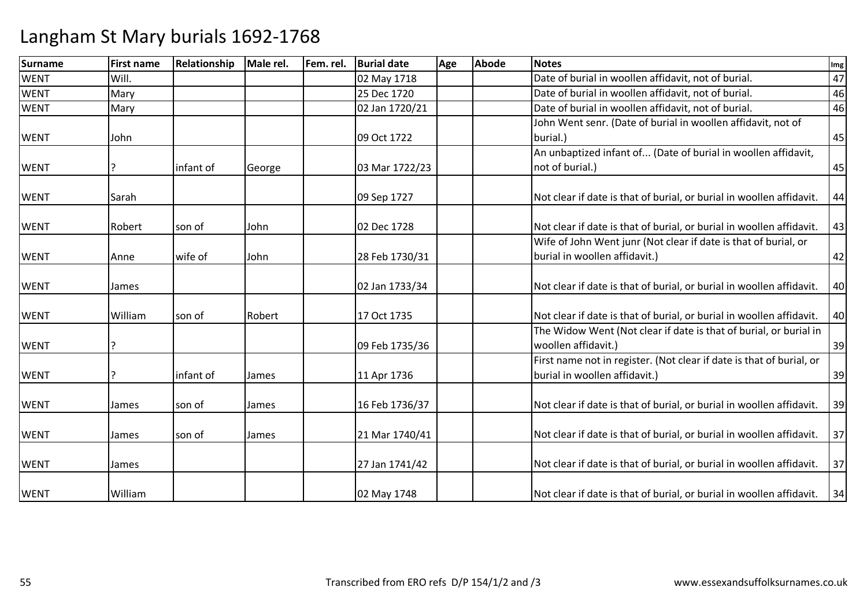| <b>Surname</b> | <b>First name</b> | Relationship | Male rel. | Fem. rel. | <b>Burial date</b> | Age | <b>Abode</b> | <b>Notes</b>                                                         | Img |
|----------------|-------------------|--------------|-----------|-----------|--------------------|-----|--------------|----------------------------------------------------------------------|-----|
| <b>WENT</b>    | Will.             |              |           |           | 02 May 1718        |     |              | Date of burial in woollen affidavit, not of burial.                  | 47  |
| <b>WENT</b>    | Mary              |              |           |           | 25 Dec 1720        |     |              | Date of burial in woollen affidavit, not of burial.                  | 46  |
| <b>WENT</b>    | Mary              |              |           |           | 02 Jan 1720/21     |     |              | Date of burial in woollen affidavit, not of burial.                  | 46  |
|                |                   |              |           |           |                    |     |              | John Went senr. (Date of burial in woollen affidavit, not of         |     |
| <b>WENT</b>    | John              |              |           |           | 09 Oct 1722        |     |              | burial.)                                                             | 45  |
|                |                   |              |           |           |                    |     |              | An unbaptized infant of (Date of burial in woollen affidavit,        |     |
| <b>WENT</b>    |                   | infant of    | George    |           | 03 Mar 1722/23     |     |              | not of burial.)                                                      | 45  |
|                |                   |              |           |           |                    |     |              |                                                                      |     |
| <b>WENT</b>    | Sarah             |              |           |           | 09 Sep 1727        |     |              | Not clear if date is that of burial, or burial in woollen affidavit. | 44  |
| <b>WENT</b>    | Robert            | son of       | John      |           | 02 Dec 1728        |     |              | Not clear if date is that of burial, or burial in woollen affidavit. | 43  |
|                |                   |              |           |           |                    |     |              | Wife of John Went junr (Not clear if date is that of burial, or      |     |
| <b>WENT</b>    | Anne              | wife of      | John      |           | 28 Feb 1730/31     |     |              | burial in woollen affidavit.)                                        | 42  |
|                |                   |              |           |           |                    |     |              |                                                                      |     |
| <b>WENT</b>    | James             |              |           |           | 02 Jan 1733/34     |     |              | Not clear if date is that of burial, or burial in woollen affidavit. | 40  |
|                |                   |              |           |           |                    |     |              |                                                                      |     |
| <b>WENT</b>    | William           | son of       | Robert    |           | 17 Oct 1735        |     |              | Not clear if date is that of burial, or burial in woollen affidavit. | 40  |
|                |                   |              |           |           |                    |     |              | The Widow Went (Not clear if date is that of burial, or burial in    |     |
| <b>WENT</b>    |                   |              |           |           | 09 Feb 1735/36     |     |              | woollen affidavit.)                                                  | 39  |
|                |                   |              |           |           |                    |     |              | First name not in register. (Not clear if date is that of burial, or |     |
| <b>WENT</b>    |                   | infant of    | James     |           | 11 Apr 1736        |     |              | burial in woollen affidavit.)                                        | 39  |
|                |                   |              |           |           |                    |     |              |                                                                      |     |
| <b>WENT</b>    | James             | son of       | James     |           | 16 Feb 1736/37     |     |              | Not clear if date is that of burial, or burial in woollen affidavit. | 39  |
|                |                   |              |           |           |                    |     |              |                                                                      |     |
| <b>WENT</b>    | James             | son of       | James     |           | 21 Mar 1740/41     |     |              | Not clear if date is that of burial, or burial in woollen affidavit. | 37  |
| <b>WENT</b>    | James             |              |           |           | 27 Jan 1741/42     |     |              | Not clear if date is that of burial, or burial in woollen affidavit. | 37  |
|                |                   |              |           |           |                    |     |              |                                                                      |     |
| <b>WENT</b>    | William           |              |           |           | 02 May 1748        |     |              | Not clear if date is that of burial, or burial in woollen affidavit. | 34  |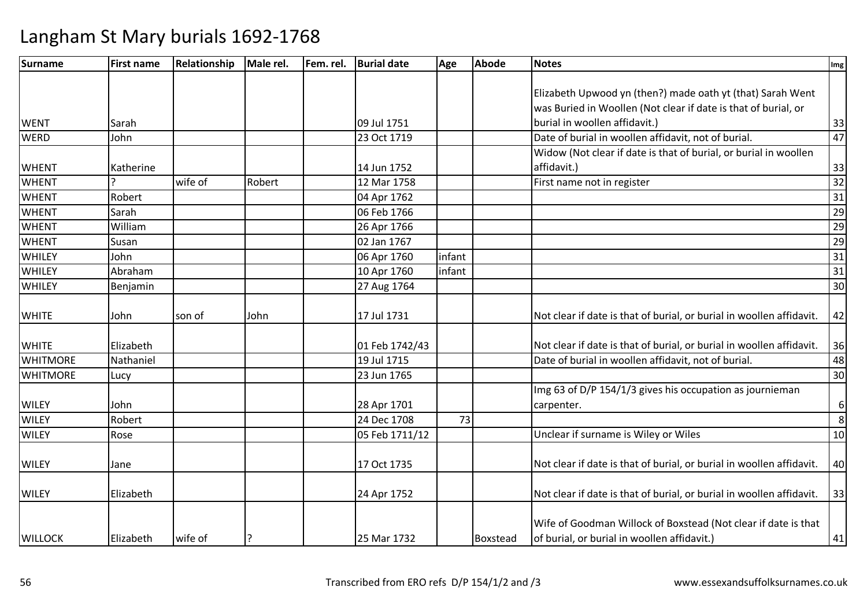| Surname         | <b>First name</b> | Relationship | Male rel. | Fem. rel. | <b>Burial date</b> | Age    | <b>Abode</b> | <b>Notes</b>                                                         | Img             |
|-----------------|-------------------|--------------|-----------|-----------|--------------------|--------|--------------|----------------------------------------------------------------------|-----------------|
|                 |                   |              |           |           |                    |        |              |                                                                      |                 |
|                 |                   |              |           |           |                    |        |              | Elizabeth Upwood yn (then?) made oath yt (that) Sarah Went           |                 |
|                 |                   |              |           |           |                    |        |              | was Buried in Woollen (Not clear if date is that of burial, or       |                 |
| <b>WENT</b>     | Sarah             |              |           |           | 09 Jul 1751        |        |              | burial in woollen affidavit.)                                        | 33              |
| <b>WERD</b>     | John              |              |           |           | 23 Oct 1719        |        |              | Date of burial in woollen affidavit, not of burial.                  | 47              |
|                 |                   |              |           |           |                    |        |              | Widow (Not clear if date is that of burial, or burial in woollen     |                 |
| <b>WHENT</b>    | Katherine         |              |           |           | 14 Jun 1752        |        |              | affidavit.)                                                          | 33              |
| <b>WHENT</b>    |                   | wife of      | Robert    |           | 12 Mar 1758        |        |              | First name not in register                                           | $\overline{32}$ |
| <b>WHENT</b>    | Robert            |              |           |           | 04 Apr 1762        |        |              |                                                                      | 31              |
| <b>WHENT</b>    | Sarah             |              |           |           | 06 Feb 1766        |        |              |                                                                      | $\overline{29}$ |
| <b>WHENT</b>    | William           |              |           |           | 26 Apr 1766        |        |              |                                                                      | $\frac{29}{29}$ |
| <b>WHENT</b>    | Susan             |              |           |           | 02 Jan 1767        |        |              |                                                                      |                 |
| <b>WHILEY</b>   | John              |              |           |           | 06 Apr 1760        | infant |              |                                                                      | $\overline{31}$ |
| <b>WHILEY</b>   | Abraham           |              |           |           | 10 Apr 1760        | infant |              |                                                                      | 31              |
| <b>WHILEY</b>   | Benjamin          |              |           |           | 27 Aug 1764        |        |              |                                                                      | 30              |
| <b>WHITE</b>    | John              | son of       | John      |           | 17 Jul 1731        |        |              | Not clear if date is that of burial, or burial in woollen affidavit. | 42              |
|                 |                   |              |           |           |                    |        |              |                                                                      |                 |
| <b>WHITE</b>    | Elizabeth         |              |           |           | 01 Feb 1742/43     |        |              | Not clear if date is that of burial, or burial in woollen affidavit. | 36              |
| <b>WHITMORE</b> | Nathaniel         |              |           |           | 19 Jul 1715        |        |              | Date of burial in woollen affidavit, not of burial.                  | 48              |
| <b>WHITMORE</b> | Lucy              |              |           |           | 23 Jun 1765        |        |              |                                                                      | 30              |
|                 |                   |              |           |           |                    |        |              | Img 63 of D/P 154/1/3 gives his occupation as journieman             |                 |
| <b>WILEY</b>    | John              |              |           |           | 28 Apr 1701        |        |              | carpenter.                                                           | 6               |
| <b>WILEY</b>    | Robert            |              |           |           | 24 Dec 1708        | 73     |              |                                                                      | 8               |
| <b>WILEY</b>    | Rose              |              |           |           | 05 Feb 1711/12     |        |              | Unclear if surname is Wiley or Wiles                                 | 10              |
| <b>WILEY</b>    | Jane              |              |           |           | 17 Oct 1735        |        |              | Not clear if date is that of burial, or burial in woollen affidavit. | 40              |
| <b>WILEY</b>    | Elizabeth         |              |           |           | 24 Apr 1752        |        |              | Not clear if date is that of burial, or burial in woollen affidavit. | 33              |
|                 |                   |              |           |           |                    |        |              |                                                                      |                 |
|                 |                   |              |           |           |                    |        |              | Wife of Goodman Willock of Boxstead (Not clear if date is that       |                 |
| <b>WILLOCK</b>  | Elizabeth         | wife of      |           |           | 25 Mar 1732        |        | Boxstead     | of burial, or burial in woollen affidavit.)                          | 41              |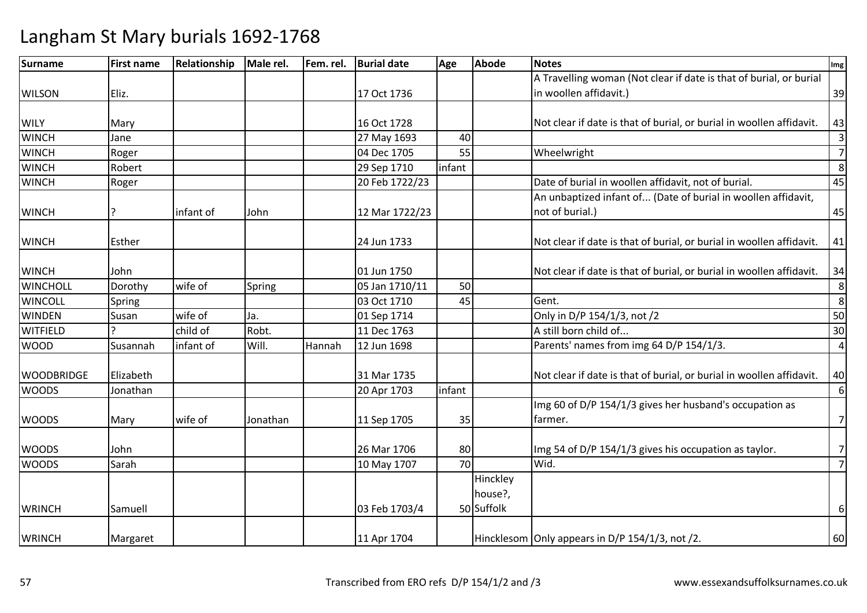| <b>Surname</b>    | <b>First name</b> | Relationship | Male rel. | Fem. rel. | <b>Burial date</b> | Age    | <b>Abode</b> | <b>Notes</b>                                                         | Img                     |
|-------------------|-------------------|--------------|-----------|-----------|--------------------|--------|--------------|----------------------------------------------------------------------|-------------------------|
|                   |                   |              |           |           |                    |        |              | A Travelling woman (Not clear if date is that of burial, or burial   |                         |
| <b>WILSON</b>     | Eliz.             |              |           |           | 17 Oct 1736        |        |              | in woollen affidavit.)                                               | 39                      |
|                   |                   |              |           |           |                    |        |              |                                                                      |                         |
| <b>WILY</b>       | Mary              |              |           |           | 16 Oct 1728        |        |              | Not clear if date is that of burial, or burial in woollen affidavit. | 43                      |
| <b>WINCH</b>      | Jane              |              |           |           | 27 May 1693        | 40     |              |                                                                      | $\overline{\mathbf{3}}$ |
| <b>WINCH</b>      | Roger             |              |           |           | 04 Dec 1705        | 55     |              | Wheelwright                                                          | $\overline{7}$          |
| <b>WINCH</b>      | Robert            |              |           |           | 29 Sep 1710        | infant |              |                                                                      | 8                       |
| <b>WINCH</b>      | Roger             |              |           |           | 20 Feb 1722/23     |        |              | Date of burial in woollen affidavit, not of burial.                  | 45                      |
|                   |                   |              |           |           |                    |        |              | An unbaptized infant of (Date of burial in woollen affidavit,        |                         |
| <b>WINCH</b>      | 7                 | infant of    | John      |           | 12 Mar 1722/23     |        |              | not of burial.)                                                      | 45                      |
| <b>WINCH</b>      | Esther            |              |           |           | 24 Jun 1733        |        |              | Not clear if date is that of burial, or burial in woollen affidavit. | 41                      |
| <b>WINCH</b>      | John              |              |           |           | 01 Jun 1750        |        |              | Not clear if date is that of burial, or burial in woollen affidavit. | 34                      |
| WINCHOLL          | Dorothy           | wife of      | Spring    |           | 05 Jan 1710/11     | 50     |              |                                                                      | 8                       |
| <b>WINCOLL</b>    | Spring            |              |           |           | 03 Oct 1710        | 45     |              | Gent.                                                                | 8                       |
| <b>WINDEN</b>     | Susan             | wife of      | Ja.       |           | 01 Sep 1714        |        |              | Only in D/P 154/1/3, not /2                                          | 50                      |
| <b>WITFIELD</b>   |                   | child of     | Robt.     |           | 11 Dec 1763        |        |              | A still born child of                                                | 30                      |
| <b>WOOD</b>       | Susannah          | infant of    | Will.     | Hannah    | 12 Jun 1698        |        |              | Parents' names from img 64 D/P 154/1/3.                              | $\overline{4}$          |
| <b>WOODBRIDGE</b> | Elizabeth         |              |           |           | 31 Mar 1735        |        |              | Not clear if date is that of burial, or burial in woollen affidavit. | 40                      |
| <b>WOODS</b>      | Jonathan          |              |           |           | 20 Apr 1703        | infant |              |                                                                      | 6                       |
|                   |                   |              |           |           |                    |        |              | Img 60 of D/P 154/1/3 gives her husband's occupation as              |                         |
| <b>WOODS</b>      | Mary              | wife of      | Jonathan  |           | 11 Sep 1705        | 35     |              | farmer.                                                              | $\overline{7}$          |
| <b>WOODS</b>      | John              |              |           |           | 26 Mar 1706        | 80     |              | Img 54 of D/P 154/1/3 gives his occupation as taylor.                | $\overline{7}$          |
| <b>WOODS</b>      | Sarah             |              |           |           | 10 May 1707        | 70     |              | Wid.                                                                 | $\overline{7}$          |
|                   |                   |              |           |           |                    |        | Hinckley     |                                                                      |                         |
|                   |                   |              |           |           |                    |        | house?,      |                                                                      |                         |
| <b>WRINCH</b>     | Samuell           |              |           |           | 03 Feb 1703/4      |        | 50 Suffolk   |                                                                      | 6                       |
| <b>WRINCH</b>     | Margaret          |              |           |           | 11 Apr 1704        |        |              | Hincklesom Only appears in D/P 154/1/3, not /2.                      | 60                      |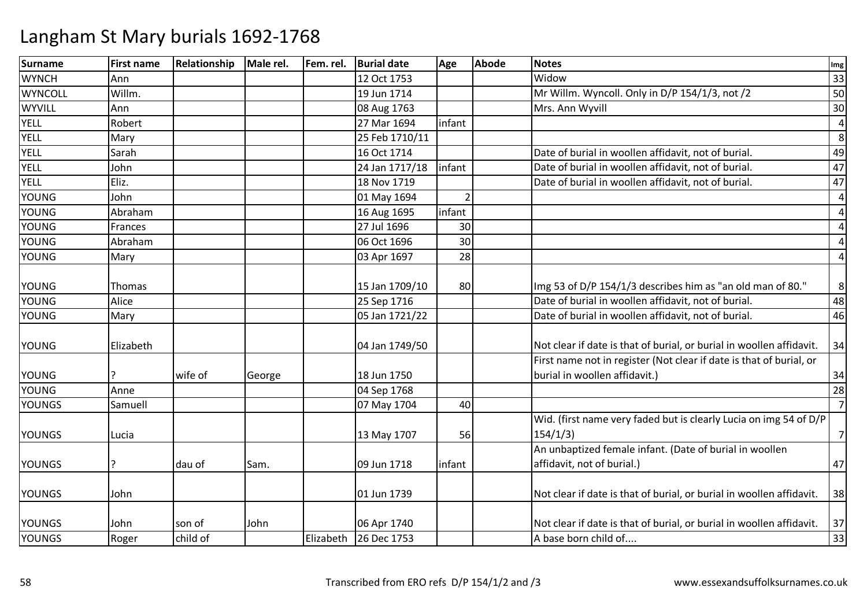| <b>Surname</b> | <b>First name</b> | Relationship | Male rel. | Fem. rel. | <b>Burial date</b> | Age                      | <b>Abode</b> | <b>Notes</b>                                                         | Img            |
|----------------|-------------------|--------------|-----------|-----------|--------------------|--------------------------|--------------|----------------------------------------------------------------------|----------------|
| <b>WYNCH</b>   | Ann               |              |           |           | 12 Oct 1753        |                          |              | Widow                                                                | 33             |
| WYNCOLL        | Willm.            |              |           |           | 19 Jun 1714        |                          |              | Mr Willm. Wyncoll. Only in D/P 154/1/3, not /2                       | 50             |
| <b>WYVILL</b>  | Ann               |              |           |           | 08 Aug 1763        |                          |              | Mrs. Ann Wyvill                                                      | 30             |
| <b>YELL</b>    | Robert            |              |           |           | 27 Mar 1694        | infant                   |              |                                                                      | $\overline{a}$ |
| <b>YELL</b>    | Mary              |              |           |           | 25 Feb 1710/11     |                          |              |                                                                      | 8              |
| YELL           | Sarah             |              |           |           | 16 Oct 1714        |                          |              | Date of burial in woollen affidavit, not of burial.                  | 49             |
| YELL           | John              |              |           |           | 24 Jan 1717/18     | infant                   |              | Date of burial in woollen affidavit, not of burial.                  | 47             |
| YELL           | Eliz.             |              |           |           | 18 Nov 1719        |                          |              | Date of burial in woollen affidavit, not of burial.                  | 47             |
| <b>YOUNG</b>   | John              |              |           |           | 01 May 1694        | $\overline{\mathcal{L}}$ |              |                                                                      | $\overline{4}$ |
| <b>YOUNG</b>   | Abraham           |              |           |           | 16 Aug 1695        | infant                   |              |                                                                      | $\overline{a}$ |
| <b>YOUNG</b>   | Frances           |              |           |           | 27 Jul 1696        | 30                       |              |                                                                      | 4              |
| <b>YOUNG</b>   | Abraham           |              |           |           | 06 Oct 1696        | 30                       |              |                                                                      | $\overline{a}$ |
| <b>YOUNG</b>   | Mary              |              |           |           | 03 Apr 1697        | 28                       |              |                                                                      | $\overline{a}$ |
|                |                   |              |           |           |                    |                          |              |                                                                      |                |
| <b>YOUNG</b>   | Thomas            |              |           |           | 15 Jan 1709/10     | 80                       |              | Img 53 of D/P 154/1/3 describes him as "an old man of 80."           | 8              |
| <b>YOUNG</b>   | Alice             |              |           |           | 25 Sep 1716        |                          |              | Date of burial in woollen affidavit, not of burial.                  | 48             |
| <b>YOUNG</b>   | Mary              |              |           |           | 05 Jan 1721/22     |                          |              | Date of burial in woollen affidavit, not of burial.                  | 46             |
|                |                   |              |           |           |                    |                          |              |                                                                      |                |
| <b>YOUNG</b>   | Elizabeth         |              |           |           | 04 Jan 1749/50     |                          |              | Not clear if date is that of burial, or burial in woollen affidavit. | 34             |
|                |                   |              |           |           |                    |                          |              | First name not in register (Not clear if date is that of burial, or  |                |
| <b>YOUNG</b>   |                   | wife of      | George    |           | 18 Jun 1750        |                          |              | burial in woollen affidavit.)                                        | 34             |
| <b>YOUNG</b>   | Anne              |              |           |           | 04 Sep 1768        |                          |              |                                                                      | 28             |
| <b>YOUNGS</b>  | Samuell           |              |           |           | 07 May 1704        | 40                       |              |                                                                      | $\overline{7}$ |
|                |                   |              |           |           |                    |                          |              | Wid. (first name very faded but is clearly Lucia on img 54 of D/P    |                |
| <b>YOUNGS</b>  | Lucia             |              |           |           | 13 May 1707        | 56                       |              | 154/1/3                                                              | $\overline{7}$ |
|                |                   |              |           |           |                    |                          |              | An unbaptized female infant. (Date of burial in woollen              |                |
| <b>YOUNGS</b>  | 7                 | dau of       | Sam.      |           | 09 Jun 1718        | infant                   |              | affidavit, not of burial.)                                           | 47             |
|                |                   |              |           |           |                    |                          |              |                                                                      |                |
| <b>YOUNGS</b>  | John              |              |           |           | 01 Jun 1739        |                          |              | Not clear if date is that of burial, or burial in woollen affidavit. | 38             |
|                |                   |              |           |           |                    |                          |              |                                                                      |                |
| <b>YOUNGS</b>  | John              | son of       | John      |           | 06 Apr 1740        |                          |              | Not clear if date is that of burial, or burial in woollen affidavit. | 37             |
| <b>YOUNGS</b>  | Roger             | child of     |           | Elizabeth | 26 Dec 1753        |                          |              | A base born child of                                                 | 33             |